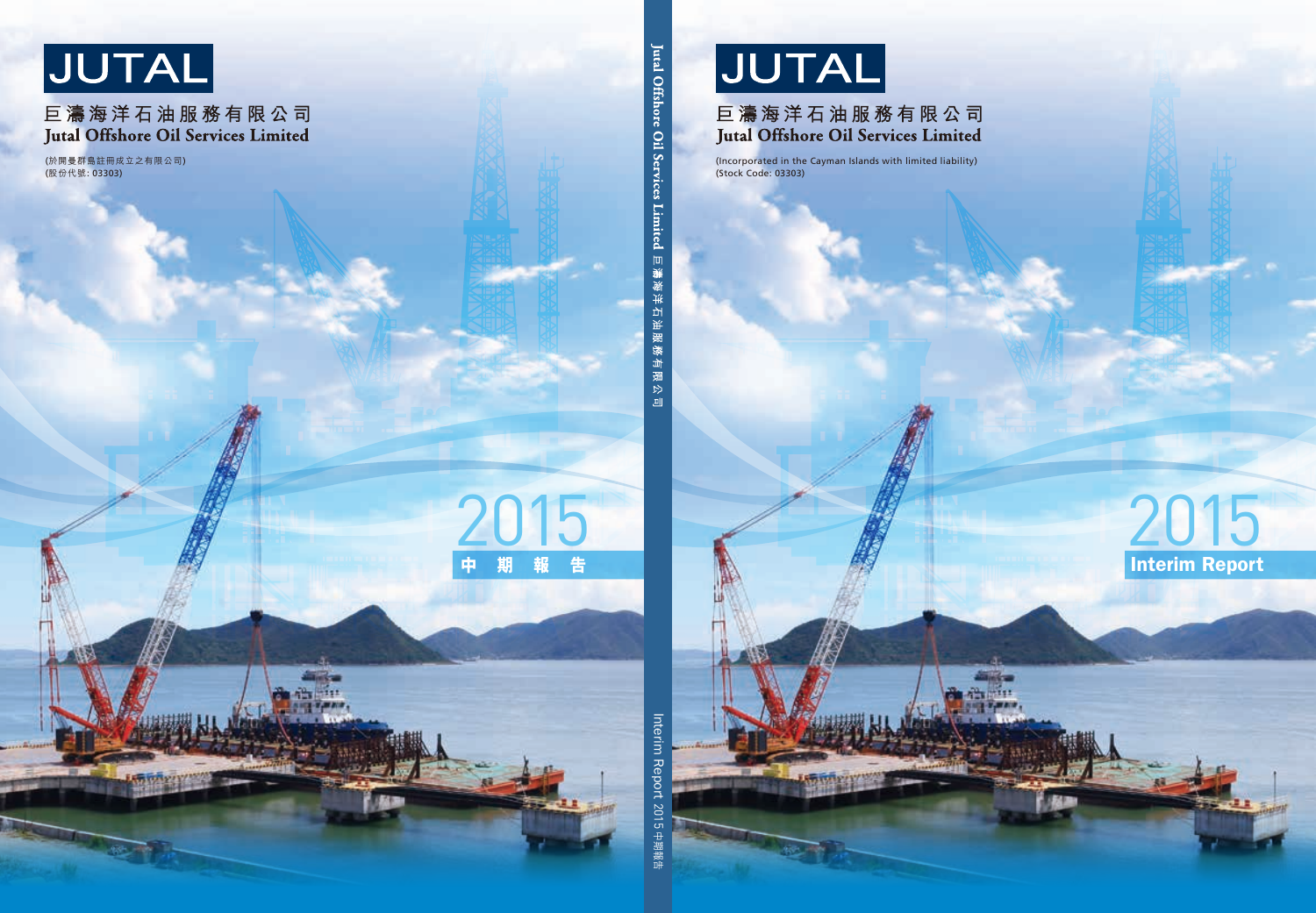

# 巨濤海洋石油服務有限公司 **Jutal Offshore Oil Services Limited**

(Incorporated in the Cayman Islands with limited liability) (Stock Code: 03303)

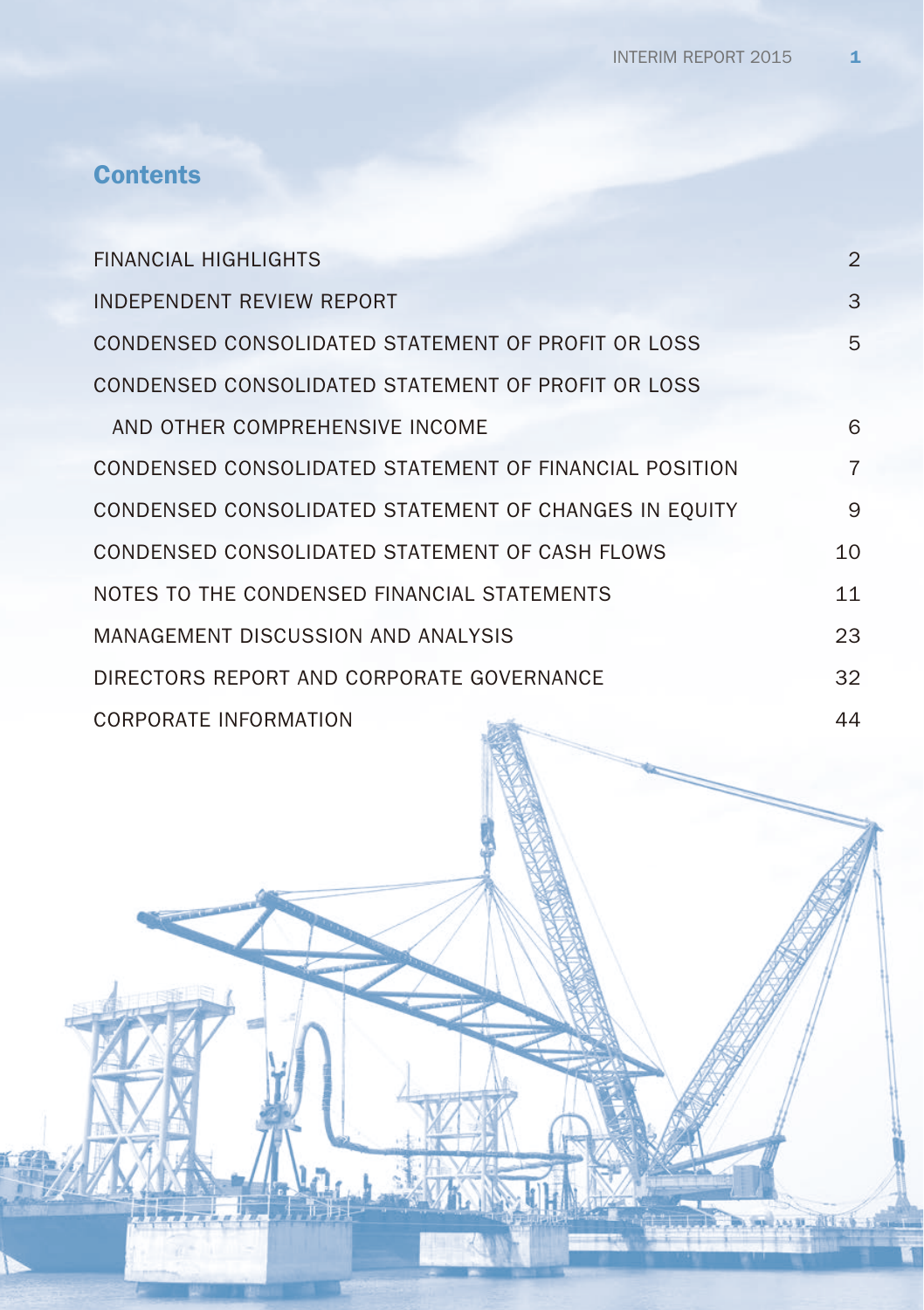# **Contents**

| <b>FINANCIAL HIGHLIGHTS</b>                            | $\overline{2}$ |
|--------------------------------------------------------|----------------|
| <b>INDEPENDENT REVIEW REPORT</b>                       | 3              |
| CONDENSED CONSOLIDATED STATEMENT OF PROFIT OR LOSS     | 5              |
| CONDENSED CONSOLIDATED STATEMENT OF PROFIT OR LOSS     |                |
| AND OTHER COMPREHENSIVE INCOME                         | 6              |
| CONDENSED CONSOLIDATED STATEMENT OF FINANCIAL POSITION | $\overline{7}$ |
| CONDENSED CONSOLIDATED STATEMENT OF CHANGES IN EQUITY  | 9              |
| CONDENSED CONSOLIDATED STATEMENT OF CASH FLOWS         | 10             |
| NOTES TO THE CONDENSED FINANCIAL STATEMENTS            | 11             |
| MANAGEMENT DISCUSSION AND ANALYSIS                     | 23             |
| DIRECTORS REPORT AND CORPORATE GOVERNANCE              | 32             |
| CORPORATE INFORMATION<br><b>SERVICE</b>                | 44             |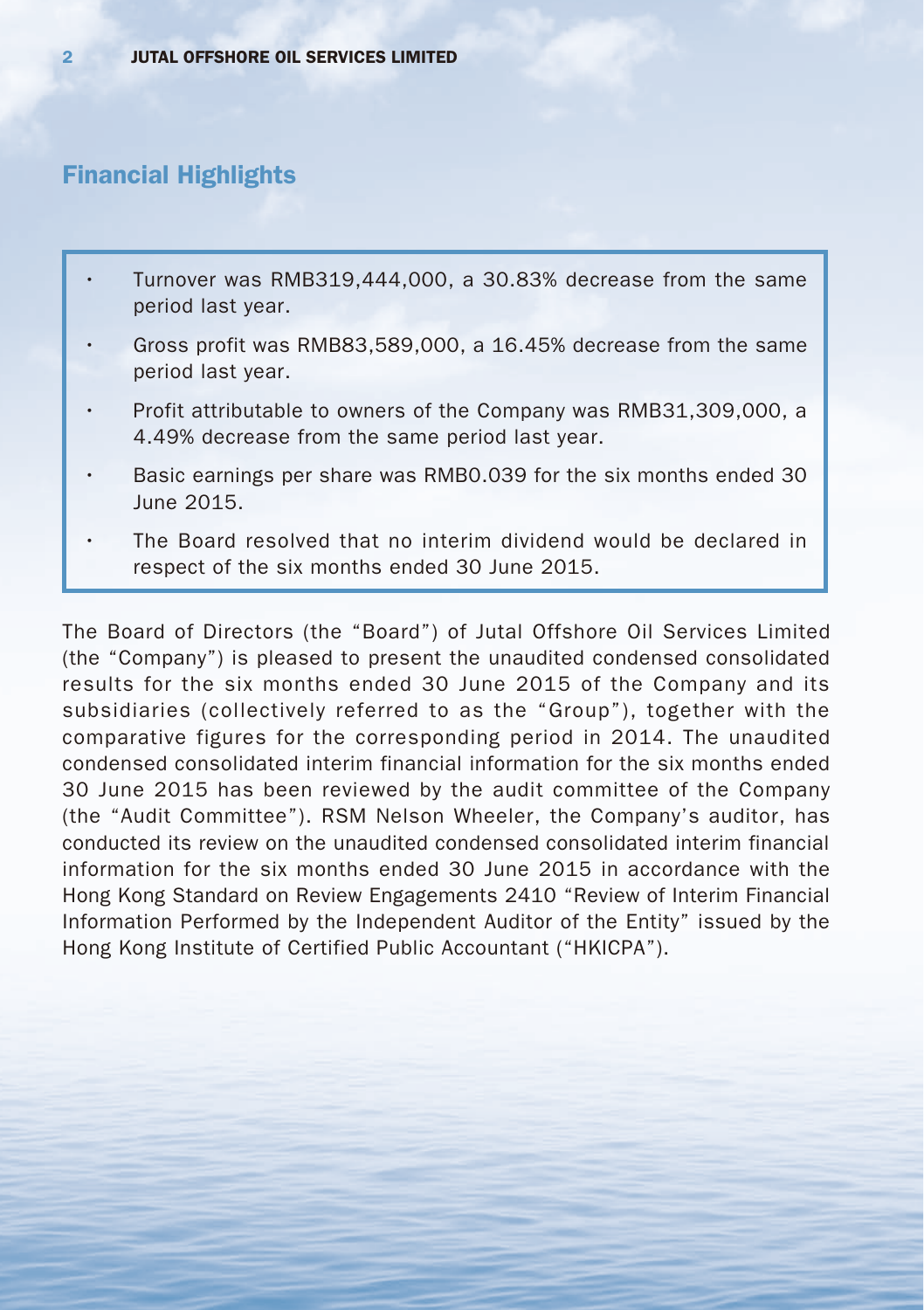## Financial Highlights

- Turnover was RMB319,444,000, a 30.83% decrease from the same period last year.
- Gross profit was RMB83,589,000, a 16.45% decrease from the same period last year.
- Profit attributable to owners of the Company was RMB31,309,000, a 4.49% decrease from the same period last year.
- Basic earnings per share was RMB0.039 for the six months ended 30 June 2015.
- The Board resolved that no interim dividend would be declared in respect of the six months ended 30 June 2015.

The Board of Directors (the "Board") of Jutal Offshore Oil Services Limited (the "Company") is pleased to present the unaudited condensed consolidated results for the six months ended 30 June 2015 of the Company and its subsidiaries (collectively referred to as the "Group"), together with the comparative figures for the corresponding period in 2014. The unaudited condensed consolidated interim financial information for the six months ended 30 June 2015 has been reviewed by the audit committee of the Company (the "Audit Committee"). RSM Nelson Wheeler, the Company's auditor, has conducted its review on the unaudited condensed consolidated interim financial information for the six months ended 30 June 2015 in accordance with the Hong Kong Standard on Review Engagements 2410 "Review of Interim Financial Information Performed by the Independent Auditor of the Entity" issued by the Hong Kong Institute of Certified Public Accountant ("HKICPA").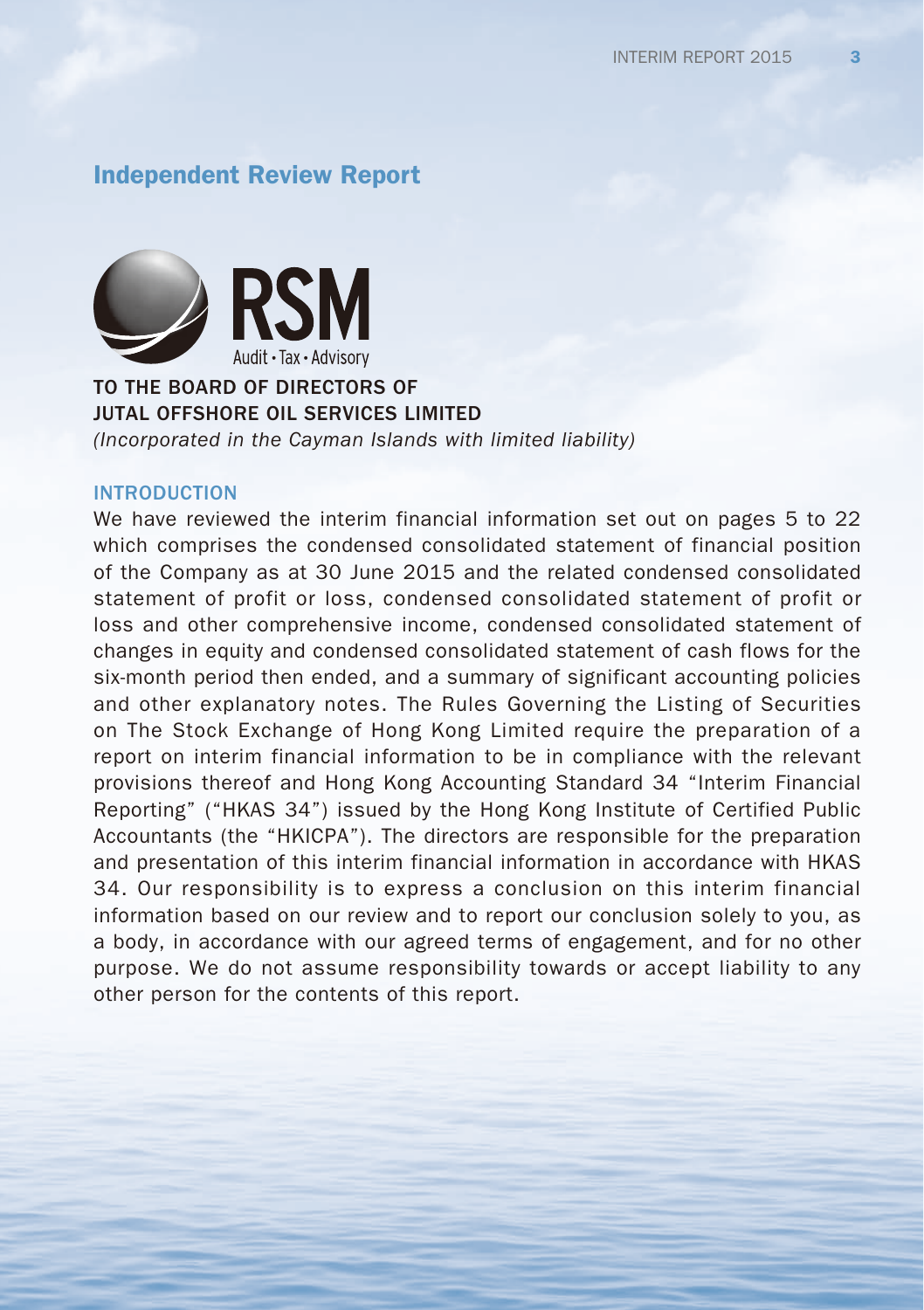## Independent Review Report



#### TO THE BOARD OF DIRECTORS OF JUTAL OFFSHORE OIL SERVICES LIMITED

*(Incorporated in the Cayman Islands with limited liability)*

#### INTRODUCTION

We have reviewed the interim financial information set out on pages 5 to 22 which comprises the condensed consolidated statement of financial position of the Company as at 30 June 2015 and the related condensed consolidated statement of profit or loss, condensed consolidated statement of profit or loss and other comprehensive income, condensed consolidated statement of changes in equity and condensed consolidated statement of cash flows for the six-month period then ended, and a summary of significant accounting policies and other explanatory notes. The Rules Governing the Listing of Securities on The Stock Exchange of Hong Kong Limited require the preparation of a report on interim financial information to be in compliance with the relevant provisions thereof and Hong Kong Accounting Standard 34 "Interim Financial Reporting" ("HKAS 34") issued by the Hong Kong Institute of Certified Public Accountants (the "HKICPA"). The directors are responsible for the preparation and presentation of this interim financial information in accordance with HKAS 34. Our responsibility is to express a conclusion on this interim financial information based on our review and to report our conclusion solely to you, as a body, in accordance with our agreed terms of engagement, and for no other purpose. We do not assume responsibility towards or accept liability to any other person for the contents of this report.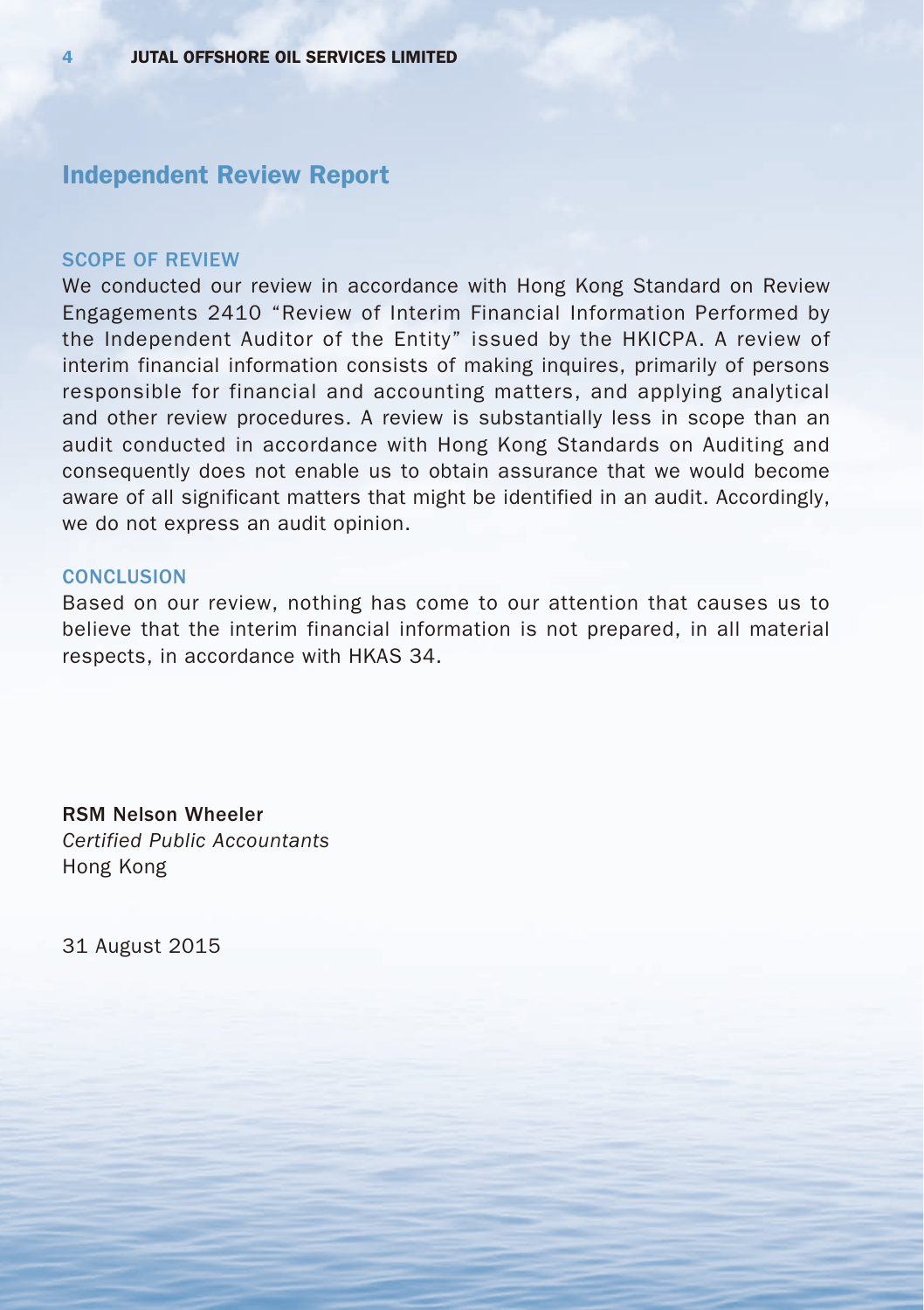## Independent Review Report

#### SCOPE OF REVIEW

We conducted our review in accordance with Hong Kong Standard on Review Engagements 2410 "Review of Interim Financial Information Performed by the Independent Auditor of the Entity" issued by the HKICPA. A review of interim financial information consists of making inquires, primarily of persons responsible for financial and accounting matters, and applying analytical and other review procedures. A review is substantially less in scope than an audit conducted in accordance with Hong Kong Standards on Auditing and consequently does not enable us to obtain assurance that we would become aware of all significant matters that might be identified in an audit. Accordingly, we do not express an audit opinion.

#### **CONCLUSION**

Based on our review, nothing has come to our attention that causes us to believe that the interim financial information is not prepared, in all material respects, in accordance with HKAS 34.

RSM Nelson Wheeler *Certified Public Accountants* Hong Kong

31 August 2015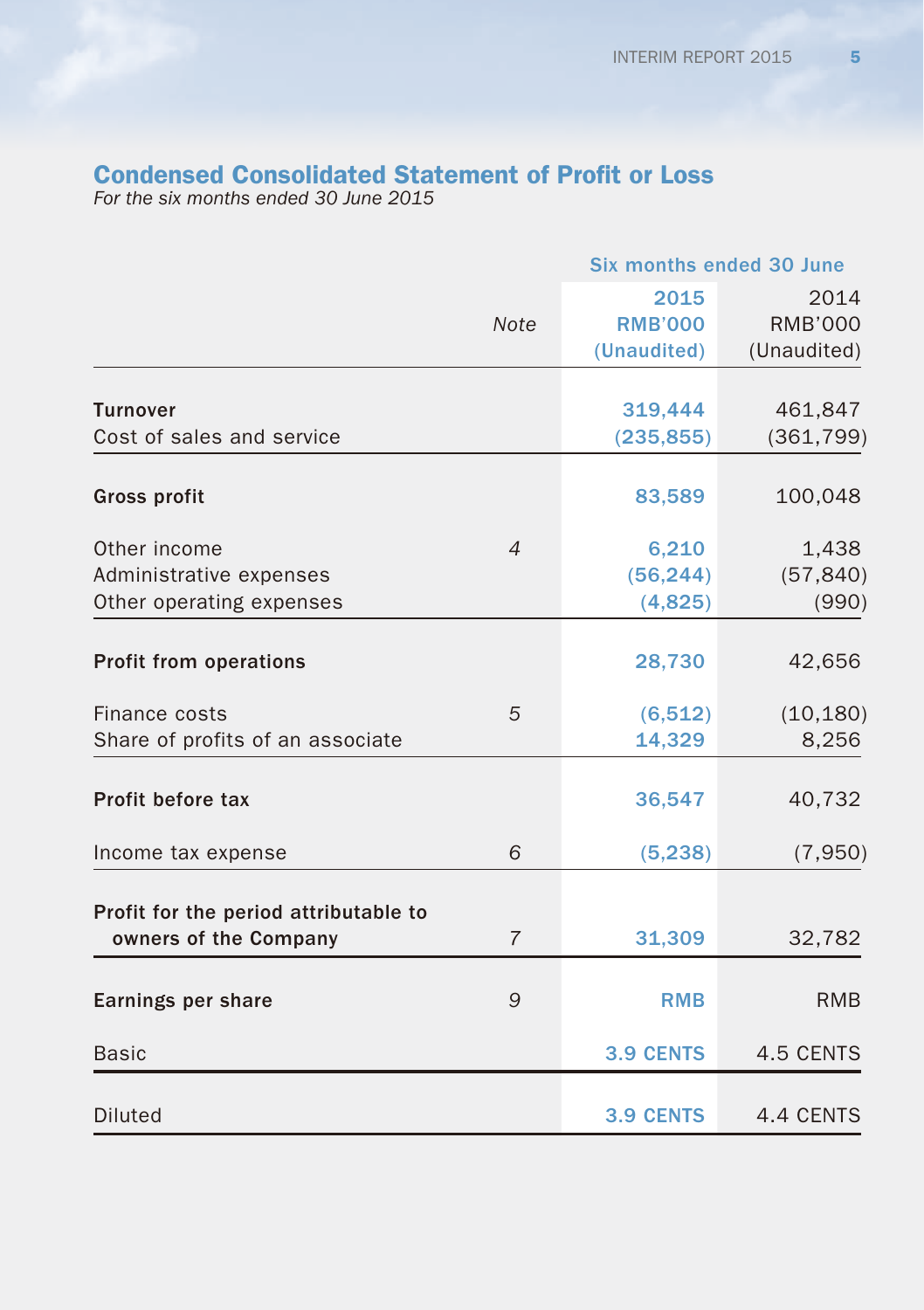# Condensed Consolidated Statement of Profit or Loss

*For the six months ended 30 June 2015*

|                                                                | <b>Six months ended 30 June</b> |                  |                |
|----------------------------------------------------------------|---------------------------------|------------------|----------------|
|                                                                |                                 | 2015             | 2014           |
|                                                                | <b>Note</b>                     | <b>RMB'000</b>   | <b>RMB'000</b> |
|                                                                |                                 | (Unaudited)      | (Unaudited)    |
|                                                                |                                 |                  |                |
| <b>Turnover</b><br>Cost of sales and service                   |                                 | 319,444          | 461,847        |
|                                                                |                                 | (235, 855)       | (361, 799)     |
| <b>Gross profit</b>                                            |                                 | 83,589           | 100,048        |
| Other income                                                   | $\overline{4}$                  | 6,210            | 1,438          |
| Administrative expenses                                        |                                 | (56, 244)        | (57, 840)      |
| Other operating expenses                                       |                                 | (4,825)          | (990)          |
|                                                                |                                 |                  |                |
| <b>Profit from operations</b>                                  |                                 | 28,730           | 42,656         |
| Finance costs                                                  | 5                               | (6, 512)         | (10, 180)      |
| Share of profits of an associate                               |                                 | 14,329           | 8,256          |
| Profit before tax                                              |                                 | 36,547           | 40,732         |
| Income tax expense                                             | 6                               | (5, 238)         | (7,950)        |
|                                                                |                                 |                  |                |
| Profit for the period attributable to<br>owners of the Company | $\overline{7}$                  | 31,309           | 32,782         |
| Earnings per share                                             | 9                               | <b>RMB</b>       | <b>RMB</b>     |
| <b>Basic</b>                                                   |                                 | <b>3.9 CENTS</b> | 4.5 CENTS      |
| Diluted                                                        |                                 | <b>3.9 CENTS</b> | 4.4 CENTS      |
|                                                                |                                 |                  |                |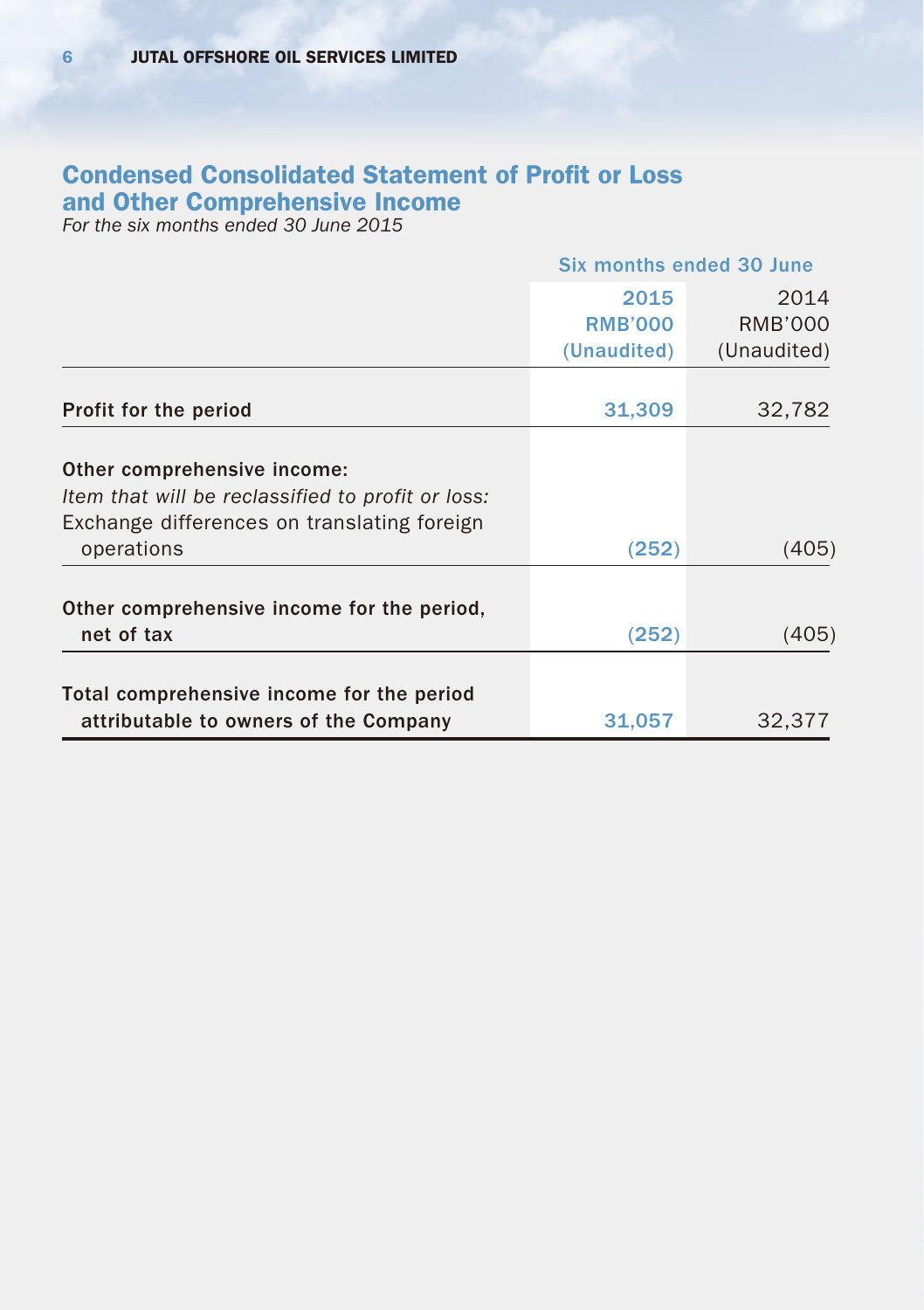# Condensed Consolidated Statement of Profit or Loss and Other Comprehensive Income

*For the six months ended 30 June 2015*

|                                                                                    | Six months ended 30 June |             |
|------------------------------------------------------------------------------------|--------------------------|-------------|
|                                                                                    | 2015                     | 2014        |
|                                                                                    | <b>RMB'000</b>           | RMB'000     |
|                                                                                    | (Unaudited)              | (Unaudited) |
|                                                                                    |                          |             |
| Profit for the period                                                              | 31,309                   | 32,782      |
| Other comprehensive income:                                                        |                          |             |
| Item that will be reclassified to profit or loss:                                  |                          |             |
| Exchange differences on translating foreign                                        |                          |             |
| operations                                                                         | (252)                    | (405)       |
|                                                                                    |                          |             |
| Other comprehensive income for the period,                                         |                          |             |
| net of tax                                                                         | (252)                    | (405)       |
|                                                                                    |                          |             |
| Total comprehensive income for the period<br>attributable to owners of the Company | 31,057                   | 32.377      |
|                                                                                    |                          |             |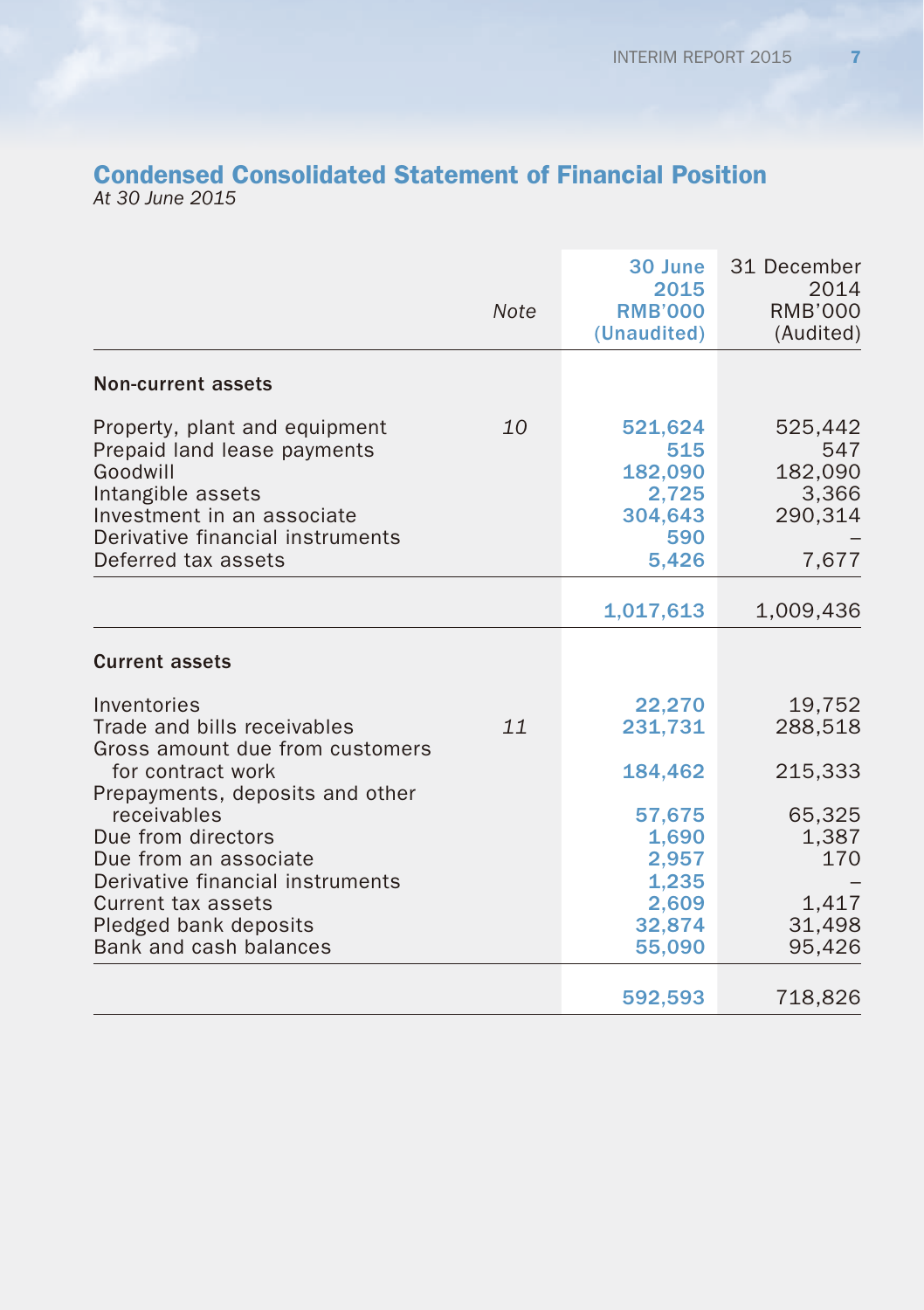### Condensed Consolidated Statement of Financial Position *At 30 June 2015*

|                                                                                                                                                                                        | <b>Note</b> | 30 June<br>2015<br><b>RMB'000</b><br>(Unaudited)               | 31 December<br>2014<br><b>RMB'000</b><br>(Audited)     |
|----------------------------------------------------------------------------------------------------------------------------------------------------------------------------------------|-------------|----------------------------------------------------------------|--------------------------------------------------------|
| <b>Non-current assets</b>                                                                                                                                                              |             |                                                                |                                                        |
| Property, plant and equipment<br>Prepaid land lease payments<br>Goodwill<br>Intangible assets<br>Investment in an associate<br>Derivative financial instruments<br>Deferred tax assets | 10          | 521,624<br>515<br>182,090<br>2,725<br>304,643<br>590<br>5,426  | 525,442<br>547<br>182,090<br>3,366<br>290.314<br>7,677 |
|                                                                                                                                                                                        |             | 1,017,613                                                      | 1,009,436                                              |
| <b>Current assets</b>                                                                                                                                                                  |             |                                                                |                                                        |
| Inventories<br>Trade and bills receivables<br>Gross amount due from customers<br>for contract work<br>Prepayments, deposits and other                                                  | 11          | 22,270<br>231,731<br>184,462                                   | 19,752<br>288,518<br>215,333                           |
| receivables<br>Due from directors<br>Due from an associate<br>Derivative financial instruments<br>Current tax assets<br>Pledged bank deposits<br>Bank and cash balances                |             | 57,675<br>1,690<br>2,957<br>1,235<br>2,609<br>32,874<br>55,090 | 65,325<br>1,387<br>170<br>1,417<br>31,498<br>95,426    |
|                                                                                                                                                                                        |             | 592,593                                                        | 718,826                                                |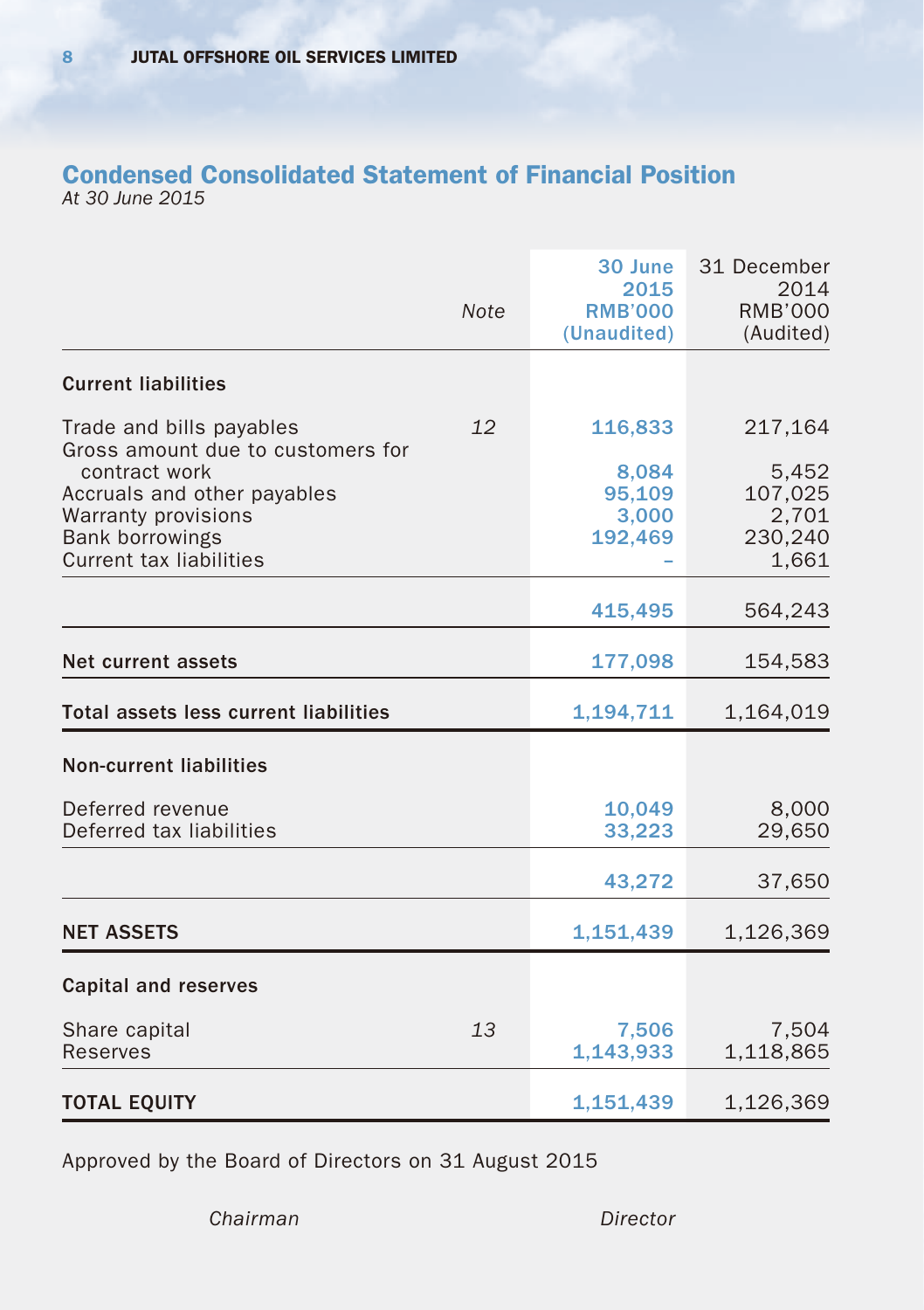### Condensed Consolidated Statement of Financial Position *At 30 June 2015*

|                                                    |             | 30 June                               | 31 December<br>2014         |
|----------------------------------------------------|-------------|---------------------------------------|-----------------------------|
|                                                    | <b>Note</b> | 2015<br><b>RMB'000</b><br>(Unaudited) | <b>RMB'000</b><br>(Audited) |
| <b>Current liabilities</b>                         |             |                                       |                             |
| Trade and bills payables                           | 12          | 116,833                               | 217,164                     |
| Gross amount due to customers for<br>contract work |             | 8,084                                 | 5,452                       |
| Accruals and other payables                        |             | 95,109                                | 107,025                     |
| Warranty provisions                                |             | 3,000                                 | 2,701                       |
| <b>Bank borrowings</b>                             |             | 192,469                               | 230,240                     |
| <b>Current tax liabilities</b>                     |             |                                       | 1,661                       |
|                                                    |             | 415,495                               | 564,243                     |
| Net current assets                                 |             | 177,098                               | 154,583                     |
| <b>Total assets less current liabilities</b>       |             | 1,194,711                             | 1,164,019                   |
| <b>Non-current liabilities</b>                     |             |                                       |                             |
| Deferred revenue                                   |             | 10,049                                | 8,000                       |
| Deferred tax liabilities                           |             | 33,223                                | 29,650                      |
|                                                    |             | 43,272                                | 37,650                      |
| <b>NET ASSETS</b>                                  |             | 1,151,439                             | 1,126,369                   |
| <b>Capital and reserves</b>                        |             |                                       |                             |
| Share capital<br>Reserves                          | 13          | 7,506<br>1,143,933                    | 7,504<br>1,118,865          |
| <b>TOTAL EQUITY</b>                                |             | 1,151,439                             | 1,126,369                   |

Approved by the Board of Directors on 31 August 2015

*Chairman Director*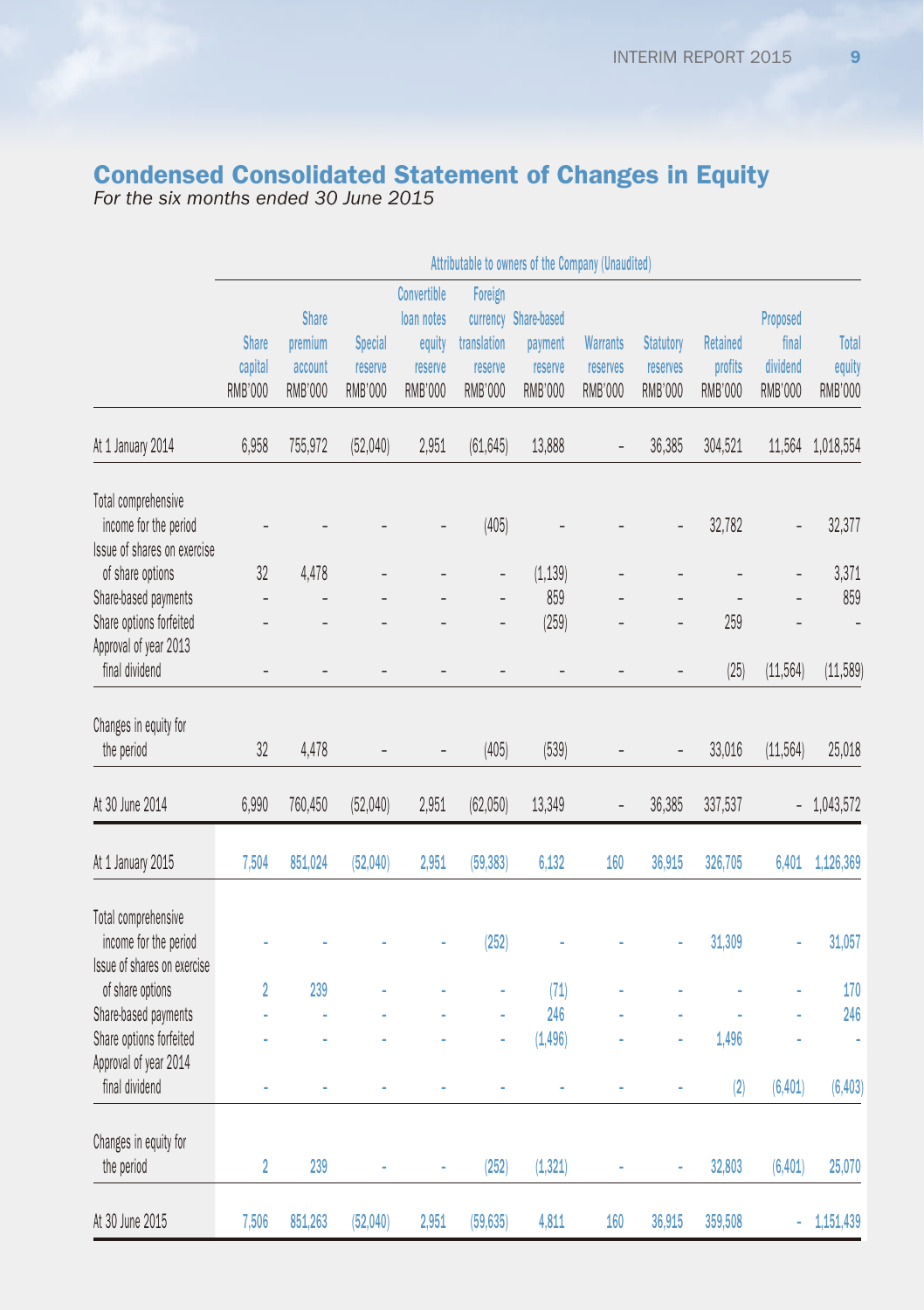#### Condensed Consolidated Statement of Changes in Equity *For the six months ended 30 June 2015*

Attributable to owners of the Company (Unaudited) Share capital **Share** premium account **Special** reserve **Convertible** loan notes equity reserve Foreign currency Share-based translation reserve payment reserve **Warrants** reserves **Statutory** reserves Retained profits Proposed final dividend RMB'000 RMB'000 RMB'000 RMB'000 RMB'000 RMB'000 RMB'000 RMB'000 RMB'000 RMB'000 RMB'000 At 1 January 2014 6,958 755,972 (52,040) 2,951 (61,645) 13,888 – 36,385 304,521 11,564 1,018,554 Total comprehensive income for the period – – – – (405) – – – 32,782 – 32,377 Issue of shares on exercise of share options 32 4,478 – – – (1,139) – – – – 3,371 Share-based payments – – – – – 859 – – – – 859 Share options forfeited – – – – – (259) – – 259 – – Approval of year 2013 final dividend – – – – – – – – (25) (11,564) (11,589) Changes in equity for the heinn (11,1) or and all the period in the period of the second and the second transmission of the second t At 30 June 2014 6,990 760,450 (52,040) 2,951 (62,050) 13,349 – 36,385 337,537 – 1,043,572 At 1 January 2015 7,504 851,024 (52,040) 2,951 (59,383) 6,132 160 36,915 326,705 6,401 1,126,369 Total comprehensive income for the period – – – – (252) – – – 31,309 – 31,057 Issue of shares on exercise of share options 2 239 – – – (71) – – – – 170 Share-based payments – – – – – 246 – – – – 246 Share options forfeited – – – – – (1,496) – – 1,496 – – Approval of year 2014 final dividend – – – – – – – – (2) (6,401) (6,403) Changes in equity for the period 2 239 – – (252) (1,321) – – 32,803 (6,401) 25,070

At 30 June 2015 7,506 851,263 (52,040) 2,951 (59,635) 4,811 160 36,915 359,508 – 1,151,439

**Total** equity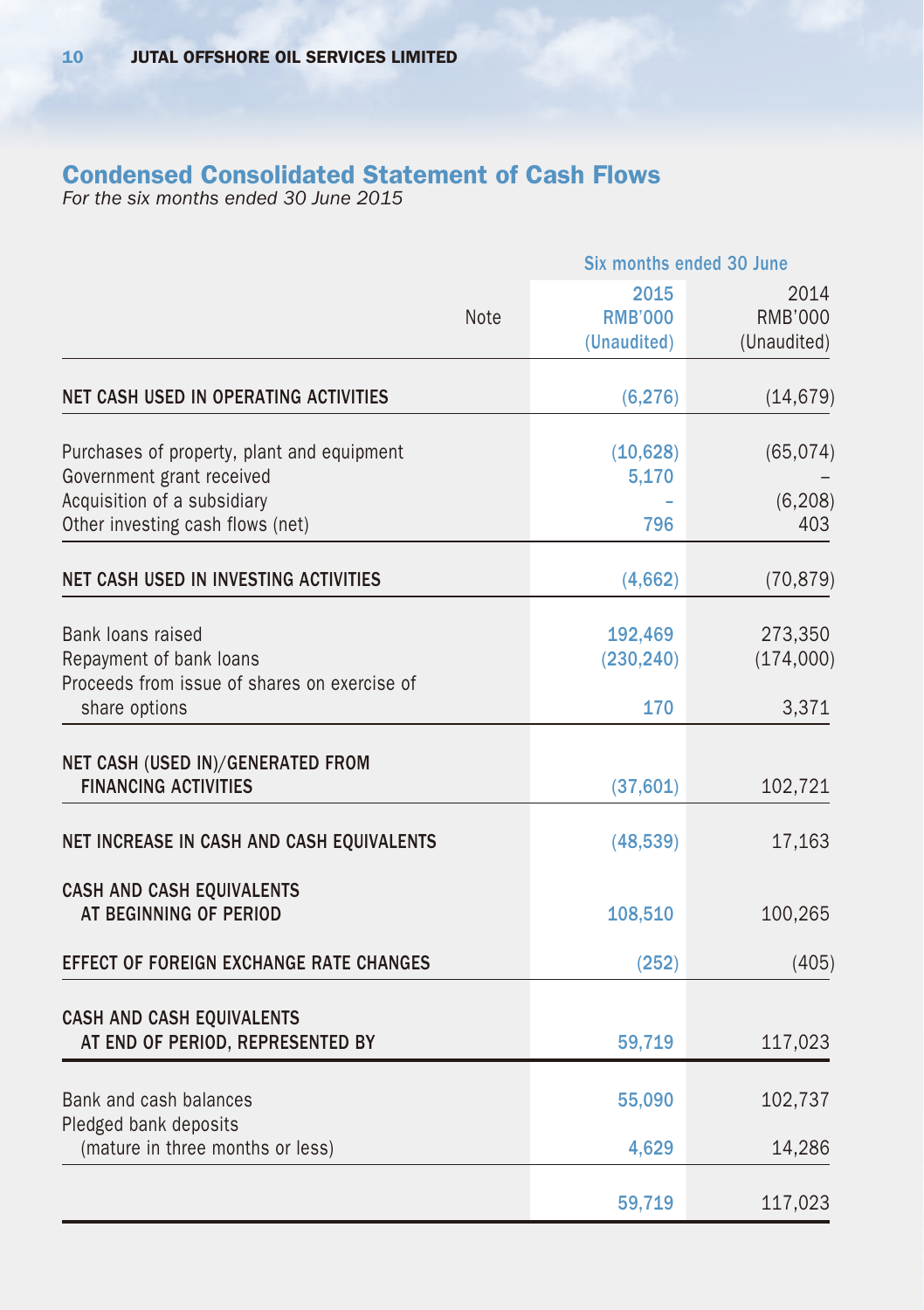## Condensed Consolidated Statement of Cash Flows

*For the six months ended 30 June 2015*

|                                                                                              | Six months ended 30 June              |                                       |  |
|----------------------------------------------------------------------------------------------|---------------------------------------|---------------------------------------|--|
| <b>Note</b>                                                                                  | 2015<br><b>RMB'000</b><br>(Unaudited) | 2014<br><b>RMB'000</b><br>(Unaudited) |  |
| NET CASH USED IN OPERATING ACTIVITIES                                                        | (6, 276)                              | (14, 679)                             |  |
| Purchases of property, plant and equipment                                                   | (10,628)                              | (65, 074)                             |  |
| Government grant received<br>Acquisition of a subsidiary<br>Other investing cash flows (net) | 5,170<br>796                          | (6, 208)<br>403                       |  |
| NET CASH USED IN INVESTING ACTIVITIES                                                        | (4,662)                               | (70, 879)                             |  |
| Bank loans raised<br>Repayment of bank loans<br>Proceeds from issue of shares on exercise of | 192,469<br>(230, 240)                 | 273,350<br>(174,000)                  |  |
| share options                                                                                | 170                                   | 3,371                                 |  |
| NET CASH (USED IN)/GENERATED FROM<br><b>FINANCING ACTIVITIES</b>                             | (37,601)                              | 102,721                               |  |
| NET INCREASE IN CASH AND CASH EQUIVALENTS                                                    | (48, 539)                             | 17,163                                |  |
| CASH AND CASH EQUIVALENTS<br>AT BEGINNING OF PERIOD                                          | 108,510                               | 100,265                               |  |
| <b>EFFECT OF FOREIGN EXCHANGE RATE CHANGES</b>                                               | (252)                                 | (405)                                 |  |
| CASH AND CASH EQUIVALENTS<br>AT END OF PERIOD, REPRESENTED BY                                | 59,719                                | 117,023                               |  |
| Bank and cash balances<br>Pledged bank deposits                                              | 55,090                                | 102,737                               |  |
| (mature in three months or less)                                                             | 4,629                                 | 14,286                                |  |
|                                                                                              | 59,719                                | 117,023                               |  |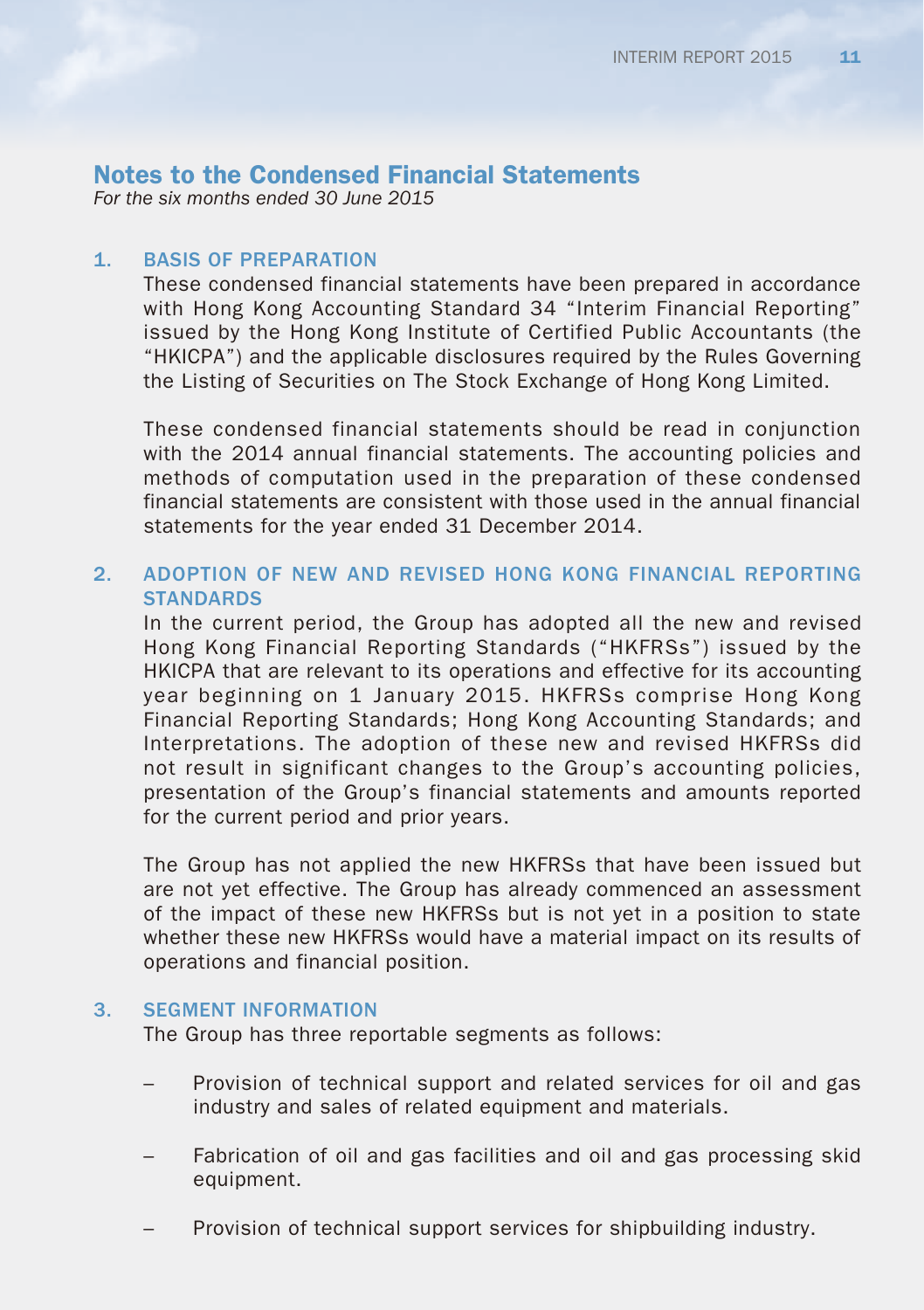*For the six months ended 30 June 2015*

### 1. BASIS OF PREPARATION

These condensed financial statements have been prepared in accordance with Hong Kong Accounting Standard 34 "Interim Financial Reporting" issued by the Hong Kong Institute of Certified Public Accountants (the "HKICPA") and the applicable disclosures required by the Rules Governing the Listing of Securities on The Stock Exchange of Hong Kong Limited.

These condensed financial statements should be read in conjunction with the 2014 annual financial statements. The accounting policies and methods of computation used in the preparation of these condensed financial statements are consistent with those used in the annual financial statements for the year ended 31 December 2014.

## 2. ADOPTION OF NEW AND REVISED HONG KONG FINANCIAL REPORTING **STANDARDS**

In the current period, the Group has adopted all the new and revised Hong Kong Financial Reporting Standards ("HKFRSs") issued by the HKICPA that are relevant to its operations and effective for its accounting year beginning on 1 January 2015. HKFRSs comprise Hong Kong Financial Reporting Standards; Hong Kong Accounting Standards; and Interpretations. The adoption of these new and revised HKFRSs did not result in significant changes to the Group's accounting policies, presentation of the Group's financial statements and amounts reported for the current period and prior years.

The Group has not applied the new HKFRSs that have been issued but are not yet effective. The Group has already commenced an assessment of the impact of these new HKFRSs but is not yet in a position to state whether these new HKFRSs would have a material impact on its results of operations and financial position.

### 3. SEGMENT INFORMATION

The Group has three reportable segments as follows:

- Provision of technical support and related services for oil and gas industry and sales of related equipment and materials.
- Fabrication of oil and gas facilities and oil and gas processing skid equipment.
- Provision of technical support services for shipbuilding industry.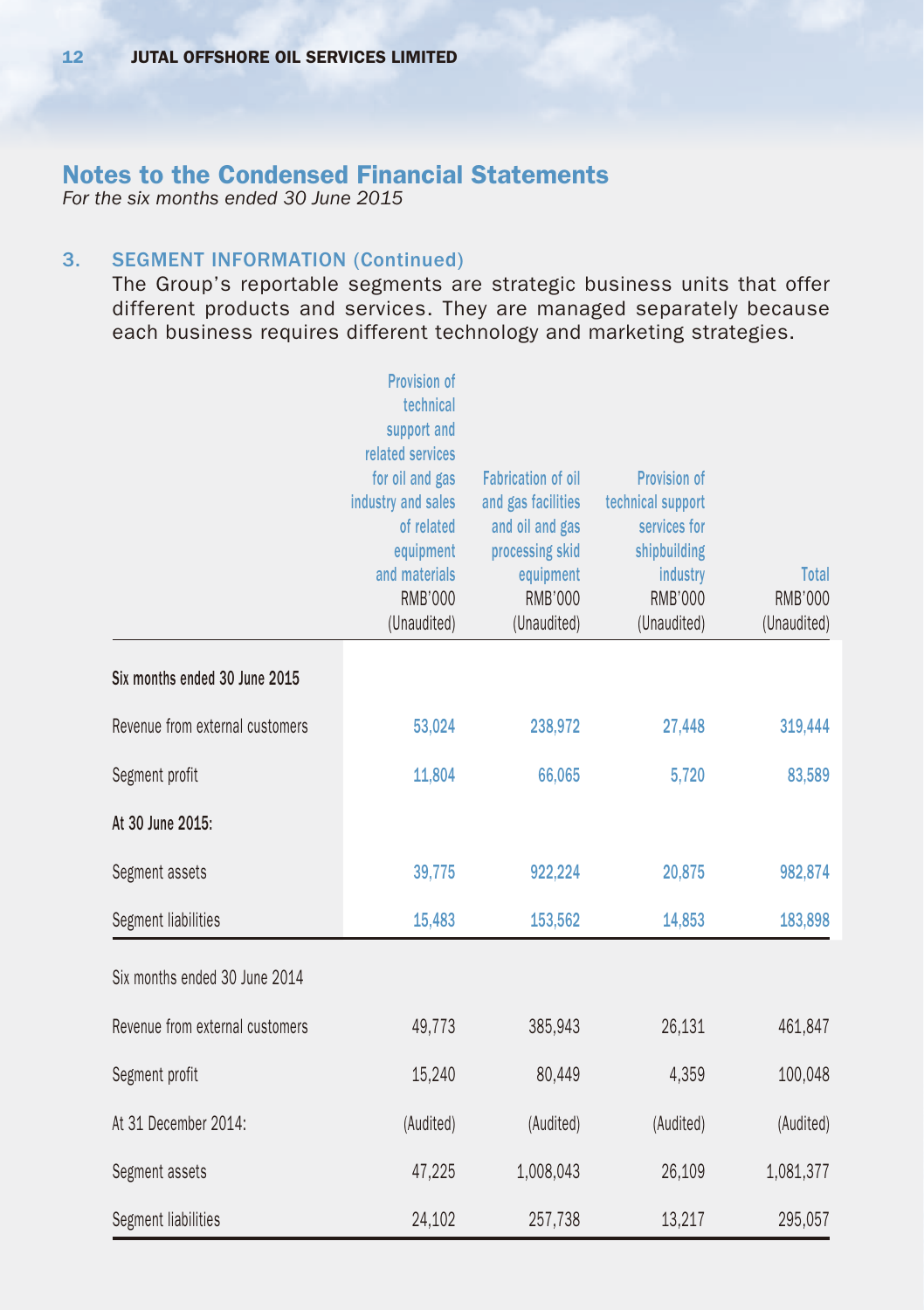*For the six months ended 30 June 2015*

## 3. SEGMENT INFORMATION (Continued)

The Group's reportable segments are strategic business units that offer different products and services. They are managed separately because each business requires different technology and marketing strategies.

|                                 | <b>Provision of</b><br>technical<br>support and<br>related services<br>for oil and gas<br>industry and sales<br>of related<br>equipment<br>and materials<br><b>RMB'000</b><br>(Unaudited) | <b>Fabrication of oil</b><br>and gas facilities<br>and oil and gas<br>processing skid<br>equipment<br><b>RMB'000</b><br>(Unaudited) | Provision of<br>technical support<br>services for<br>shipbuilding<br>industry<br><b>RMB'000</b><br>(Unaudited) | Total<br>RMB'000<br>(Unaudited) |
|---------------------------------|-------------------------------------------------------------------------------------------------------------------------------------------------------------------------------------------|-------------------------------------------------------------------------------------------------------------------------------------|----------------------------------------------------------------------------------------------------------------|---------------------------------|
| Six months ended 30 June 2015   |                                                                                                                                                                                           |                                                                                                                                     |                                                                                                                |                                 |
| Revenue from external customers | 53,024                                                                                                                                                                                    | 238,972                                                                                                                             | 27,448                                                                                                         | 319,444                         |
| Segment profit                  | 11,804                                                                                                                                                                                    | 66,065                                                                                                                              | 5,720                                                                                                          | 83,589                          |
| At 30 June 2015:                |                                                                                                                                                                                           |                                                                                                                                     |                                                                                                                |                                 |
| Segment assets                  | 39,775                                                                                                                                                                                    | 922,224                                                                                                                             | 20,875                                                                                                         | 982,874                         |
| Segment liabilities             | 15,483                                                                                                                                                                                    | 153,562                                                                                                                             | 14,853                                                                                                         | 183,898                         |
| Six months ended 30 June 2014   |                                                                                                                                                                                           |                                                                                                                                     |                                                                                                                |                                 |
| Revenue from external customers | 49,773                                                                                                                                                                                    | 385,943                                                                                                                             | 26,131                                                                                                         | 461,847                         |
| Segment profit                  | 15,240                                                                                                                                                                                    | 80,449                                                                                                                              | 4,359                                                                                                          | 100,048                         |
| At 31 December 2014:            | (Audited)                                                                                                                                                                                 | (Audited)                                                                                                                           | (Audited)                                                                                                      | (Audited)                       |
| Segment assets                  | 47,225                                                                                                                                                                                    | 1,008,043                                                                                                                           | 26,109                                                                                                         | 1,081,377                       |
| Segment liabilities             | 24,102                                                                                                                                                                                    | 257,738                                                                                                                             | 13,217                                                                                                         | 295,057                         |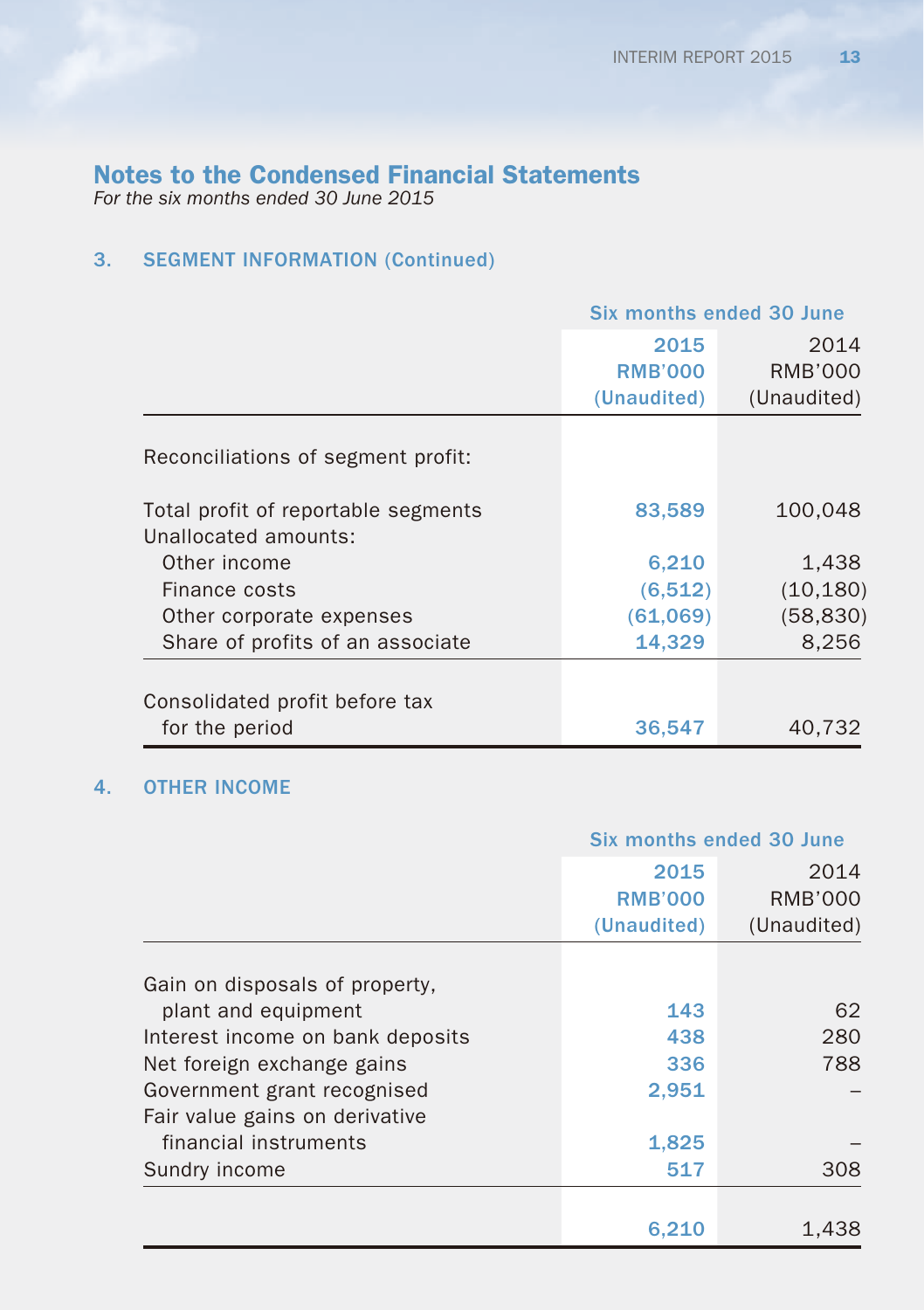*For the six months ended 30 June 2015*

## 3. SEGMENT INFORMATION (Continued)

|                                     | Six months ended 30 June |             |
|-------------------------------------|--------------------------|-------------|
|                                     | 2015                     | 2014        |
|                                     | <b>RMB'000</b>           | RMB'000     |
|                                     | (Unaudited)              | (Unaudited) |
|                                     |                          |             |
| Reconciliations of segment profit:  |                          |             |
| Total profit of reportable segments | 83,589                   | 100,048     |
| Unallocated amounts:                |                          |             |
| Other income                        | 6,210                    | 1,438       |
| Finance costs                       | (6,512)                  | (10, 180)   |
| Other corporate expenses            | (61,069)                 | (58, 830)   |
| Share of profits of an associate    | 14,329                   | 8,256       |
|                                     |                          |             |
| Consolidated profit before tax      |                          |             |
| for the period                      | 36,547                   | 40,732      |

## 4. OTHER INCOME

|                                  |                                       | Six months ended 30 June              |  |
|----------------------------------|---------------------------------------|---------------------------------------|--|
|                                  | 2015<br><b>RMB'000</b><br>(Unaudited) | 2014<br><b>RMB'000</b><br>(Unaudited) |  |
| Gain on disposals of property,   |                                       |                                       |  |
| plant and equipment              | 143                                   | 62                                    |  |
| Interest income on bank deposits | 438                                   | 280                                   |  |
| Net foreign exchange gains       | 336                                   | 788                                   |  |
| Government grant recognised      | 2,951                                 |                                       |  |
| Fair value gains on derivative   |                                       |                                       |  |
| financial instruments            | 1,825                                 |                                       |  |
| Sundry income                    | 517                                   | 308                                   |  |
|                                  |                                       |                                       |  |
|                                  | 6.210                                 | 1,438                                 |  |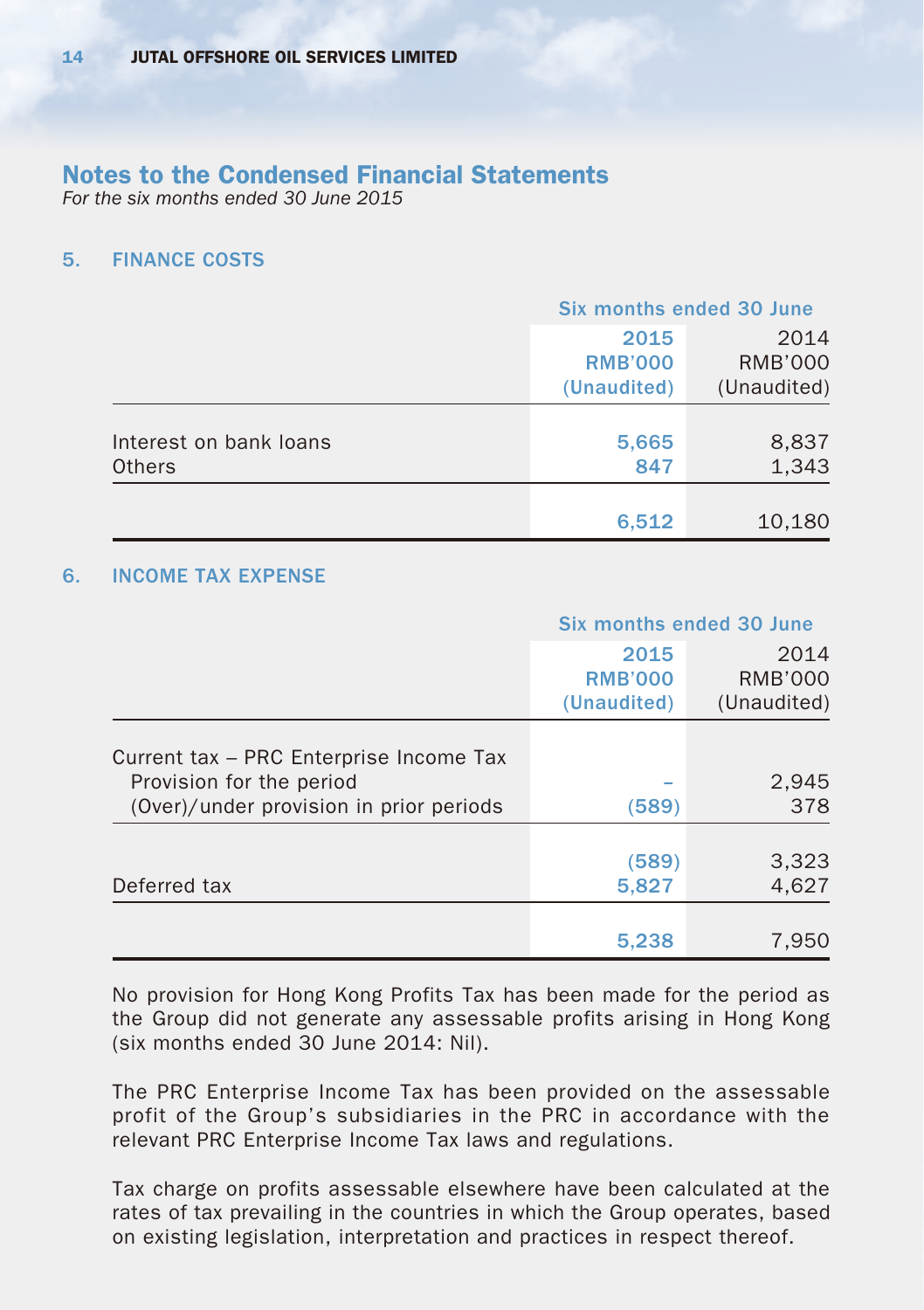*For the six months ended 30 June 2015*

#### 5. FINANCE COSTS

|                                         | <b>Six months ended 30 June</b>       |                                       |
|-----------------------------------------|---------------------------------------|---------------------------------------|
|                                         | 2015<br><b>RMB'000</b><br>(Unaudited) | 2014<br><b>RMB'000</b><br>(Unaudited) |
|                                         |                                       |                                       |
| Interest on bank loans<br><b>Others</b> | 5,665<br>847                          | 8,837<br>1,343                        |
|                                         |                                       |                                       |
|                                         | 6,512                                 | 10,180                                |

### 6. INCOME TAX EXPENSE

|                                                                                                                | Six months ended 30 June              |                                |
|----------------------------------------------------------------------------------------------------------------|---------------------------------------|--------------------------------|
|                                                                                                                | 2015<br><b>RMB'000</b><br>(Unaudited) | 2014<br>RMB'000<br>(Unaudited) |
| Current tax - PRC Enterprise Income Tax<br>Provision for the period<br>(Over)/under provision in prior periods | (589)                                 | 2,945<br>378                   |
| Deferred tax                                                                                                   | (589)<br>5,827                        | 3,323<br>4,627                 |
|                                                                                                                | 5,238                                 | 7,950                          |

No provision for Hong Kong Profits Tax has been made for the period as the Group did not generate any assessable profits arising in Hong Kong (six months ended 30 June 2014: Nil).

The PRC Enterprise Income Tax has been provided on the assessable profit of the Group's subsidiaries in the PRC in accordance with the relevant PRC Enterprise Income Tax laws and regulations.

Tax charge on profits assessable elsewhere have been calculated at the rates of tax prevailing in the countries in which the Group operates, based on existing legislation, interpretation and practices in respect thereof.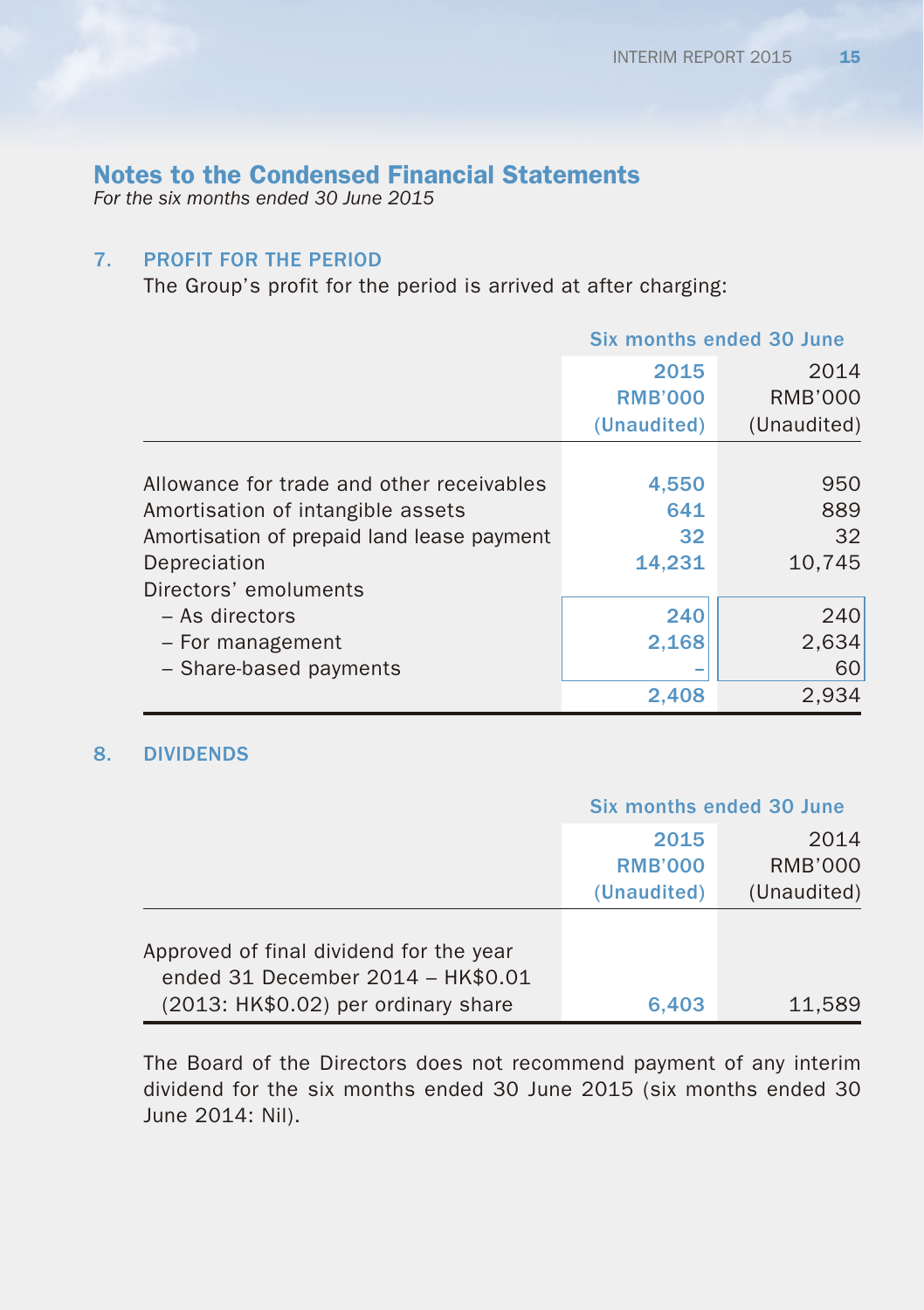*For the six months ended 30 June 2015*

## 7. PROFIT FOR THE PERIOD

The Group's profit for the period is arrived at after charging:

|                                            | Six months ended 30 June |             |
|--------------------------------------------|--------------------------|-------------|
|                                            | 2015                     | 2014        |
|                                            | <b>RMB'000</b>           | RMB'000     |
|                                            | (Unaudited)              | (Unaudited) |
|                                            |                          |             |
| Allowance for trade and other receivables  | 4,550                    | 950         |
| Amortisation of intangible assets          | 641                      | 889         |
| Amortisation of prepaid land lease payment | 32                       | 32          |
| Depreciation                               | 14,231                   | 10,745      |
| Directors' emoluments                      |                          |             |
| $-$ As directors                           | 240                      | 240         |
| - For management                           | 2,168                    | 2,634       |
| - Share-based payments                     |                          | 60          |
|                                            | 2,408                    | 2,934       |

### 8. DIVIDENDS

|                                         | <b>Six months ended 30 June</b> |                |  |
|-----------------------------------------|---------------------------------|----------------|--|
|                                         | 2015                            | 2014           |  |
|                                         | <b>RMB'000</b>                  | <b>RMB'000</b> |  |
|                                         | (Unaudited)                     | (Unaudited)    |  |
|                                         |                                 |                |  |
| Approved of final dividend for the year |                                 |                |  |
| ended 31 December 2014 - HK\$0.01       |                                 |                |  |
| (2013: HK\$0.02) per ordinary share     | 6.403                           | 11.589         |  |

The Board of the Directors does not recommend payment of any interim dividend for the six months ended 30 June 2015 (six months ended 30 June 2014: Nil).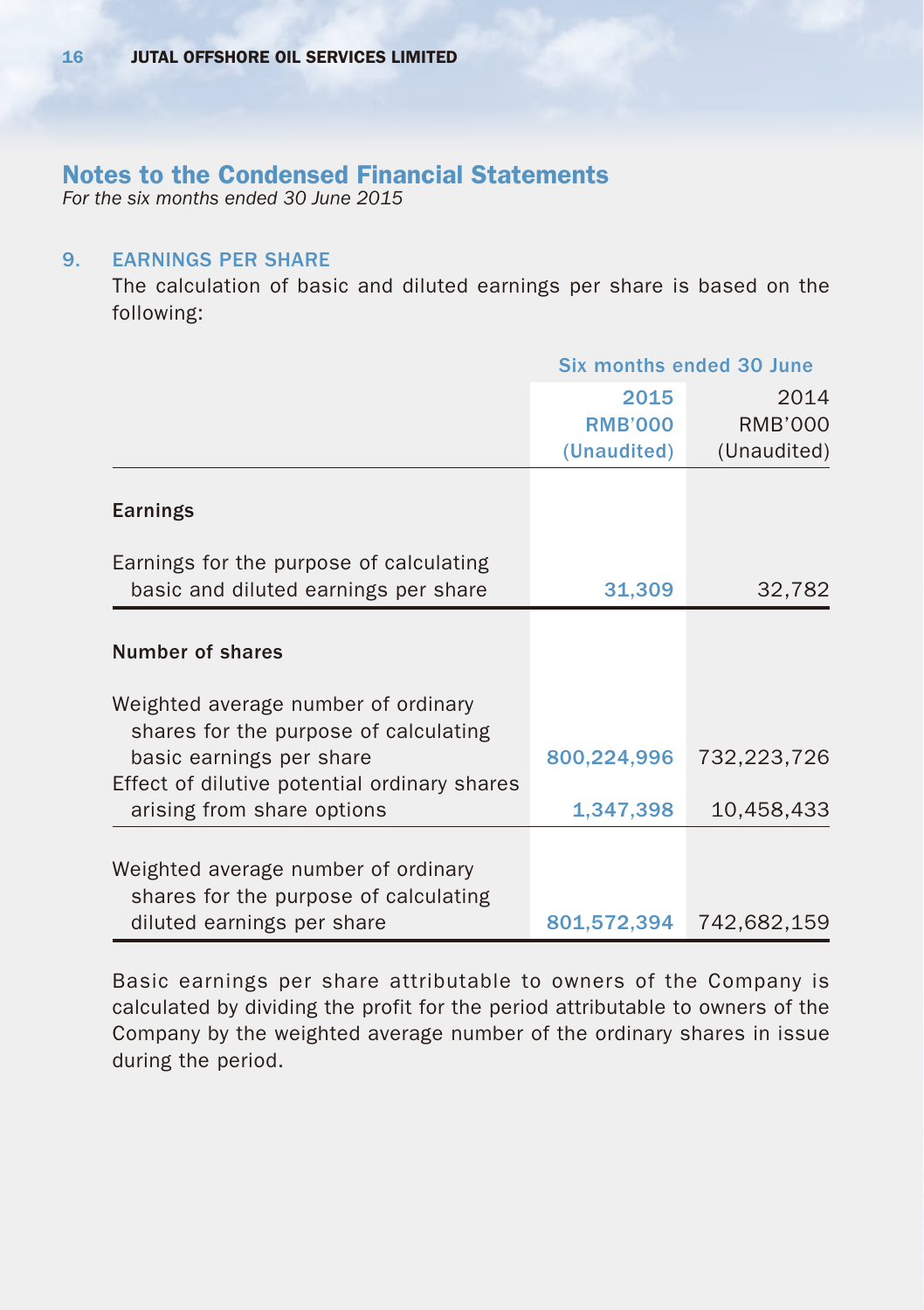*For the six months ended 30 June 2015*

#### 9. EARNINGS PER SHARE

The calculation of basic and diluted earnings per share is based on the following:

|                                                                              | Six months ended 30 June |             |  |  |
|------------------------------------------------------------------------------|--------------------------|-------------|--|--|
|                                                                              | 2015                     | 2014        |  |  |
|                                                                              | <b>RMB'000</b>           | RMB'000     |  |  |
|                                                                              | (Unaudited)              | (Unaudited) |  |  |
| Earnings                                                                     |                          |             |  |  |
| Earnings for the purpose of calculating                                      |                          |             |  |  |
| basic and diluted earnings per share                                         | 31,309                   | 32,782      |  |  |
|                                                                              |                          |             |  |  |
| Number of shares                                                             |                          |             |  |  |
| Weighted average number of ordinary<br>shares for the purpose of calculating |                          |             |  |  |
| basic earnings per share<br>Effect of dilutive potential ordinary shares     | 800,224,996              | 732,223,726 |  |  |
| arising from share options                                                   | 1,347,398                | 10,458,433  |  |  |
| Weighted average number of ordinary<br>shares for the purpose of calculating |                          |             |  |  |
| diluted earnings per share                                                   | 801,572,394              | 742,682,159 |  |  |

Basic earnings per share attributable to owners of the Company is calculated by dividing the profit for the period attributable to owners of the Company by the weighted average number of the ordinary shares in issue during the period.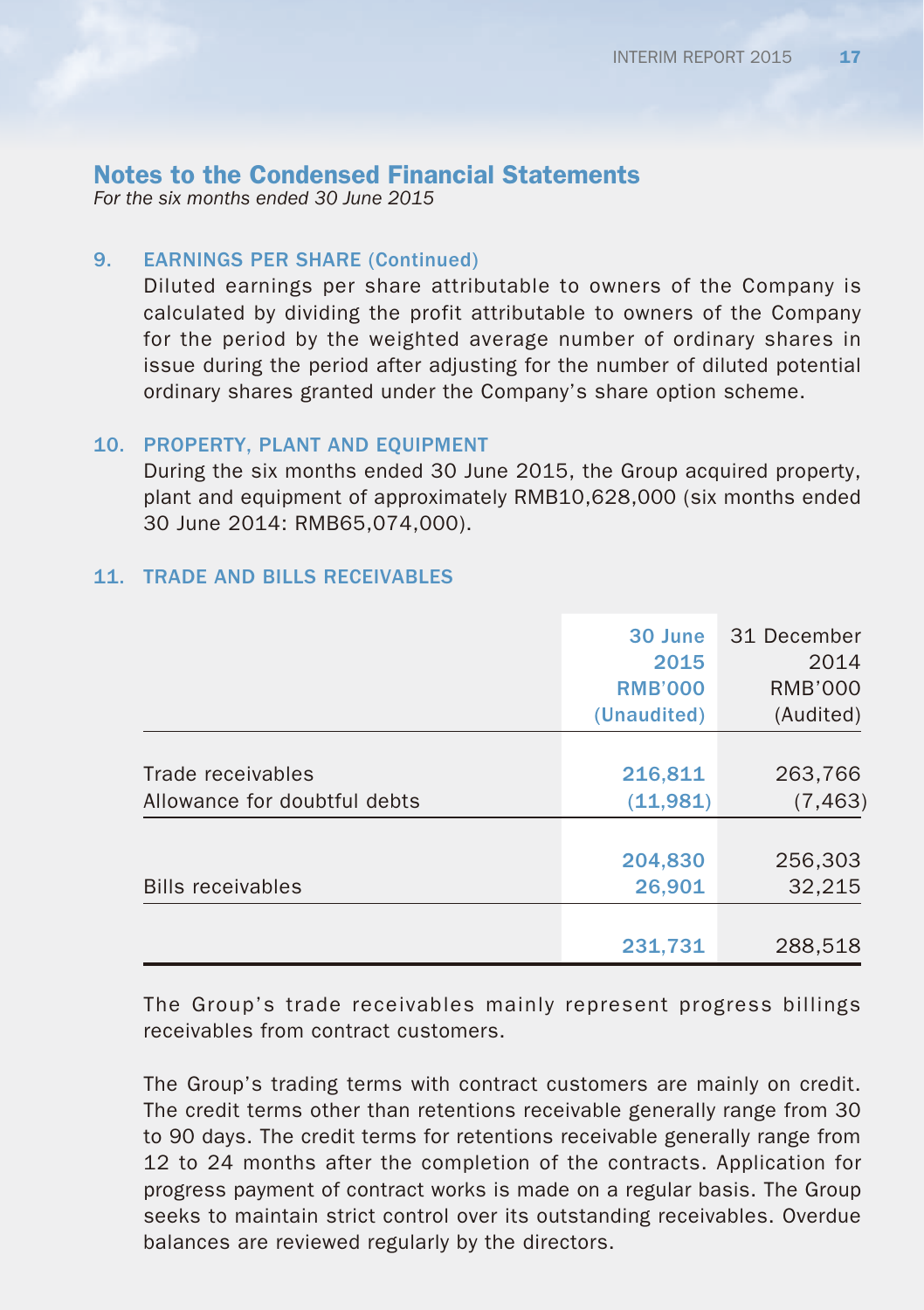*For the six months ended 30 June 2015*

## 9. EARNINGS PER SHARE (Continued)

Diluted earnings per share attributable to owners of the Company is calculated by dividing the profit attributable to owners of the Company for the period by the weighted average number of ordinary shares in issue during the period after adjusting for the number of diluted potential ordinary shares granted under the Company's share option scheme.

### 10. PROPERTY, PLANT AND EQUIPMENT

During the six months ended 30 June 2015, the Group acquired property, plant and equipment of approximately RMB10,628,000 (six months ended 30 June 2014: RMB65,074,000).

## 11. TRADE AND BILLS RECEIVABLES

|                              | 30 June        | 31 December |
|------------------------------|----------------|-------------|
|                              | 2015           | 2014        |
|                              | <b>RMB'000</b> | RMB'000     |
|                              | (Unaudited)    | (Audited)   |
|                              |                |             |
| Trade receivables            | 216,811        | 263,766     |
| Allowance for doubtful debts | (11,981)       | (7, 463)    |
|                              |                |             |
|                              | 204,830        | 256,303     |
| <b>Bills receivables</b>     | 26,901         | 32,215      |
|                              |                |             |
|                              | 231,731        | 288,518     |

The Group's trade receivables mainly represent progress billings receivables from contract customers.

The Group's trading terms with contract customers are mainly on credit. The credit terms other than retentions receivable generally range from 30 to 90 days. The credit terms for retentions receivable generally range from 12 to 24 months after the completion of the contracts. Application for progress payment of contract works is made on a regular basis. The Group seeks to maintain strict control over its outstanding receivables. Overdue balances are reviewed regularly by the directors.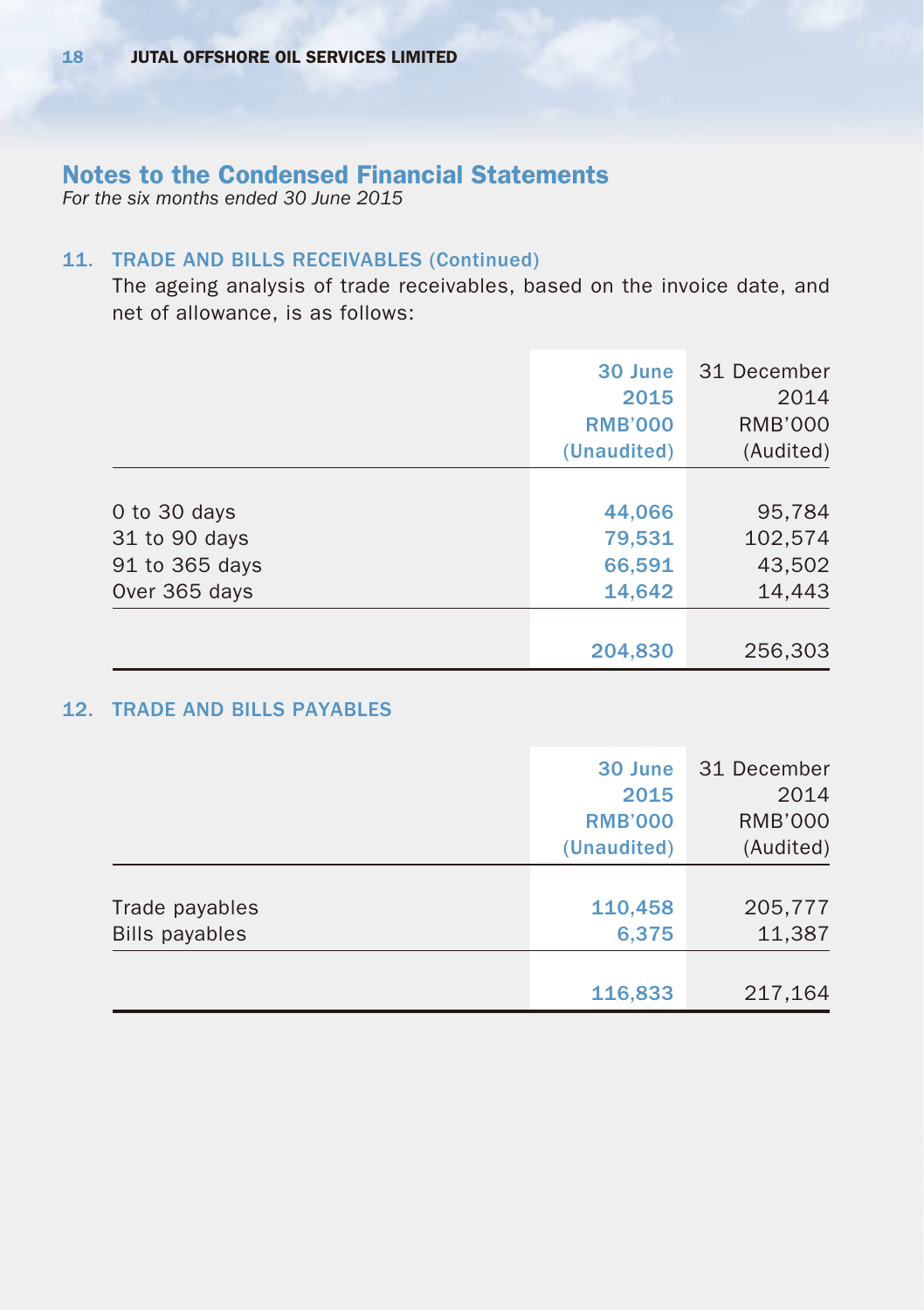*For the six months ended 30 June 2015*

## 11. TRADE AND BILLS RECEIVABLES (Continued)

The ageing analysis of trade receivables, based on the invoice date, and net of allowance, is as follows:

|                | 30 June        | 31 December    |
|----------------|----------------|----------------|
|                | 2015           | 2014           |
|                | <b>RMB'000</b> | <b>RMB'000</b> |
|                | (Unaudited)    | (Audited)      |
|                |                |                |
| 0 to 30 days   | 44,066         | 95,784         |
| 31 to 90 days  | 79,531         | 102,574        |
| 91 to 365 days | 66,591         | 43,502         |
| Over 365 days  | 14,642         | 14,443         |
|                |                |                |
|                | 204,830        | 256,303        |

## 12. TRADE AND BILLS PAYABLES

|                       | 30 June        | 31 December    |
|-----------------------|----------------|----------------|
|                       | 2015           | 2014           |
|                       | <b>RMB'000</b> | <b>RMB'000</b> |
|                       | (Unaudited)    | (Audited)      |
|                       |                |                |
| Trade payables        | 110,458        | 205,777        |
| <b>Bills payables</b> | 6,375          | 11,387         |
|                       |                |                |
|                       | 116,833        | 217,164        |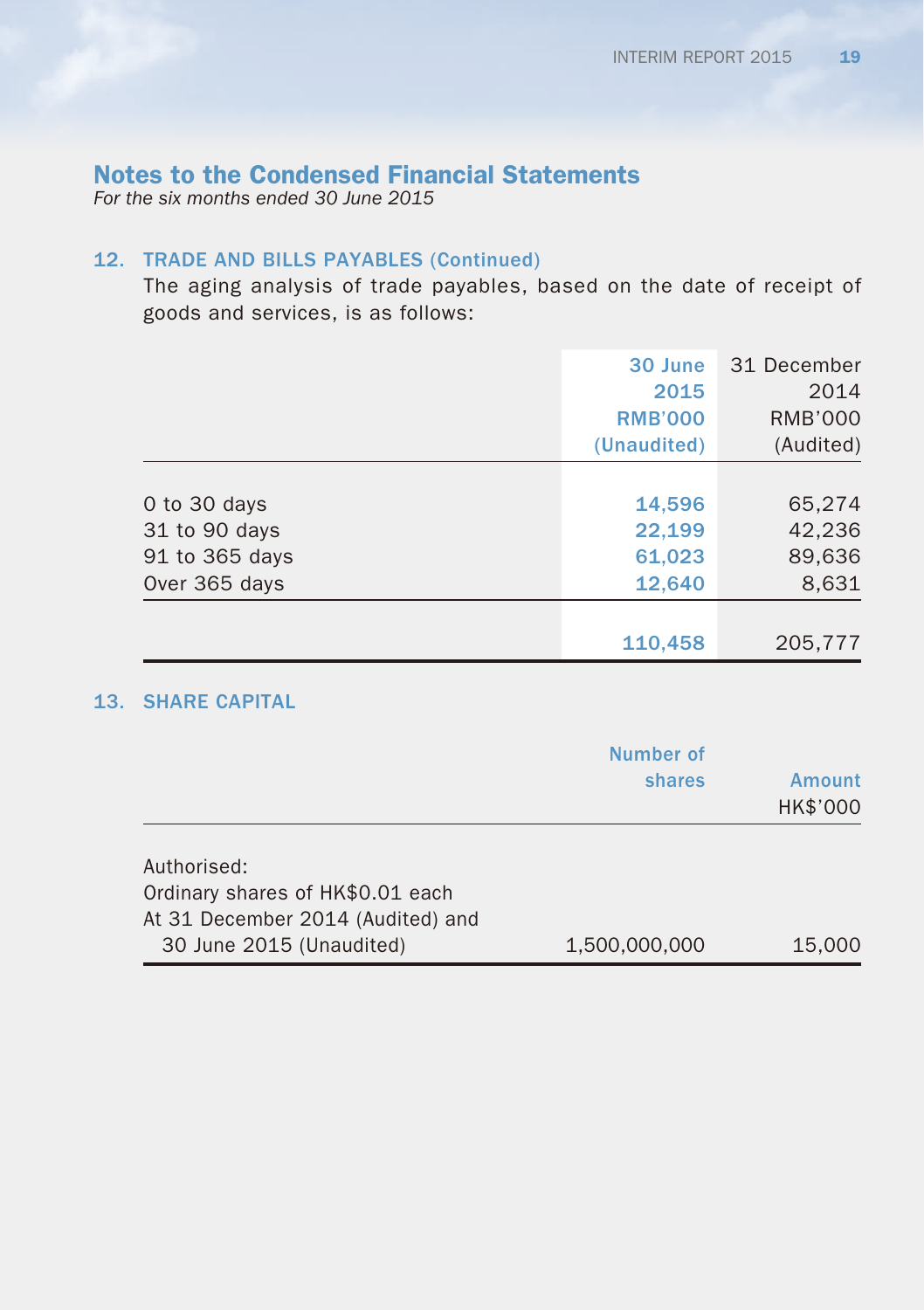*For the six months ended 30 June 2015*

## 12. TRADE AND BILLS PAYABLES (Continued)

The aging analysis of trade payables, based on the date of receipt of goods and services, is as follows:

|                | 30 June        | 31 December    |
|----------------|----------------|----------------|
|                | 2015           | 2014           |
|                | <b>RMB'000</b> | <b>RMB'000</b> |
|                | (Unaudited)    | (Audited)      |
|                |                |                |
| 0 to 30 days   | 14,596         | 65,274         |
| 31 to 90 days  | 22,199         | 42,236         |
| 91 to 365 days | 61,023         | 89,636         |
| Over 365 days  | 12,640         | 8,631          |
|                |                |                |
|                | 110,458        | 205,777        |

## 13. SHARE CAPITAL

|                                                                                                                  | Number of<br>shares | <b>Amount</b><br>HK\$'000 |
|------------------------------------------------------------------------------------------------------------------|---------------------|---------------------------|
| Authorised:<br>Ordinary shares of HK\$0.01 each<br>At 31 December 2014 (Audited) and<br>30 June 2015 (Unaudited) | 1,500,000,000       | 15,000                    |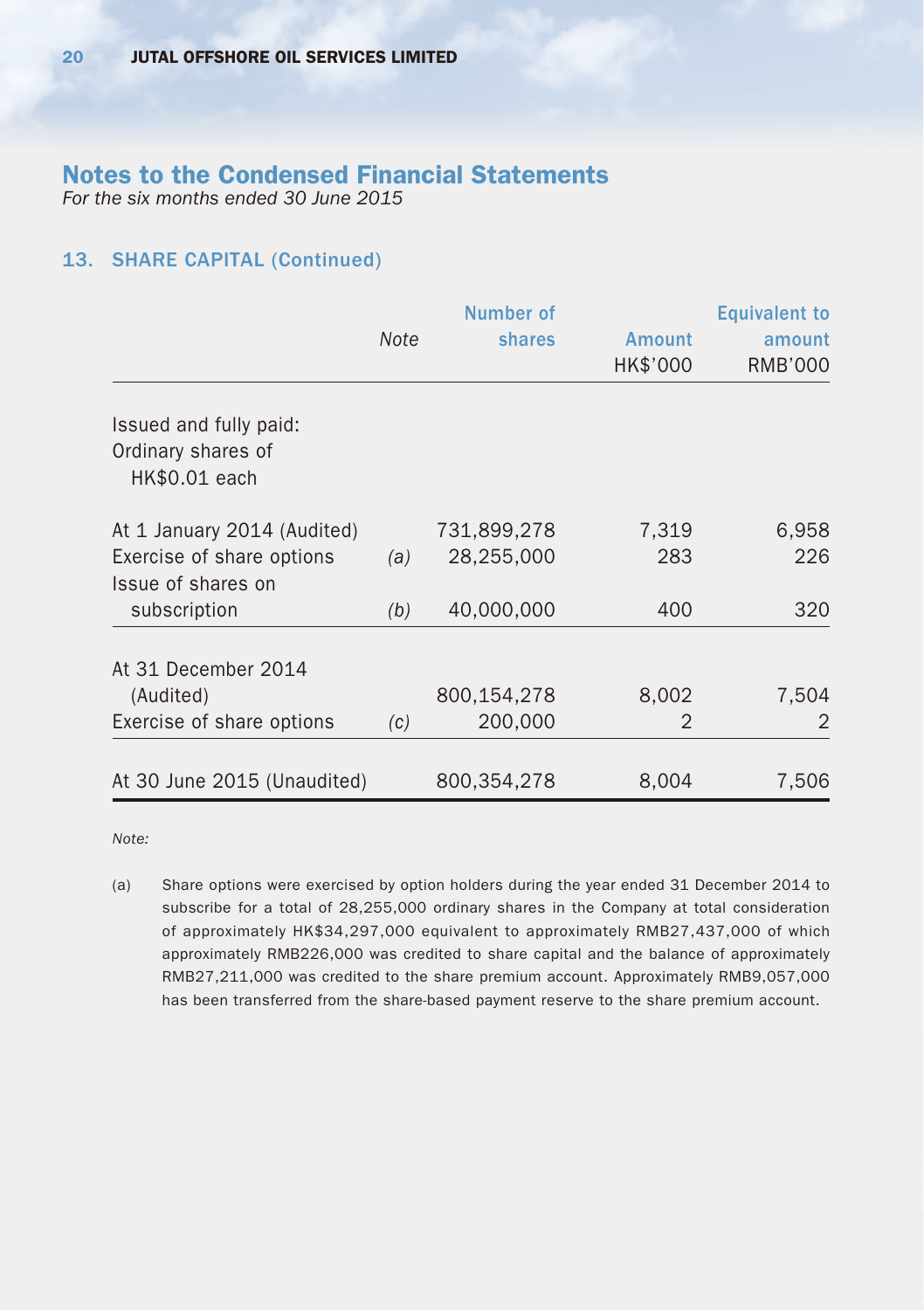*For the six months ended 30 June 2015*

## 13. SHARE CAPITAL (Continued)

|                                                               |      | Number of   |          | <b>Equivalent to</b> |
|---------------------------------------------------------------|------|-------------|----------|----------------------|
|                                                               | Note | shares      | Amount   | amount               |
|                                                               |      |             | HK\$'000 | <b>RMB'000</b>       |
| Issued and fully paid:<br>Ordinary shares of<br>HK\$0.01 each |      |             |          |                      |
| At 1 January 2014 (Audited)                                   |      | 731,899,278 | 7,319    | 6,958                |
| Exercise of share options                                     | (a)  | 28,255,000  | 283      | 226                  |
| Issue of shares on<br>subscription                            | (b)  | 40,000,000  | 400      | 320                  |
| At 31 December 2014                                           |      |             |          |                      |
| (Audited)                                                     |      | 800,154,278 | 8,002    | 7,504                |
| Exercise of share options                                     | (c)  | 200,000     | 2        | 2                    |
| At 30 June 2015 (Unaudited)                                   |      | 800.354.278 | 8.004    | 7.506                |

*Note:*

(a) Share options were exercised by option holders during the year ended 31 December 2014 to subscribe for a total of 28,255,000 ordinary shares in the Company at total consideration of approximately HK\$34,297,000 equivalent to approximately RMB27,437,000 of which approximately RMB226,000 was credited to share capital and the balance of approximately RMB27,211,000 was credited to the share premium account. Approximately RMB9,057,000 has been transferred from the share-based payment reserve to the share premium account.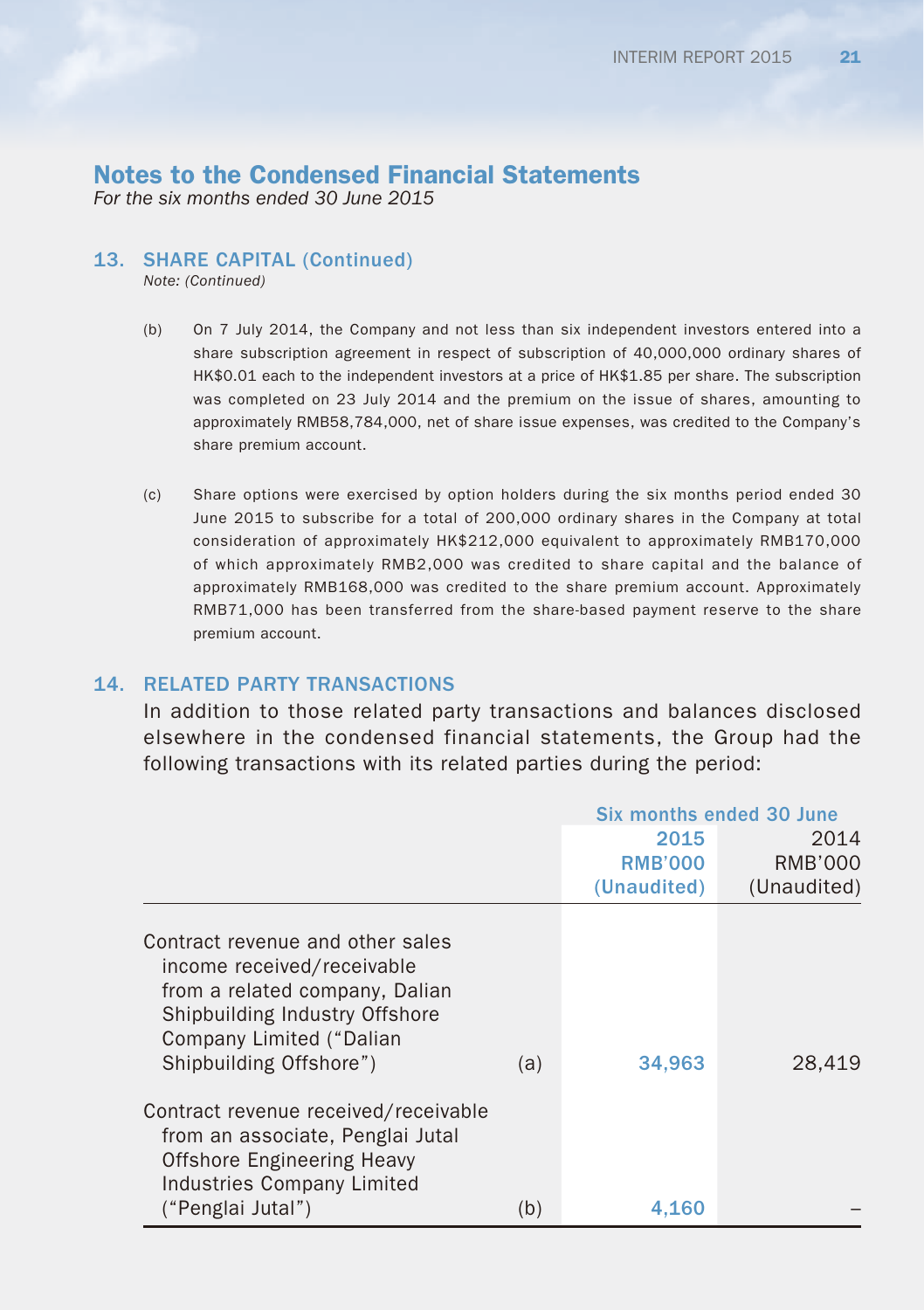*For the six months ended 30 June 2015*

#### 13. SHARE CAPITAL (Continued)

*Note: (Continued)*

- (b) On 7 July 2014, the Company and not less than six independent investors entered into a share subscription agreement in respect of subscription of 40,000,000 ordinary shares of HK\$0.01 each to the independent investors at a price of HK\$1.85 per share. The subscription was completed on 23 July 2014 and the premium on the issue of shares, amounting to approximately RMB58,784,000, net of share issue expenses, was credited to the Company's share premium account.
- (c) Share options were exercised by option holders during the six months period ended 30 June 2015 to subscribe for a total of 200,000 ordinary shares in the Company at total consideration of approximately HK\$212,000 equivalent to approximately RMB170,000 of which approximately RMB2,000 was credited to share capital and the balance of approximately RMB168,000 was credited to the share premium account. Approximately RMB71,000 has been transferred from the share-based payment reserve to the share premium account.

#### 14. RELATED PARTY TRANSACTIONS

In addition to those related party transactions and balances disclosed elsewhere in the condensed financial statements, the Group had the following transactions with its related parties during the period:

|                                                                                                                                                                                           |     | Six months ended 30 June |                |  |
|-------------------------------------------------------------------------------------------------------------------------------------------------------------------------------------------|-----|--------------------------|----------------|--|
|                                                                                                                                                                                           |     | 2015                     | 2014           |  |
|                                                                                                                                                                                           |     | <b>RMB'000</b>           | <b>RMB'000</b> |  |
|                                                                                                                                                                                           |     | (Unaudited)              | (Unaudited)    |  |
| Contract revenue and other sales<br>income received/receivable<br>from a related company, Dalian<br>Shipbuilding Industry Offshore<br>Company Limited ("Dalian<br>Shipbuilding Offshore") | (a) | 34,963                   | 28,419         |  |
| Contract revenue received/receivable<br>from an associate, Penglai Jutal<br><b>Offshore Engineering Heavy</b><br><b>Industries Company Limited</b>                                        |     |                          |                |  |
| ("Penglai Jutal")                                                                                                                                                                         | (b) | 4.160                    |                |  |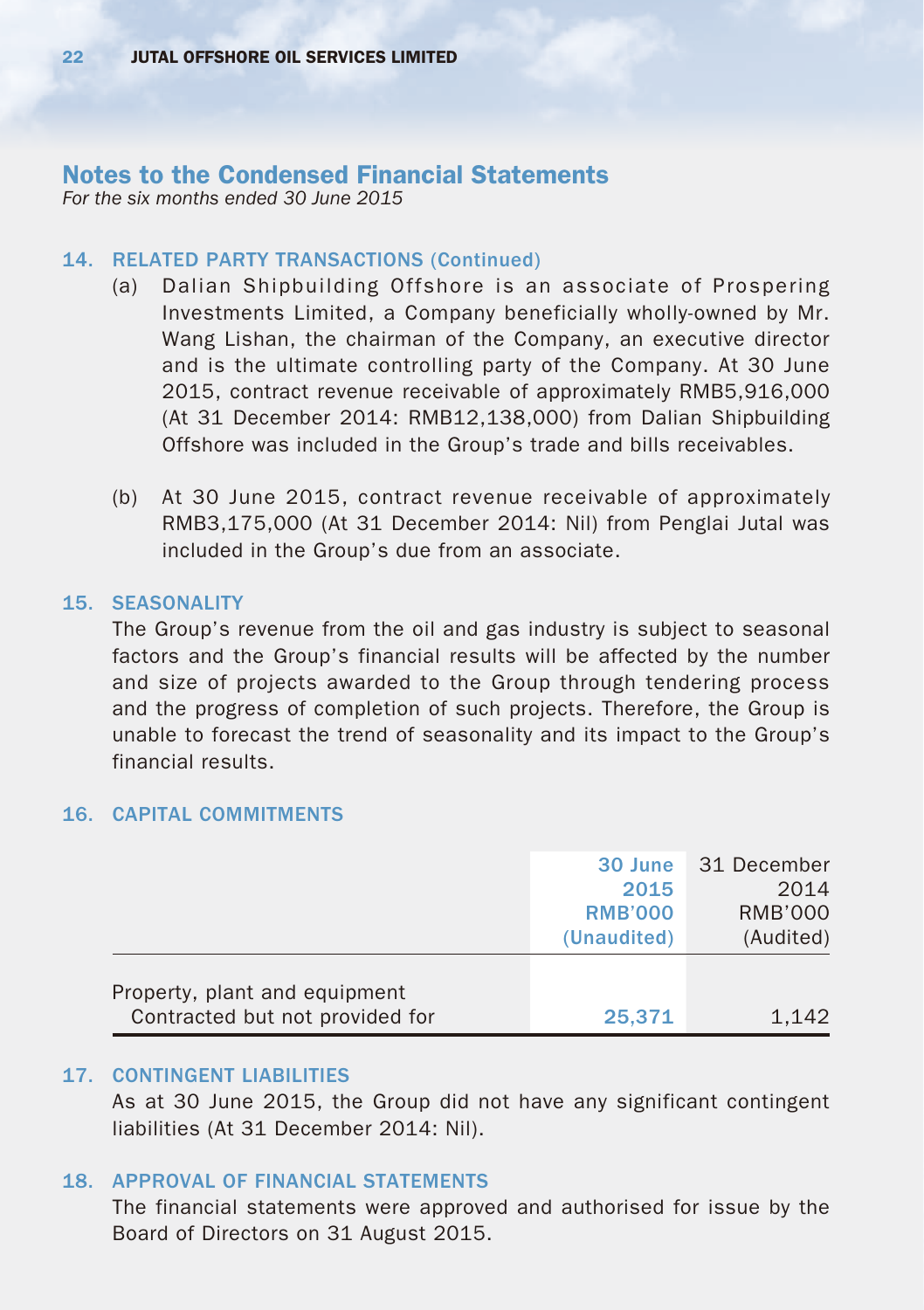#### Notes to the Condensed Financial Statements *For the six months ended 30 June 2015*

## 14. RELATED PARTY TRANSACTIONS (Continued)

- (a) Dalian Shipbuilding Offshore is an associate of Prospering Investments Limited, a Company beneficially wholly-owned by Mr. Wang Lishan, the chairman of the Company, an executive director and is the ultimate controlling party of the Company. At 30 June 2015, contract revenue receivable of approximately RMB5,916,000 (At 31 December 2014: RMB12,138,000) from Dalian Shipbuilding Offshore was included in the Group's trade and bills receivables.
- (b) At 30 June 2015, contract revenue receivable of approximately RMB3,175,000 (At 31 December 2014: Nil) from Penglai Jutal was included in the Group's due from an associate.

#### 15. SEASONALITY

The Group's revenue from the oil and gas industry is subject to seasonal factors and the Group's financial results will be affected by the number and size of projects awarded to the Group through tendering process and the progress of completion of such projects. Therefore, the Group is unable to forecast the trend of seasonality and its impact to the Group's financial results.

#### 16. CAPITAL COMMITMENTS

|                                                                  | 30 June<br>2015<br><b>RMB'000</b><br>(Unaudited) | 31 December<br>2014<br>RMB'000<br>(Audited) |
|------------------------------------------------------------------|--------------------------------------------------|---------------------------------------------|
| Property, plant and equipment<br>Contracted but not provided for | 25,371                                           | 1.142                                       |

#### 17. CONTINGENT LIABILITIES

As at 30 June 2015, the Group did not have any significant contingent liabilities (At 31 December 2014: Nil).

#### 18. APPROVAL OF FINANCIAL STATEMENTS

The financial statements were approved and authorised for issue by the Board of Directors on 31 August 2015.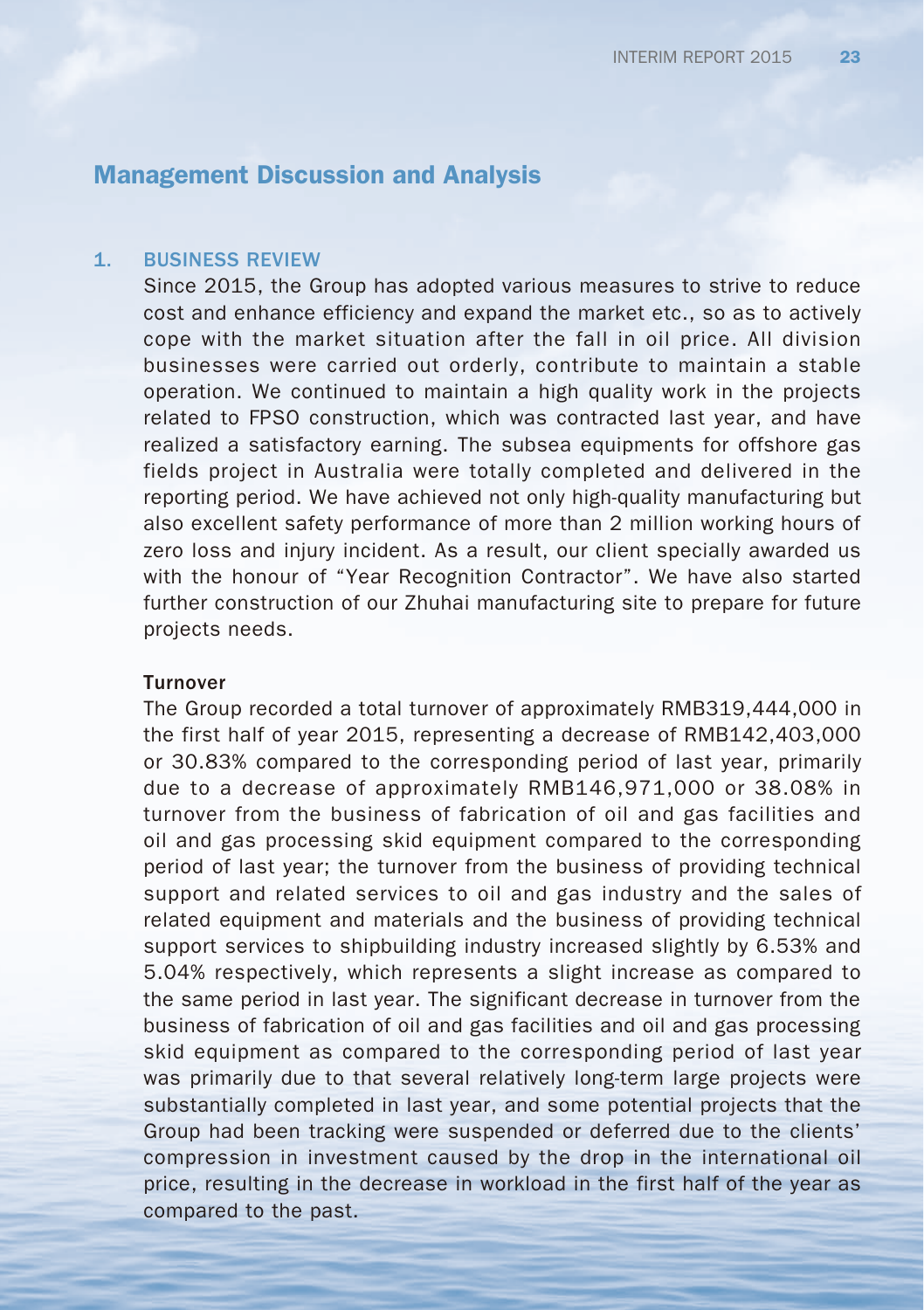#### 1. BUSINESS REVIEW

Since 2015, the Group has adopted various measures to strive to reduce cost and enhance efficiency and expand the market etc., so as to actively cope with the market situation after the fall in oil price. All division businesses were carried out orderly, contribute to maintain a stable operation. We continued to maintain a high quality work in the projects related to FPSO construction, which was contracted last year, and have realized a satisfactory earning. The subsea equipments for offshore gas fields project in Australia were totally completed and delivered in the reporting period. We have achieved not only high-quality manufacturing but also excellent safety performance of more than 2 million working hours of zero loss and injury incident. As a result, our client specially awarded us with the honour of "Year Recognition Contractor". We have also started further construction of our Zhuhai manufacturing site to prepare for future projects needs.

### Turnover

The Group recorded a total turnover of approximately RMB319,444,000 in the first half of year 2015, representing a decrease of RMB142,403,000 or 30.83% compared to the corresponding period of last year, primarily due to a decrease of approximately RMB146,971,000 or 38.08% in turnover from the business of fabrication of oil and gas facilities and oil and gas processing skid equipment compared to the corresponding period of last year; the turnover from the business of providing technical support and related services to oil and gas industry and the sales of related equipment and materials and the business of providing technical support services to shipbuilding industry increased slightly by 6.53% and 5.04% respectively, which represents a slight increase as compared to the same period in last year. The significant decrease in turnover from the business of fabrication of oil and gas facilities and oil and gas processing skid equipment as compared to the corresponding period of last year was primarily due to that several relatively long-term large projects were substantially completed in last year, and some potential projects that the Group had been tracking were suspended or deferred due to the clients' compression in investment caused by the drop in the international oil price, resulting in the decrease in workload in the first half of the year as compared to the past.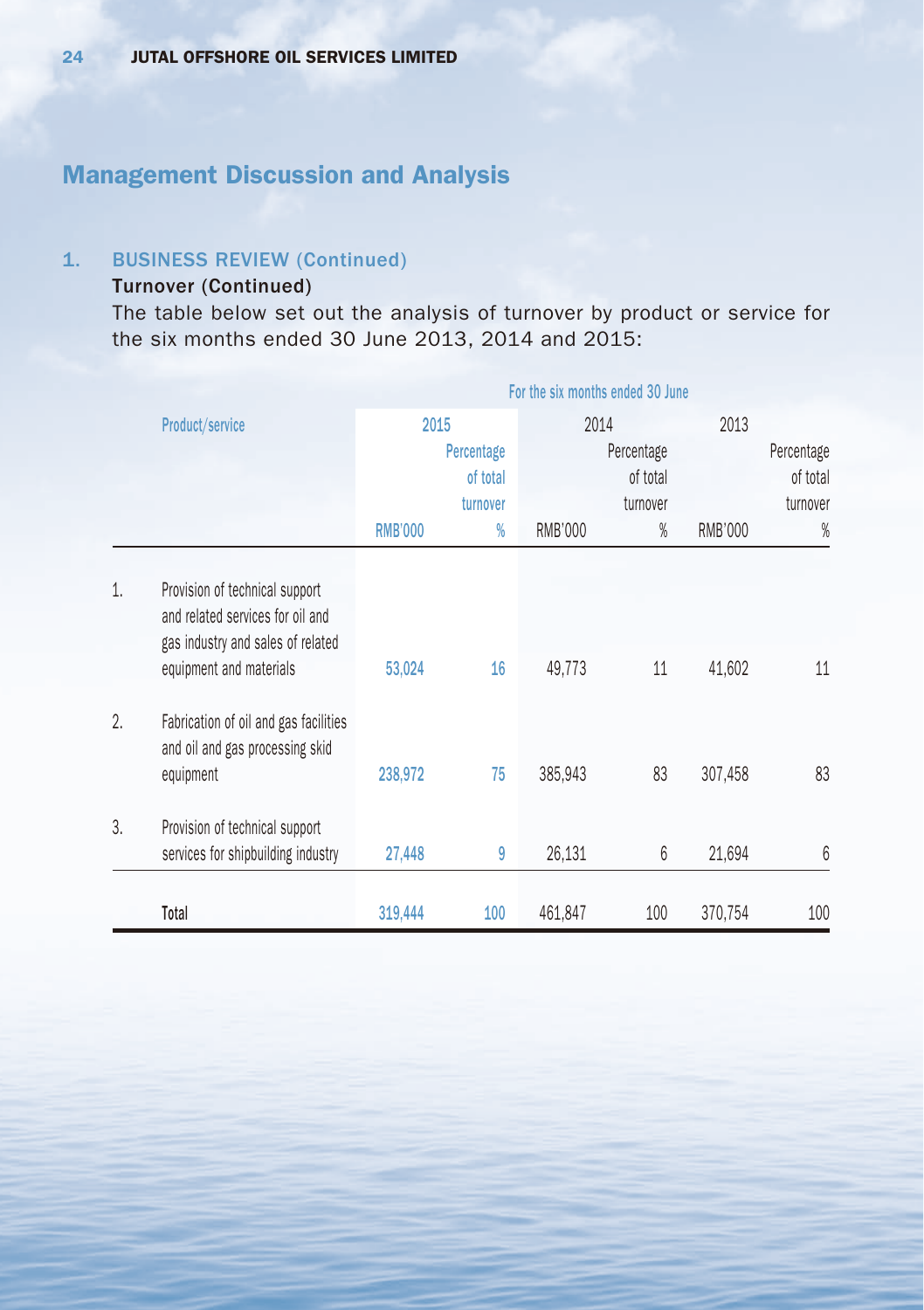## 1. BUSINESS REVIEW (Continued)

## Turnover (Continued)

The table below set out the analysis of turnover by product or service for the six months ended 30 June 2013, 2014 and 2015:

|    |                                                                                                                                    |                | For the six months ended 30 June |                |                        |                |                        |  |
|----|------------------------------------------------------------------------------------------------------------------------------------|----------------|----------------------------------|----------------|------------------------|----------------|------------------------|--|
|    | Product/service                                                                                                                    | 2015           |                                  | 2013<br>2014   |                        |                |                        |  |
|    |                                                                                                                                    |                | Percentage<br>of total           |                | Percentage<br>of total |                | Percentage<br>of total |  |
|    |                                                                                                                                    |                | turnover                         |                | turnover               |                | turnover               |  |
|    |                                                                                                                                    | <b>RMB'000</b> | $\%$                             | <b>RMB'000</b> | $\%$                   | <b>RMB'000</b> | %                      |  |
| 1. | Provision of technical support<br>and related services for oil and<br>gas industry and sales of related<br>equipment and materials | 53,024         | 16                               | 49,773         | 11                     | 41,602         | 11                     |  |
| 2. | Fabrication of oil and gas facilities<br>and oil and gas processing skid<br>equipment                                              | 238,972        | 75                               | 385,943        | 83                     | 307,458        | 83                     |  |
| 3. | Provision of technical support<br>services for shipbuilding industry                                                               | 27,448         | 9                                | 26,131         | 6                      | 21,694         | 6                      |  |
|    | Total                                                                                                                              | 319,444        | 100                              | 461,847        | 100                    | 370.754        | 100                    |  |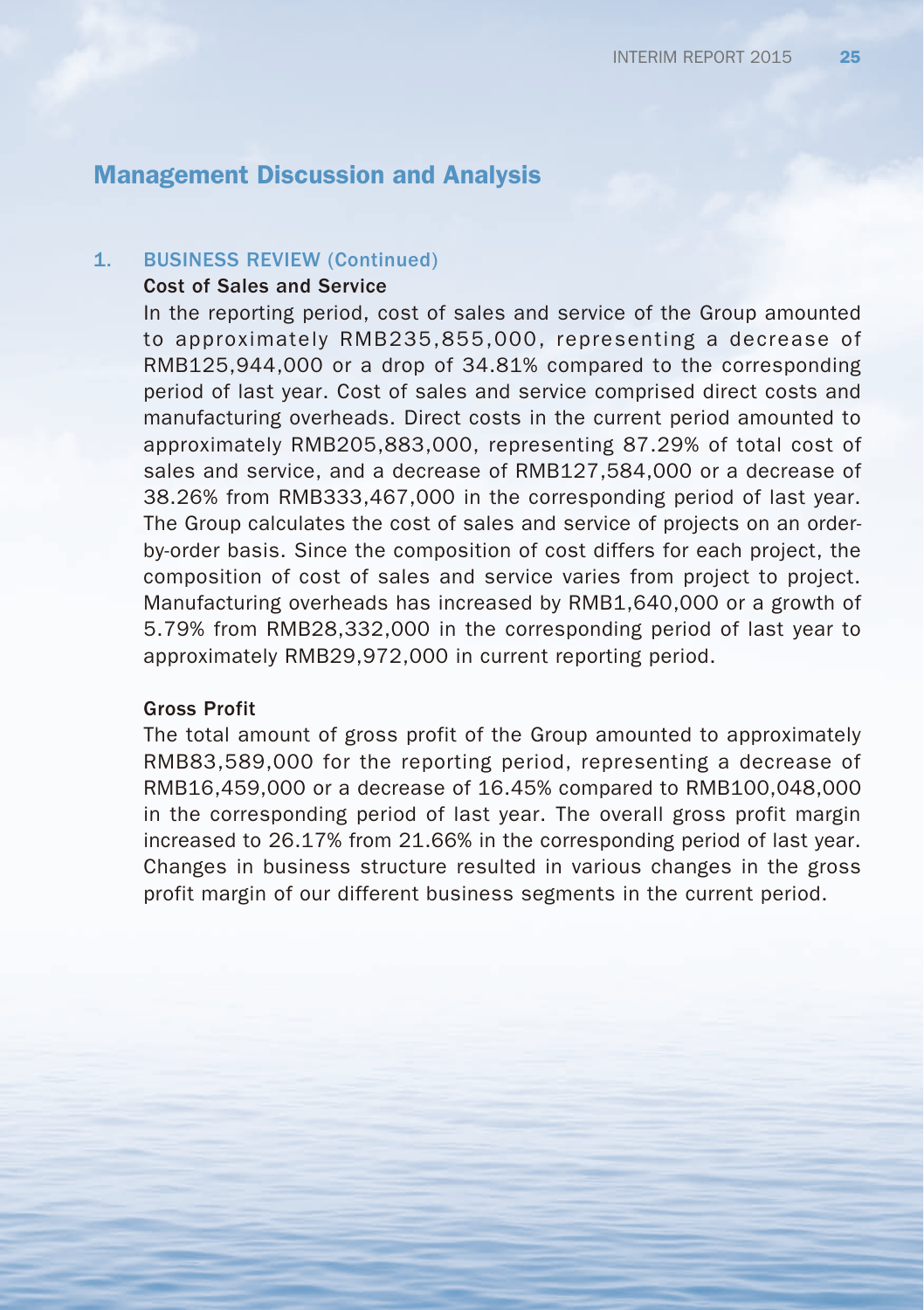### 1. BUSINESS REVIEW (Continued)

#### Cost of Sales and Service

In the reporting period, cost of sales and service of the Group amounted to approximately RMB235,855,000, representing a decrease of RMB125,944,000 or a drop of 34.81% compared to the corresponding period of last year. Cost of sales and service comprised direct costs and manufacturing overheads. Direct costs in the current period amounted to approximately RMB205,883,000, representing 87.29% of total cost of sales and service, and a decrease of RMB127,584,000 or a decrease of 38.26% from RMB333,467,000 in the corresponding period of last year. The Group calculates the cost of sales and service of projects on an orderby-order basis. Since the composition of cost differs for each project, the composition of cost of sales and service varies from project to project. Manufacturing overheads has increased by RMB1,640,000 or a growth of 5.79% from RMB28,332,000 in the corresponding period of last year to approximately RMB29,972,000 in current reporting period.

#### Gross Profit

The total amount of gross profit of the Group amounted to approximately RMB83,589,000 for the reporting period, representing a decrease of RMB16,459,000 or a decrease of 16.45% compared to RMB100,048,000 in the corresponding period of last year. The overall gross profit margin increased to 26.17% from 21.66% in the corresponding period of last year. Changes in business structure resulted in various changes in the gross profit margin of our different business segments in the current period.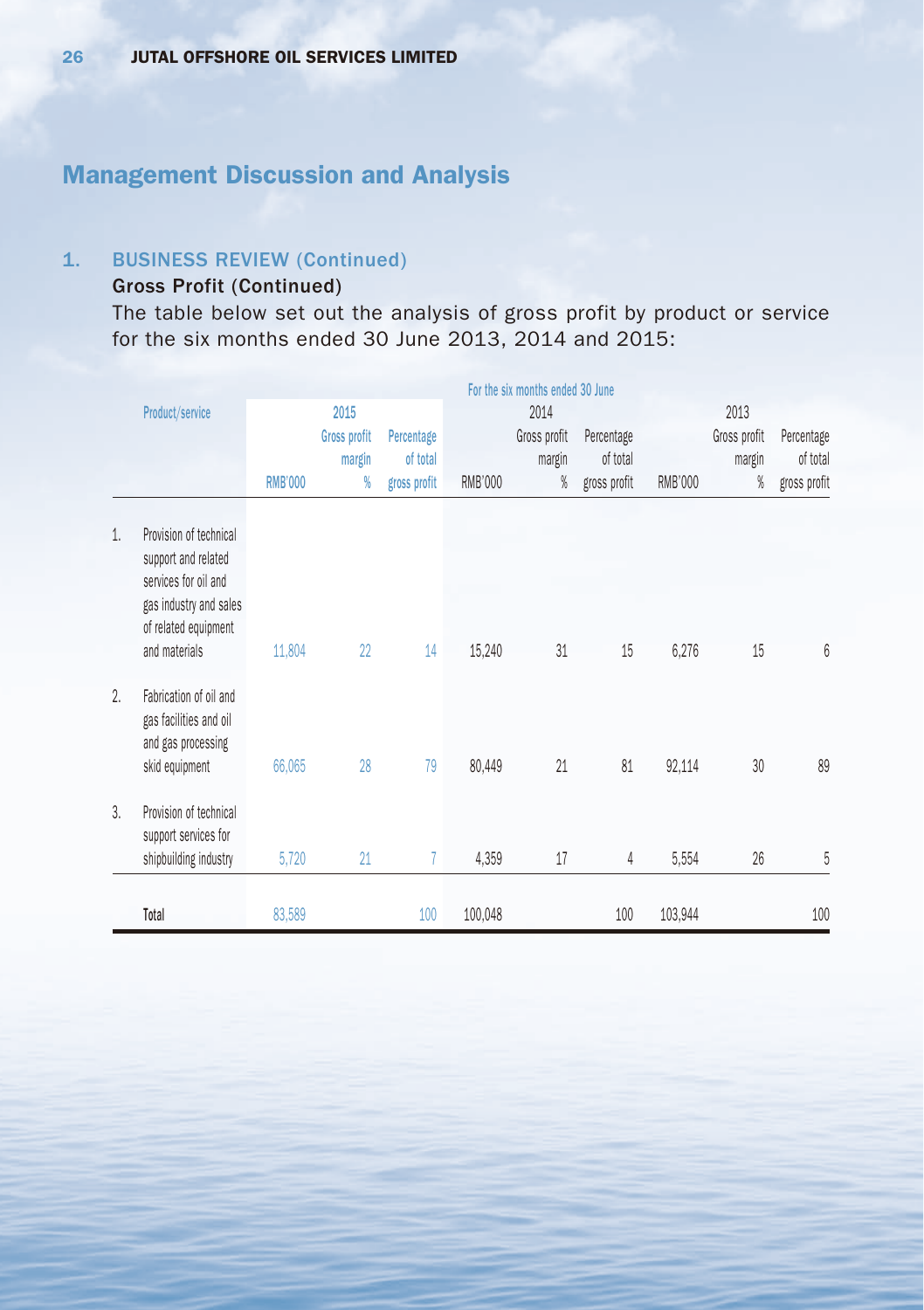## 1. BUSINESS REVIEW (Continued)

## Gross Profit (Continued)

The table below set out the analysis of gross profit by product or service for the six months ended 30 June 2013, 2014 and 2015:

|    |                                                                                                                         |                |                     |              | For the six months ended 30 June |              |              |         |              |              |
|----|-------------------------------------------------------------------------------------------------------------------------|----------------|---------------------|--------------|----------------------------------|--------------|--------------|---------|--------------|--------------|
|    | Product/service                                                                                                         |                | 2015                |              |                                  | 2014         |              |         | 2013         |              |
|    |                                                                                                                         |                | <b>Gross profit</b> | Percentage   |                                  | Gross profit | Percentage   |         | Gross profit | Percentage   |
|    |                                                                                                                         |                | margin              | of total     |                                  | margin       | of total     |         | margin       | of total     |
|    |                                                                                                                         | <b>RMB'000</b> | %                   | gross profit | <b>RMB'000</b>                   | %            | gross profit | RMB'000 | %            | gross profit |
| 1. | Provision of technical<br>support and related<br>services for oil and<br>gas industry and sales<br>of related equipment |                |                     |              |                                  |              |              |         |              |              |
|    | and materials                                                                                                           | 11,804         | 22                  | 14           | 15,240                           | 31           | 15           | 6,276   | 15           | 6            |
| 2. | Fabrication of oil and<br>gas facilities and oil<br>and gas processing<br>skid equipment                                | 66,065         | 28                  | 79           | 80,449                           | 21           | 81           | 92,114  | 30           | 89           |
|    |                                                                                                                         |                |                     |              |                                  |              |              |         |              |              |
| 3. | Provision of technical<br>support services for                                                                          |                |                     |              |                                  |              |              |         |              |              |
|    | shipbuilding industry                                                                                                   | 5,720          | 21                  | 7            | 4,359                            | 17           | 4            | 5,554   | 26           | 5            |
|    | Total                                                                                                                   | 83,589         |                     | 100          | 100,048                          |              | 100          | 103,944 |              | 100          |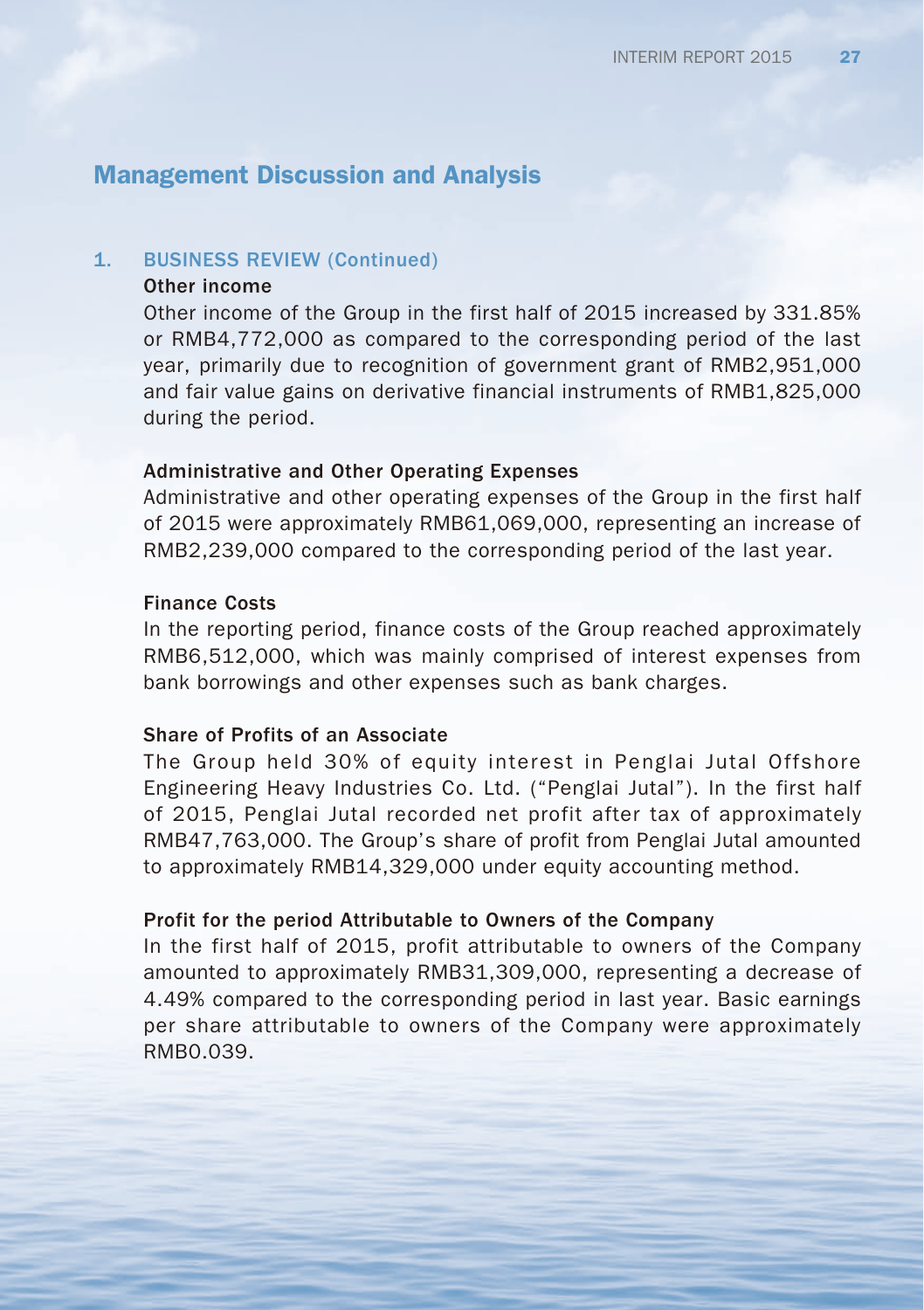#### 1. BUSINESS REVIEW (Continued)

#### Other income

Other income of the Group in the first half of 2015 increased by 331.85% or RMB4,772,000 as compared to the corresponding period of the last year, primarily due to recognition of government grant of RMB2,951,000 and fair value gains on derivative financial instruments of RMB1,825,000 during the period.

#### Administrative and Other Operating Expenses

Administrative and other operating expenses of the Group in the first half of 2015 were approximately RMB61,069,000, representing an increase of RMB2,239,000 compared to the corresponding period of the last year.

#### Finance Costs

In the reporting period, finance costs of the Group reached approximately RMB6,512,000, which was mainly comprised of interest expenses from bank borrowings and other expenses such as bank charges.

#### Share of Profits of an Associate

The Group held 30% of equity interest in Penglai Jutal Offshore Engineering Heavy Industries Co. Ltd. ("Penglai Jutal"). In the first half of 2015, Penglai Jutal recorded net profit after tax of approximately RMB47,763,000. The Group's share of profit from Penglai Jutal amounted to approximately RMB14,329,000 under equity accounting method.

### Profit for the period Attributable to Owners of the Company

In the first half of 2015, profit attributable to owners of the Company amounted to approximately RMB31,309,000, representing a decrease of 4.49% compared to the corresponding period in last year. Basic earnings per share attributable to owners of the Company were approximately RMB0.039.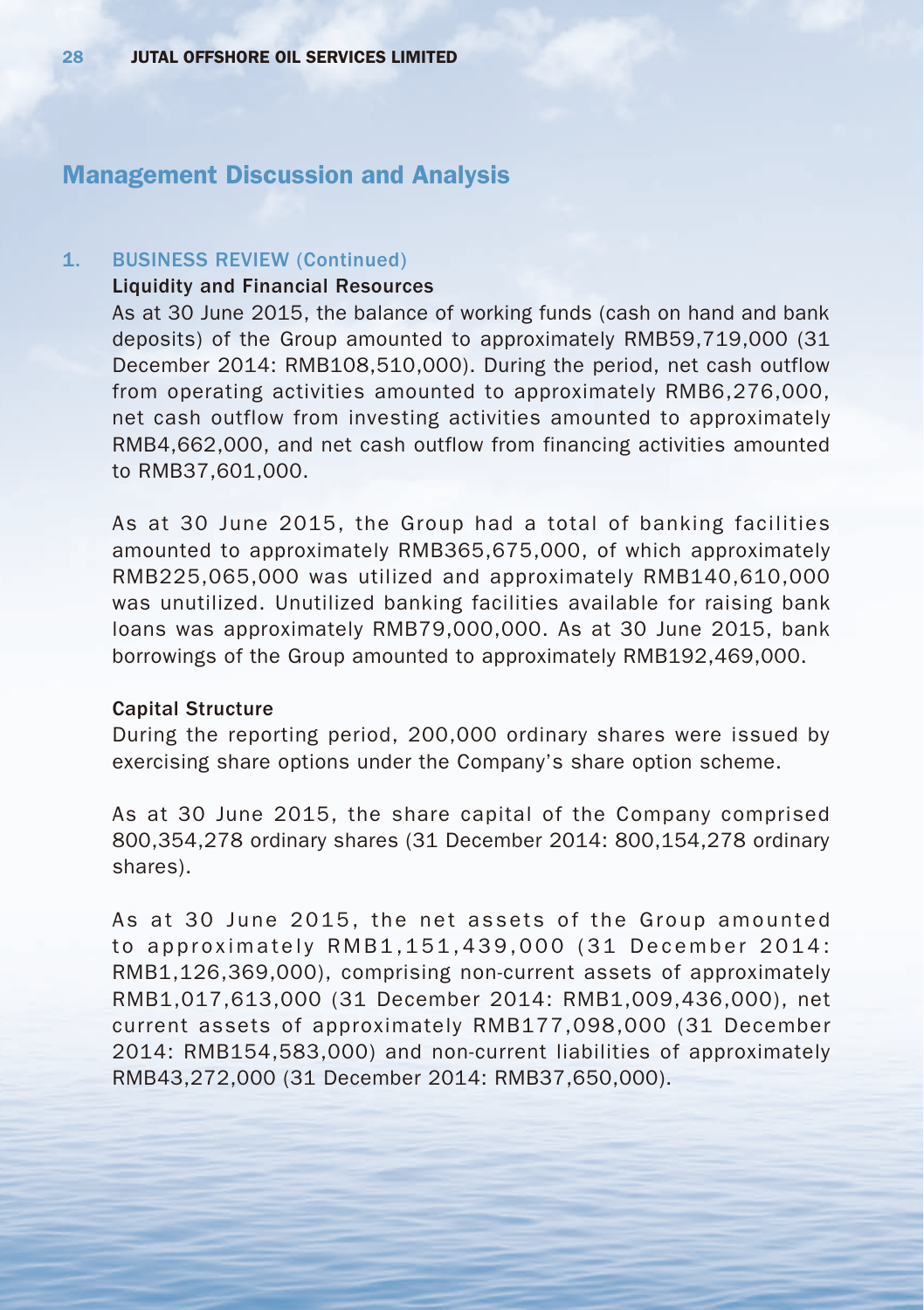### 1. BUSINESS REVIEW (Continued)

### Liquidity and Financial Resources

As at 30 June 2015, the balance of working funds (cash on hand and bank deposits) of the Group amounted to approximately RMB59,719,000 (31 December 2014: RMB108,510,000). During the period, net cash outflow from operating activities amounted to approximately RMB6,276,000, net cash outflow from investing activities amounted to approximately RMB4,662,000, and net cash outflow from financing activities amounted to RMB37,601,000.

As at 30 June 2015, the Group had a total of banking facilities amounted to approximately RMB365,675,000, of which approximately RMB225,065,000 was utilized and approximately RMB140,610,000 was unutilized. Unutilized banking facilities available for raising bank loans was approximately RMB79,000,000. As at 30 June 2015, bank borrowings of the Group amounted to approximately RMB192,469,000.

#### Capital Structure

During the reporting period, 200,000 ordinary shares were issued by exercising share options under the Company's share option scheme.

As at 30 June 2015, the share capital of the Company comprised 800,354,278 ordinary shares (31 December 2014: 800,154,278 ordinary shares).

As at 30 June 2015, the net assets of the Group amounted to approximately RMB1,151,439,000 (31 December 2014: RMB1,126,369,000), comprising non-current assets of approximately RMB1,017,613,000 (31 December 2014: RMB1,009,436,000), net current assets of approximately RMB177,098,000 (31 December 2014: RMB154,583,000) and non-current liabilities of approximately RMB43,272,000 (31 December 2014: RMB37,650,000).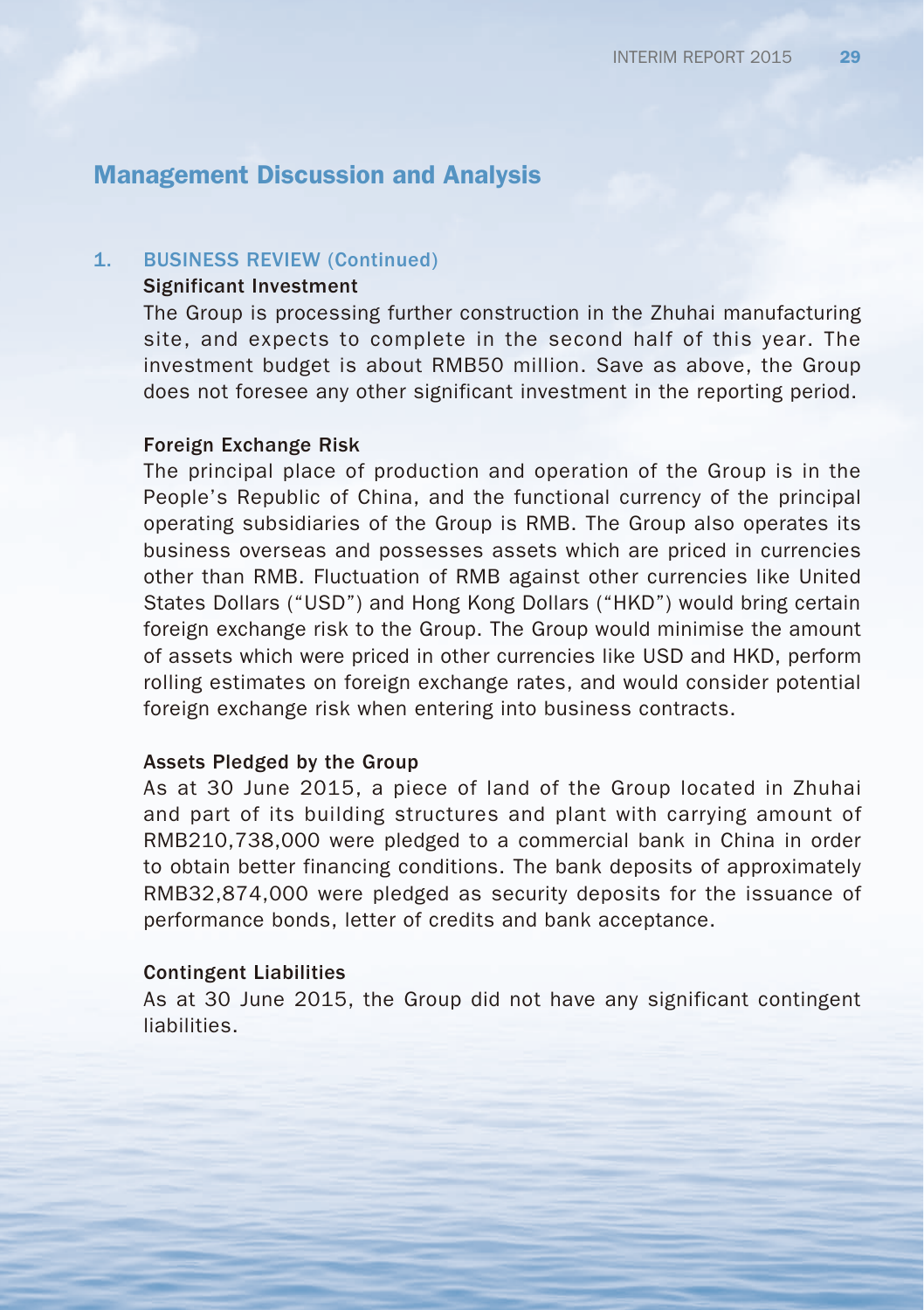#### 1. BUSINESS REVIEW (Continued)

### Significant Investment

The Group is processing further construction in the Zhuhai manufacturing site, and expects to complete in the second half of this year. The investment budget is about RMB50 million. Save as above, the Group does not foresee any other significant investment in the reporting period.

#### Foreign Exchange Risk

The principal place of production and operation of the Group is in the People's Republic of China, and the functional currency of the principal operating subsidiaries of the Group is RMB. The Group also operates its business overseas and possesses assets which are priced in currencies other than RMB. Fluctuation of RMB against other currencies like United States Dollars ("USD") and Hong Kong Dollars ("HKD") would bring certain foreign exchange risk to the Group. The Group would minimise the amount of assets which were priced in other currencies like USD and HKD, perform rolling estimates on foreign exchange rates, and would consider potential foreign exchange risk when entering into business contracts.

#### Assets Pledged by the Group

As at 30 June 2015, a piece of land of the Group located in Zhuhai and part of its building structures and plant with carrying amount of RMB210,738,000 were pledged to a commercial bank in China in order to obtain better financing conditions. The bank deposits of approximately RMB32,874,000 were pledged as security deposits for the issuance of performance bonds, letter of credits and bank acceptance.

#### Contingent Liabilities

As at 30 June 2015, the Group did not have any significant contingent liabilities.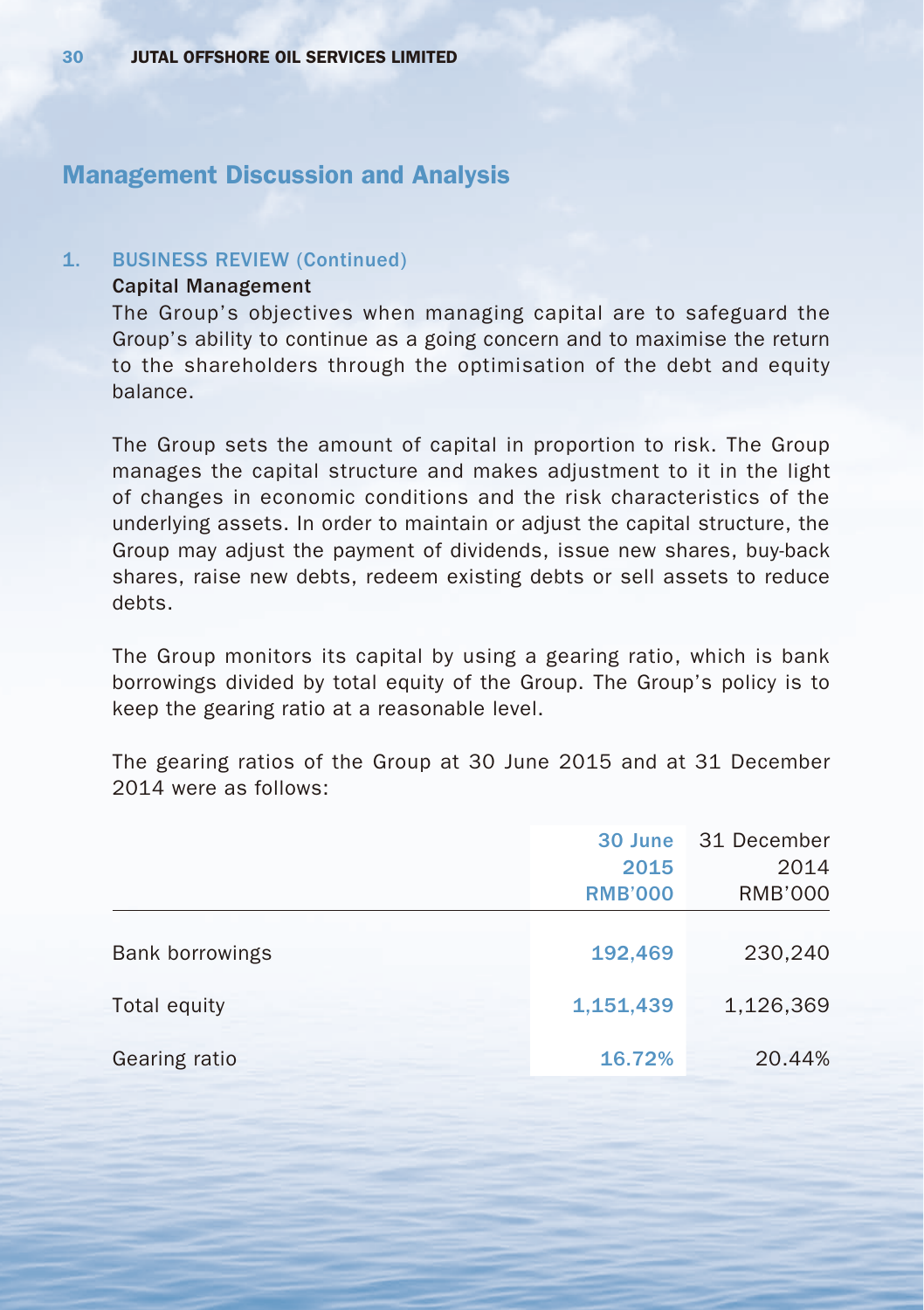#### 1. BUSINESS REVIEW (Continued)

## Capital Management

The Group's objectives when managing capital are to safeguard the Group's ability to continue as a going concern and to maximise the return to the shareholders through the optimisation of the debt and equity balance.

The Group sets the amount of capital in proportion to risk. The Group manages the capital structure and makes adjustment to it in the light of changes in economic conditions and the risk characteristics of the underlying assets. In order to maintain or adjust the capital structure, the Group may adjust the payment of dividends, issue new shares, buy-back shares, raise new debts, redeem existing debts or sell assets to reduce debts.

The Group monitors its capital by using a gearing ratio, which is bank borrowings divided by total equity of the Group. The Group's policy is to keep the gearing ratio at a reasonable level.

The gearing ratios of the Group at 30 June 2015 and at 31 December 2014 were as follows:

|                 | 30 June                | 31 December            |
|-----------------|------------------------|------------------------|
|                 | 2015<br><b>RMB'000</b> | 2014<br><b>RMB'000</b> |
|                 |                        |                        |
| Bank borrowings | 192,469                | 230,240                |
| Total equity    | 1,151,439              | 1,126,369              |
| Gearing ratio   | 16.72%                 | 20.44%                 |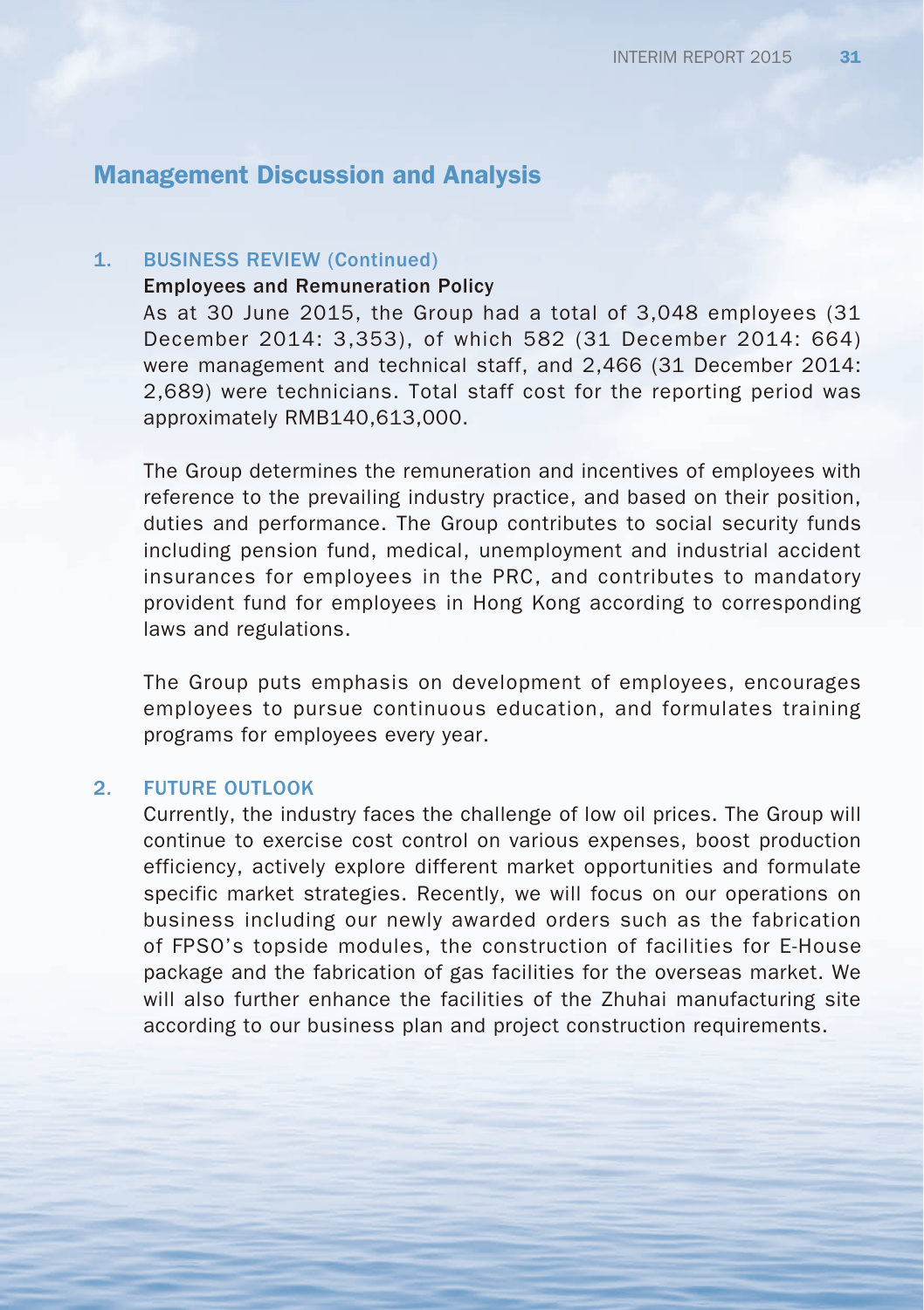### 1. BUSINESS REVIEW (Continued)

### Employees and Remuneration Policy

As at 30 June 2015, the Group had a total of 3,048 employees (31 December 2014: 3,353), of which 582 (31 December 2014: 664) were management and technical staff, and 2,466 (31 December 2014: 2,689) were technicians. Total staff cost for the reporting period was approximately RMB140,613,000.

The Group determines the remuneration and incentives of employees with reference to the prevailing industry practice, and based on their position, duties and performance. The Group contributes to social security funds including pension fund, medical, unemployment and industrial accident insurances for employees in the PRC, and contributes to mandatory provident fund for employees in Hong Kong according to corresponding laws and regulations.

The Group puts emphasis on development of employees, encourages employees to pursue continuous education, and formulates training programs for employees every year.

#### 2. FUTURE OUTLOOK

Currently, the industry faces the challenge of low oil prices. The Group will continue to exercise cost control on various expenses, boost production efficiency, actively explore different market opportunities and formulate specific market strategies. Recently, we will focus on our operations on business including our newly awarded orders such as the fabrication of FPSO's topside modules, the construction of facilities for E-House package and the fabrication of gas facilities for the overseas market. We will also further enhance the facilities of the Zhuhai manufacturing site according to our business plan and project construction requirements.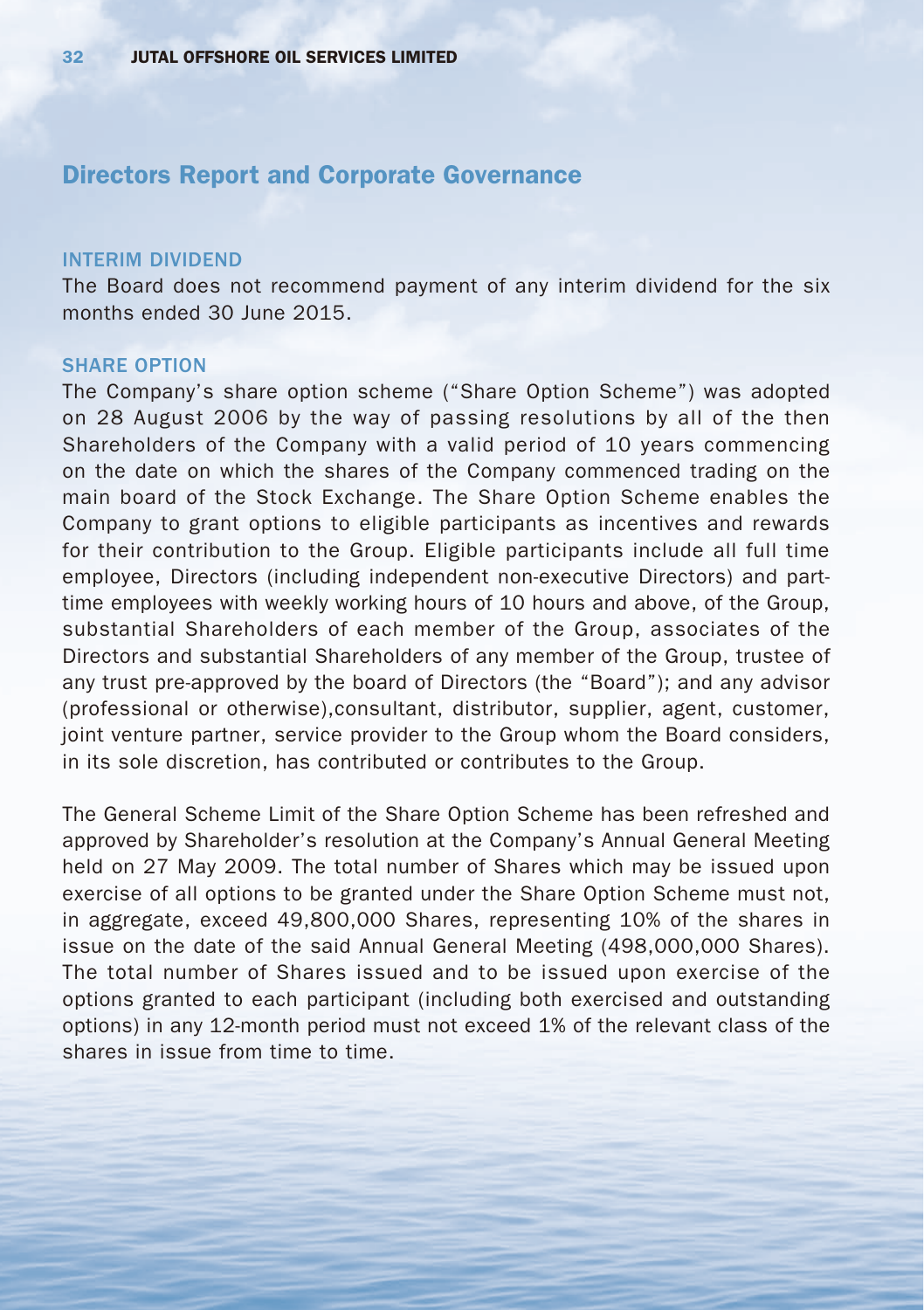#### INTERIM DIVIDEND

The Board does not recommend payment of any interim dividend for the six months ended 30 June 2015.

#### SHARE OPTION

The Company's share option scheme ("Share Option Scheme") was adopted on 28 August 2006 by the way of passing resolutions by all of the then Shareholders of the Company with a valid period of 10 years commencing on the date on which the shares of the Company commenced trading on the main board of the Stock Exchange. The Share Option Scheme enables the Company to grant options to eligible participants as incentives and rewards for their contribution to the Group. Eligible participants include all full time employee, Directors (including independent non-executive Directors) and parttime employees with weekly working hours of 10 hours and above, of the Group, substantial Shareholders of each member of the Group, associates of the Directors and substantial Shareholders of any member of the Group, trustee of any trust pre-approved by the board of Directors (the "Board"); and any advisor (professional or otherwise),consultant, distributor, supplier, agent, customer, joint venture partner, service provider to the Group whom the Board considers, in its sole discretion, has contributed or contributes to the Group.

The General Scheme Limit of the Share Option Scheme has been refreshed and approved by Shareholder's resolution at the Company's Annual General Meeting held on 27 May 2009. The total number of Shares which may be issued upon exercise of all options to be granted under the Share Option Scheme must not, in aggregate, exceed 49,800,000 Shares, representing 10% of the shares in issue on the date of the said Annual General Meeting (498,000,000 Shares). The total number of Shares issued and to be issued upon exercise of the options granted to each participant (including both exercised and outstanding options) in any 12-month period must not exceed 1% of the relevant class of the shares in issue from time to time.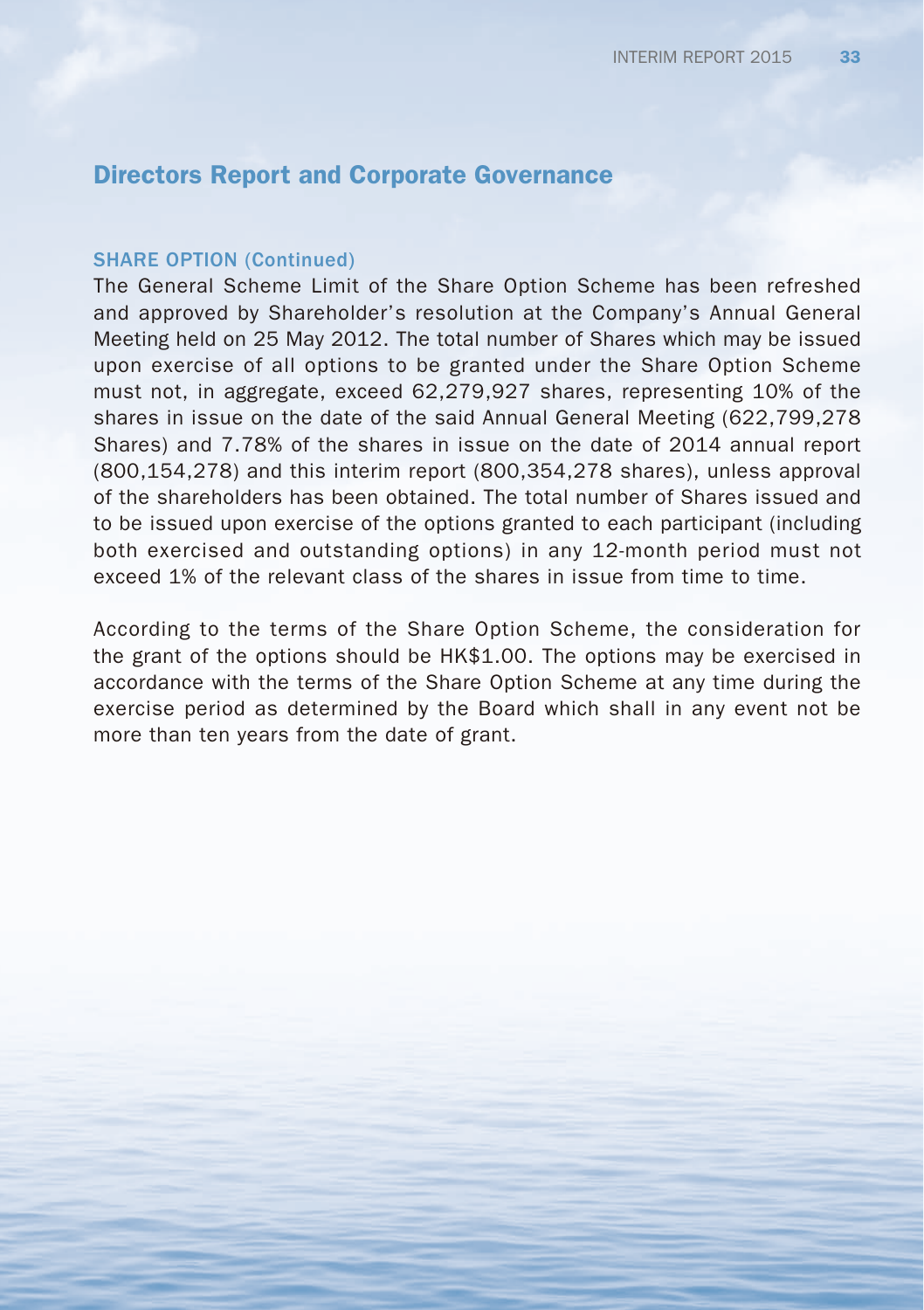#### SHARE OPTION (Continued)

The General Scheme Limit of the Share Option Scheme has been refreshed and approved by Shareholder's resolution at the Company's Annual General Meeting held on 25 May 2012. The total number of Shares which may be issued upon exercise of all options to be granted under the Share Option Scheme must not, in aggregate, exceed 62,279,927 shares, representing 10% of the shares in issue on the date of the said Annual General Meeting (622,799,278 Shares) and 7.78% of the shares in issue on the date of 2014 annual report (800,154,278) and this interim report (800,354,278 shares), unless approval of the shareholders has been obtained. The total number of Shares issued and to be issued upon exercise of the options granted to each participant (including both exercised and outstanding options) in any 12-month period must not exceed 1% of the relevant class of the shares in issue from time to time.

According to the terms of the Share Option Scheme, the consideration for the grant of the options should be HK\$1.00. The options may be exercised in accordance with the terms of the Share Option Scheme at any time during the exercise period as determined by the Board which shall in any event not be more than ten years from the date of grant.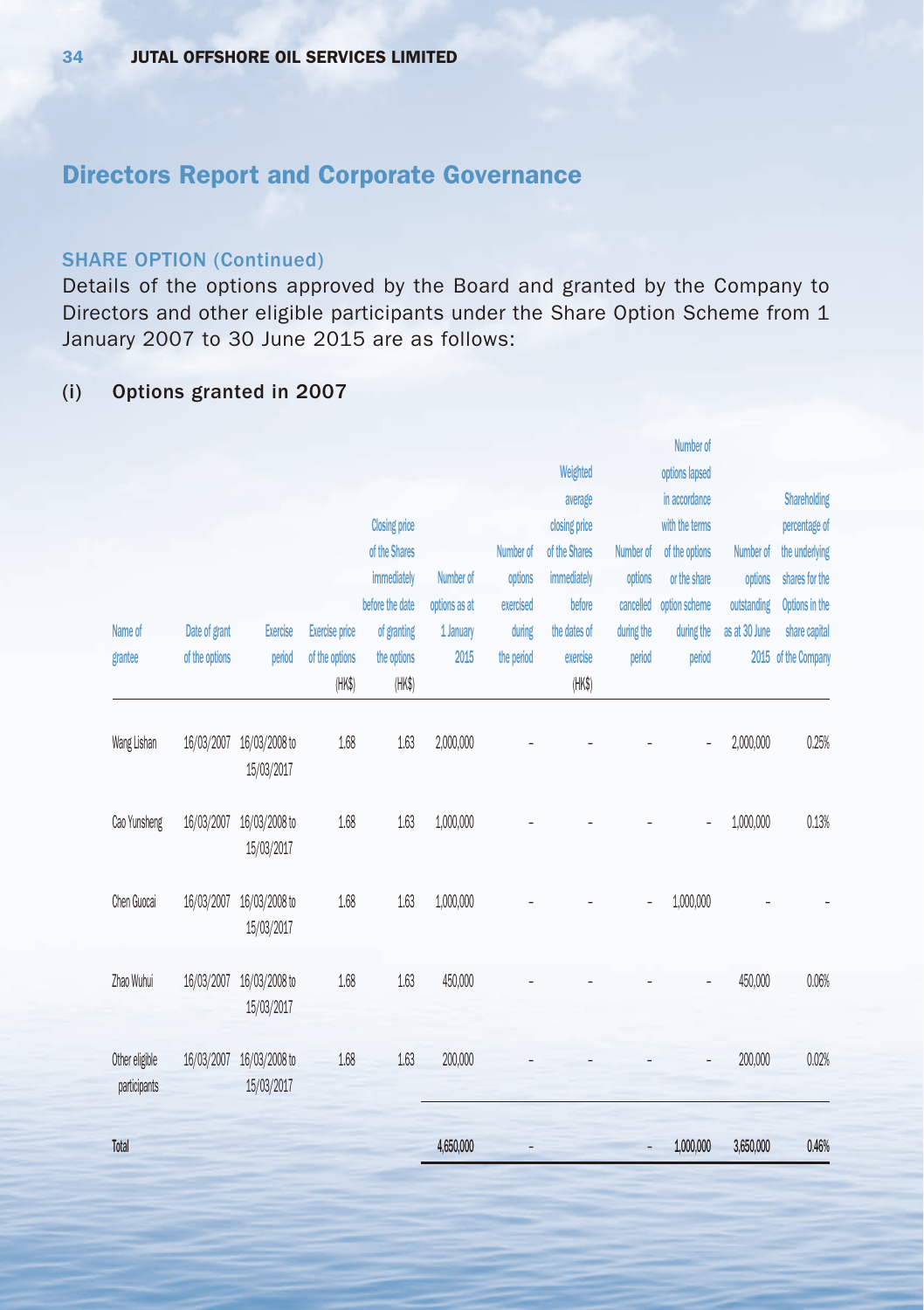### SHARE OPTION (Continued)

Details of the options approved by the Board and granted by the Company to Directors and other eligible participants under the Share Option Scheme from 1 January 2007 to 30 June 2015 are as follows:

## (i) Options granted in 2007

|                                |                |                             |                          |                       |               |            |                    |            | Number of      |               |                     |
|--------------------------------|----------------|-----------------------------|--------------------------|-----------------------|---------------|------------|--------------------|------------|----------------|---------------|---------------------|
|                                |                |                             |                          |                       |               |            | Weighted           |            | options lapsed |               |                     |
|                                |                |                             |                          |                       |               |            | average            |            | in accordance  |               | <b>Shareholding</b> |
|                                |                |                             |                          | <b>Closing price</b>  |               |            | closing price      |            | with the terms |               | percentage of       |
|                                |                |                             |                          | of the Shares         |               | Number of  | of the Shares      | Number of  | of the options | Number of     | the underlying      |
|                                |                |                             |                          | immediately           | Number of     | options    | immediately        | options    | or the share   | options       | shares for the      |
|                                |                |                             |                          | before the date       | options as at | exercised  | before             | cancelled  | option scheme  | outstanding   | Options in the      |
| Name of                        | Date of grant  | Exercise                    | <b>Exercise</b> price    | of granting           | 1 January     | during     | the dates of       | during the | during the     | as at 30 June | share capital       |
| grantee                        | of the options | period                      | of the options<br>(HK\$) | the options<br>(HK\$) | 2015          | the period | exercise<br>(HK\$) | period     | period         |               | 2015 of the Company |
| Wang Lishan                    | 16/03/2007     | 16/03/2008 to<br>15/03/2017 | 1.68                     | 1.63                  | 2,000,000     |            |                    |            |                | 2,000,000     | 0.25%               |
| Cao Yunsheng                   | 16/03/2007     | 16/03/2008 to<br>15/03/2017 | 1.68                     | 1.63                  | 1,000,000     |            |                    |            |                | 1,000,000     | 0.13%               |
| Chen Guocai                    | 16/03/2007     | 16/03/2008 to<br>15/03/2017 | 1.68                     | 1.63                  | 1,000,000     |            |                    |            | 1,000,000      |               |                     |
| Zhao Wuhui                     | 16/03/2007     | 16/03/2008 to<br>15/03/2017 | 1.68                     | 1.63                  | 450,000       |            |                    |            |                | 450,000       | 0.06%               |
| Other eligible<br>participants | 16/03/2007     | 16/03/2008 to<br>15/03/2017 | 1.68                     | 1.63                  | 200,000       |            |                    |            |                | 200,000       | 0.02%               |
| Total                          |                |                             |                          |                       | 4,650,000     |            |                    |            | 1,000,000      | 3,650,000     | 0.46%               |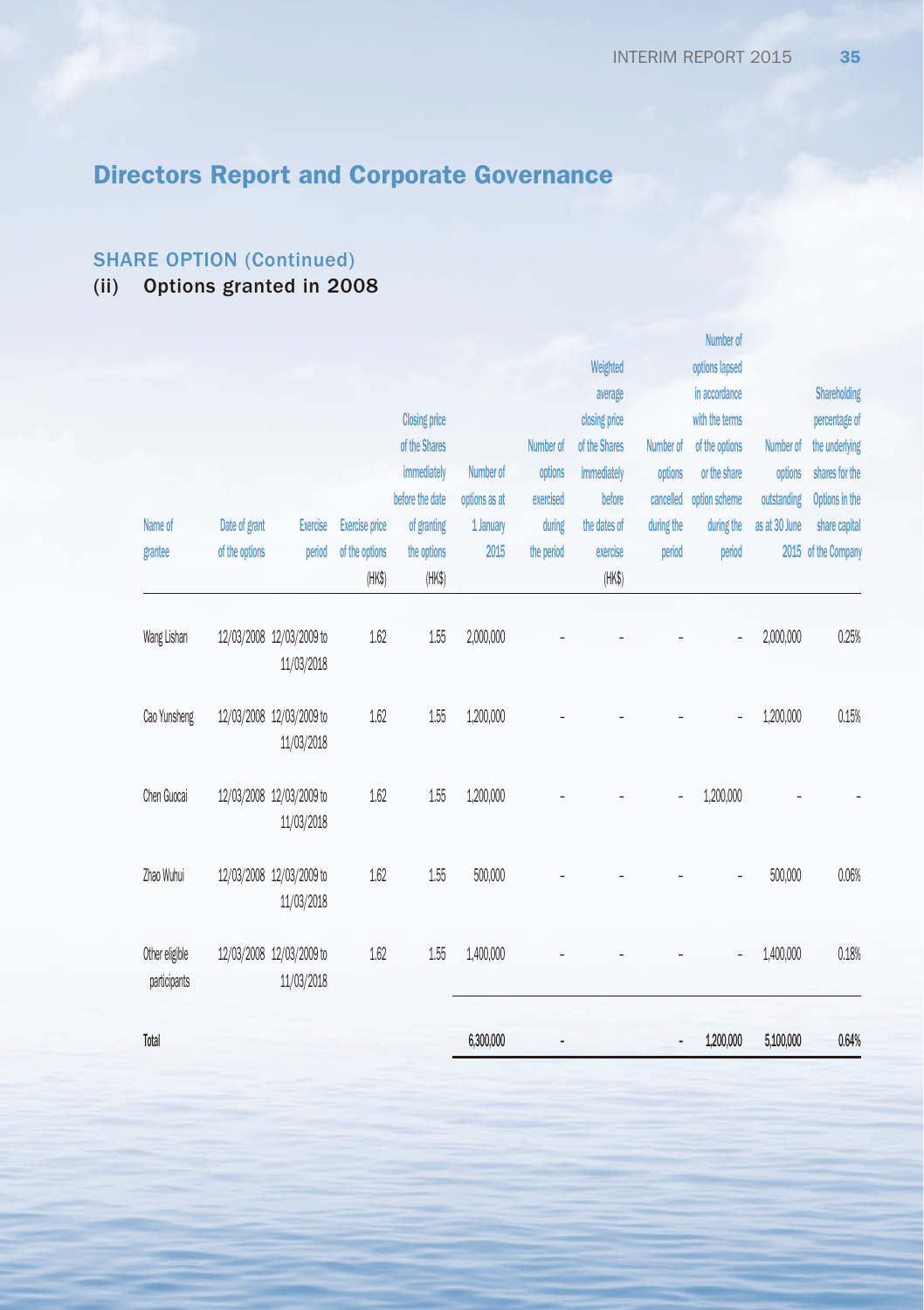## SHARE OPTION (Continued)

## (ii) Options granted in 2008

|                |                |                                        |                       |                      |               |            |               |            | <b>IANITIACI AI</b> |               |                     |
|----------------|----------------|----------------------------------------|-----------------------|----------------------|---------------|------------|---------------|------------|---------------------|---------------|---------------------|
|                |                |                                        |                       |                      |               |            | Weighted      |            | options lapsed      |               |                     |
|                |                |                                        |                       |                      |               |            | average       |            | in accordance       |               | <b>Shareholding</b> |
|                |                |                                        |                       | <b>Closing price</b> |               |            | closing price |            | with the terms      |               | percentage of       |
|                |                |                                        |                       | of the Shares        |               | Number of  | of the Shares | Number of  | of the options      | Number of     | the underlying      |
|                |                |                                        |                       | immediately          | Number of     | options    | immediately   | options    | or the share        | options       | shares for the      |
|                |                |                                        |                       | before the date      | options as at | exercised  | before        | cancelled  | option scheme       | outstanding   | Options in the      |
| Name of        | Date of grant  | Exercise                               | <b>Exercise price</b> | of granting          | 1 January     | during     | the dates of  | during the | during the          | as at 30 June | share capital       |
| grantee        | of the options | period                                 | of the options        | the options          | 2015          | the period | exercise      | period     | period              |               | 2015 of the Company |
|                |                |                                        | (HK\$)                | (HK\$)               |               |            | (HK\$)        |            |                     |               |                     |
|                |                |                                        |                       |                      |               |            |               |            |                     |               |                     |
| Wang Lishan    |                | 12/03/2008 12/03/2009 to               | 1.62                  | 1.55                 | 2,000,000     |            |               |            |                     | 2,000,000     | 0.25%               |
|                |                | 11/03/2018                             |                       |                      |               |            |               |            |                     |               |                     |
| Cao Yunsheng   |                | 12/03/2008 12/03/2009 to               | 1.62                  | 1.55                 | 1,200,000     |            |               |            |                     | 1,200,000     | 0.15%               |
|                |                | 11/03/2018                             |                       |                      |               |            |               |            |                     |               |                     |
| Chen Guocai    |                | 12/03/2008 12/03/2009 to               | 1.62                  | 1.55                 | 1,200,000     |            |               |            | 1,200,000           |               |                     |
|                |                | 11/03/2018                             |                       |                      |               |            |               |            |                     |               |                     |
|                |                |                                        |                       |                      |               |            |               |            |                     |               |                     |
| Zhao Wuhui     |                | 12/03/2008 12/03/2009 to<br>11/03/2018 | 1.62                  | 1.55                 | 500,000       |            |               |            |                     | 500,000       | 0.06%               |
|                |                |                                        |                       |                      |               |            |               |            |                     |               |                     |
| Other eligible |                | 12/03/2008 12/03/2009 to               | 1.62                  | 1.55                 | 1,400,000     |            |               |            |                     | 1,400,000     | 0.18%               |
| participants   |                | 11/03/2018                             |                       |                      |               |            |               |            |                     |               |                     |
| Total          |                |                                        |                       |                      | 6,300,000     |            |               |            | 1,200,000           | 5,100,000     | 0.64%               |
|                |                |                                        |                       |                      |               |            |               |            |                     |               |                     |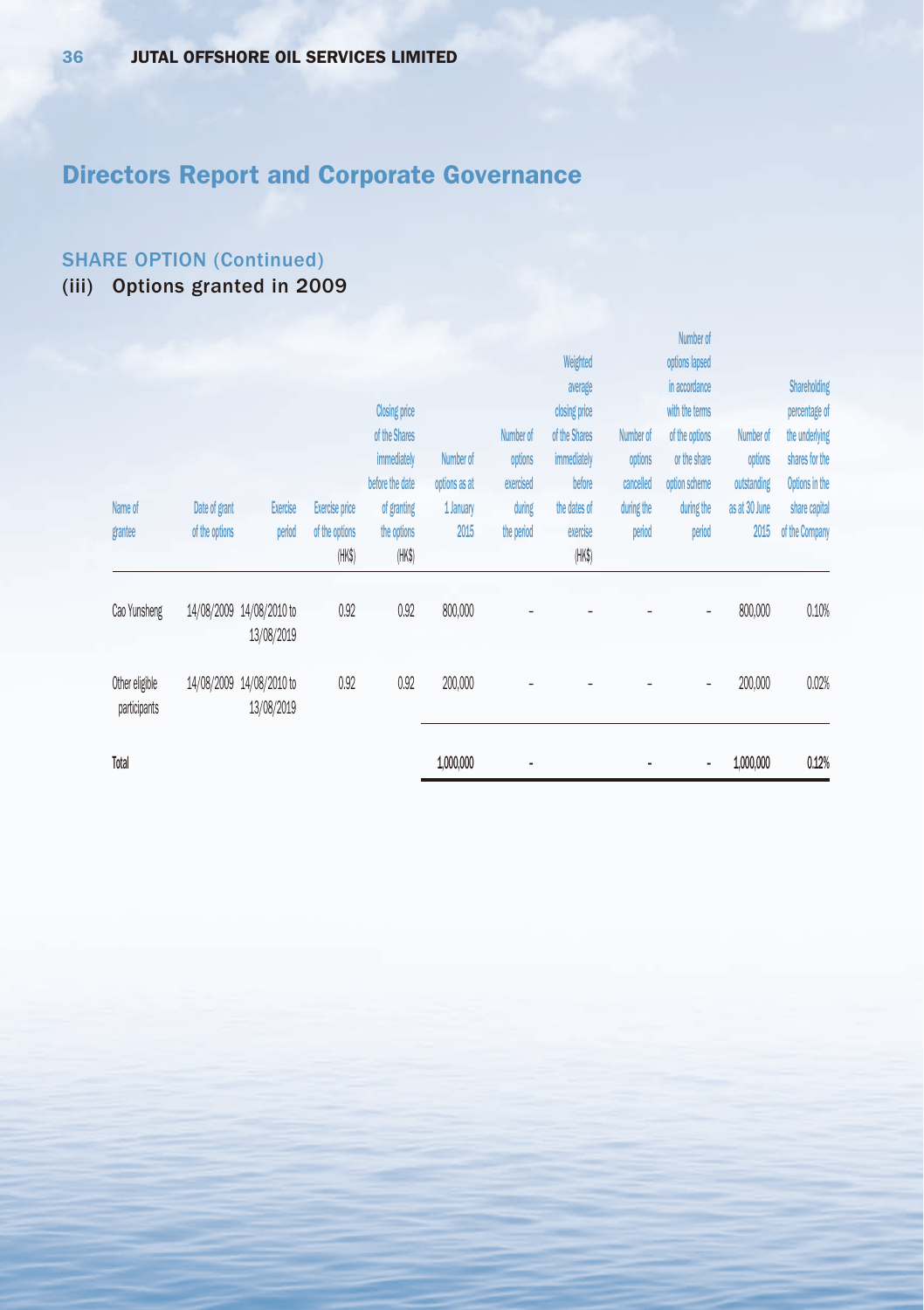## SHARE OPTION (Continued)

(iii) Options granted in 2009

|                                |                |                                        |                          |                       |               |            |                    |            | <b>INITIUSI UI</b>       |               |                |
|--------------------------------|----------------|----------------------------------------|--------------------------|-----------------------|---------------|------------|--------------------|------------|--------------------------|---------------|----------------|
|                                |                |                                        |                          |                       |               |            | Weighted           |            | options lapsed           |               |                |
|                                |                |                                        |                          |                       |               |            | average            |            | in accordance            |               | Shareholding   |
|                                |                |                                        |                          | <b>Closing price</b>  |               |            | closing price      |            | with the terms           |               | percentage of  |
|                                |                |                                        |                          | of the Shares         |               | Number of  | of the Shares      | Number of  | of the options           | Number of     | the underlying |
|                                |                |                                        |                          | immediately           | Number of     | options    | immediately        | options    | or the share             | options       | shares for the |
|                                |                |                                        |                          | before the date       | options as at | exercised  | before             | cancelled  | option scheme            | outstanding   | Options in the |
| Name of                        | Date of grant  | Exercise                               | Exercise price           | of granting           | 1 January     | during     | the dates of       | during the | during the               | as at 30 June | share capital  |
| grantee                        | of the options | period                                 | of the options<br>(HK\$) | the options<br>(HK\$) | 2015          | the period | exercise<br>(HK\$) | period     | period                   | 2015          | of the Company |
| Cao Yunsheng                   | 14/08/2009     | 14/08/2010 to<br>13/08/2019            | 0.92                     | 0.92                  | 800,000       |            |                    |            | $\overline{\phantom{a}}$ | 800,000       | 0.10%          |
| Other eligible<br>participants |                | 14/08/2009 14/08/2010 to<br>13/08/2019 | 0.92                     | 0.92                  | 200,000       |            |                    |            | ٠                        | 200,000       | 0.02%          |
| Total                          |                |                                        |                          |                       | 1,000,000     |            |                    |            |                          | 1,000,000     | 0.12%          |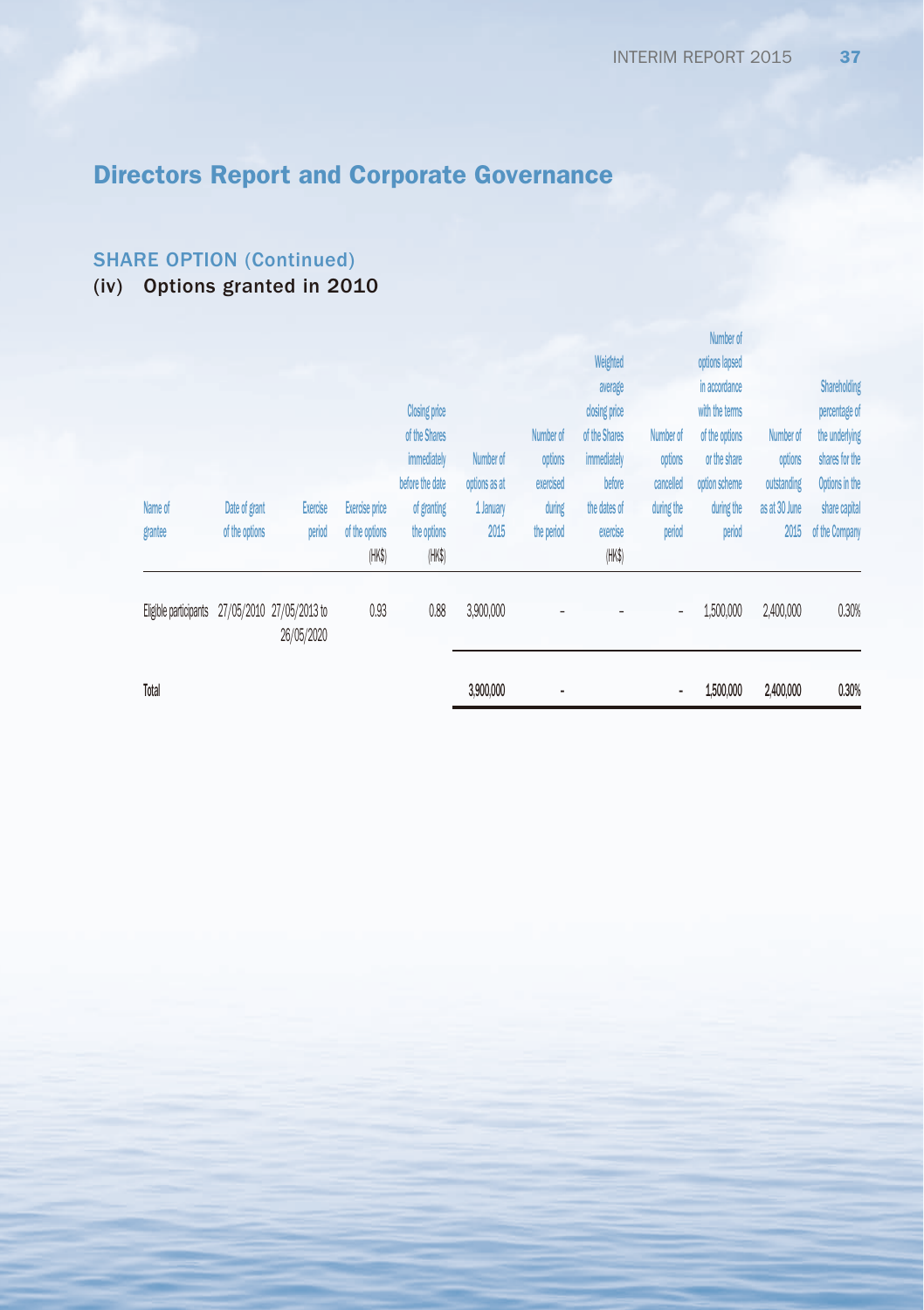## SHARE OPTION (Continued)

# (iv) Options granted in 2010

| in accordance<br>average<br>closing price<br><b>Closing price</b><br>with the terms<br>of the Shares<br>of the Shares<br>of the options<br>Number of<br>Number of<br>Number of<br>immediately<br>immediately<br>Number of<br>options<br>options<br>or the share<br>options<br>shares for the<br>before the date<br>cancelled<br>options as at<br>exercised<br>before<br>option scheme<br>outstanding<br>during<br>during the<br>during the<br>as at 30 June<br>Name of<br>Date of grant<br>Exercise<br>Exercise price<br>of granting<br>1 January<br>the dates of<br>2015<br>period<br>2015<br>of the options<br>period<br>of the options<br>the options<br>the period<br>exercise<br>period<br>grantee<br>(HK\$)<br>(HK\$)<br>(HK\$)<br>0.88<br>0.93<br>3,900,000<br>1,500,000<br>2,400,000<br>27/05/2010 27/05/2013 to<br>Eligible participants<br>$\overline{\phantom{a}}$<br>26/05/2020 | Total |  |  | 3,900,000 | ٠ |          | ٠ | 1,500,000      | 2,400,000 | 0.30%                                             |
|---------------------------------------------------------------------------------------------------------------------------------------------------------------------------------------------------------------------------------------------------------------------------------------------------------------------------------------------------------------------------------------------------------------------------------------------------------------------------------------------------------------------------------------------------------------------------------------------------------------------------------------------------------------------------------------------------------------------------------------------------------------------------------------------------------------------------------------------------------------------------------------------|-------|--|--|-----------|---|----------|---|----------------|-----------|---------------------------------------------------|
|                                                                                                                                                                                                                                                                                                                                                                                                                                                                                                                                                                                                                                                                                                                                                                                                                                                                                             |       |  |  |           |   |          |   |                |           | 0.30%                                             |
|                                                                                                                                                                                                                                                                                                                                                                                                                                                                                                                                                                                                                                                                                                                                                                                                                                                                                             |       |  |  |           |   |          |   |                |           | Options in the<br>share capital<br>of the Company |
| Number of                                                                                                                                                                                                                                                                                                                                                                                                                                                                                                                                                                                                                                                                                                                                                                                                                                                                                   |       |  |  |           |   | Weighted |   | options lapsed |           | Shareholding<br>percentage of<br>the underlying   |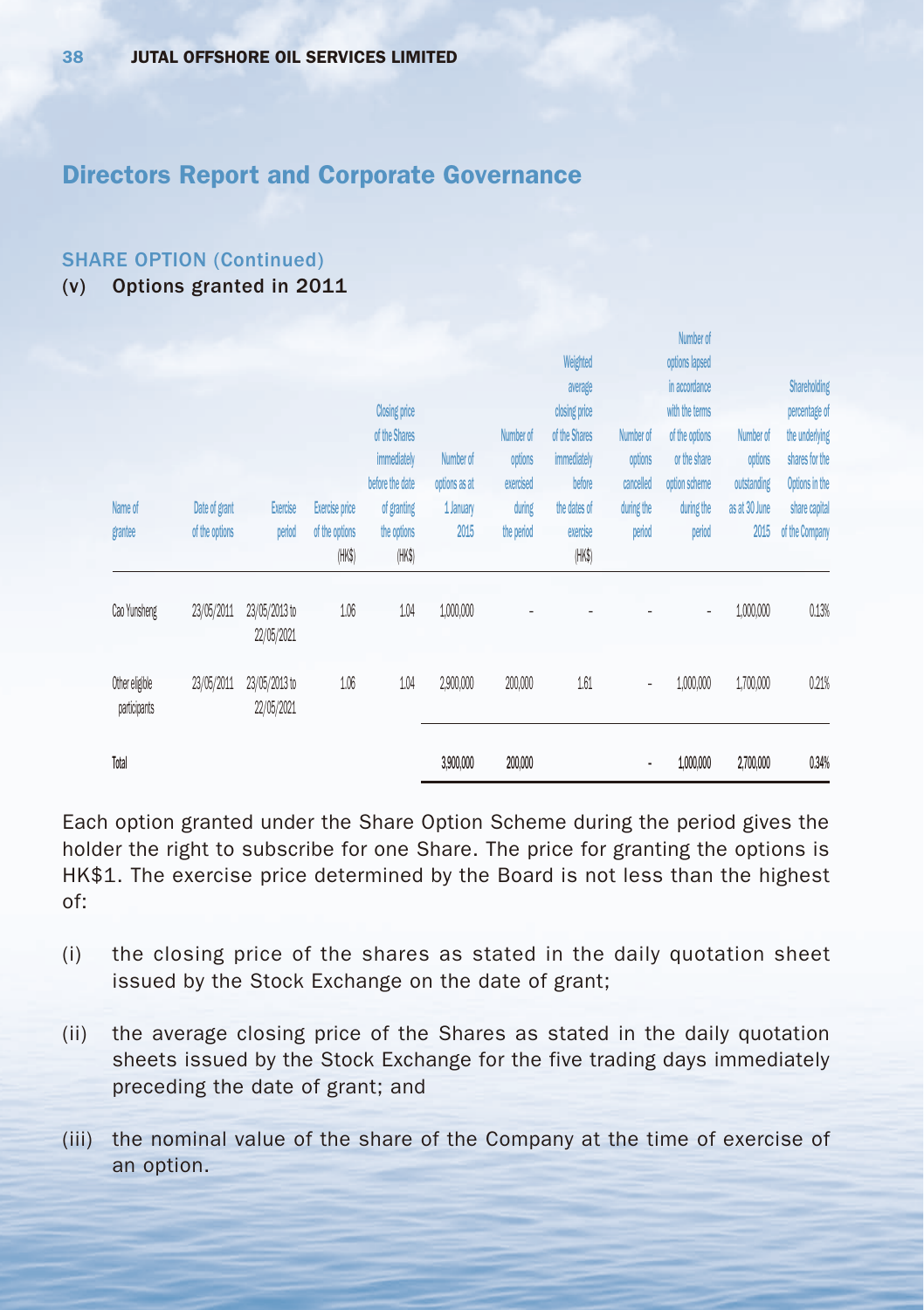#### SHARE OPTION (Continued)

(v) Options granted in 2011

| Name of<br>grantee             | Date of grant<br>of the options | Exercise<br>period          | Exercise price<br>of the options | <b>Closing price</b><br>of the Shares<br>immediately<br>before the date<br>of granting<br>the options | Number of<br>options as at<br>1 January<br>2015 | Number of<br>options<br>exercised<br>during<br>the period | Weighted<br>average<br>closing price<br>of the Shares<br>immediately<br>before<br>the dates of<br>exercise | Number of<br>options<br>cancelled<br>during the<br>period | <b>INITIANI AI</b><br>options lapsed<br>in accordance<br>with the terms<br>of the options<br>or the share<br>option scheme<br>during the<br>period | Number of<br>options<br>outstanding<br>as at 30 June<br>2015 | <b>Shareholding</b><br>percentage of<br>the underlying<br>shares for the<br>Options in the<br>share capital<br>of the Company |
|--------------------------------|---------------------------------|-----------------------------|----------------------------------|-------------------------------------------------------------------------------------------------------|-------------------------------------------------|-----------------------------------------------------------|------------------------------------------------------------------------------------------------------------|-----------------------------------------------------------|----------------------------------------------------------------------------------------------------------------------------------------------------|--------------------------------------------------------------|-------------------------------------------------------------------------------------------------------------------------------|
| Cao Yunsheng                   | 23/05/2011                      | 23/05/2013 to<br>22/05/2021 | (HK\$)<br>1.06                   | (HK\$)<br>1.04                                                                                        | 1,000,000                                       |                                                           | (HK\$)                                                                                                     |                                                           | $\overline{\phantom{a}}$                                                                                                                           | 1,000,000                                                    | 0.13%                                                                                                                         |
| Other eligible<br>participants | 23/05/2011                      | 23/05/2013 to<br>22/05/2021 | 1.06                             | 1.04                                                                                                  | 2,900,000                                       | 200,000                                                   | 1.61                                                                                                       | $\overline{\phantom{a}}$                                  | 1,000,000                                                                                                                                          | 1,700,000                                                    | 0.21%                                                                                                                         |
| Total                          |                                 |                             |                                  |                                                                                                       | 3,900,000                                       | 200,000                                                   |                                                                                                            | ٠                                                         | 1,000,000                                                                                                                                          | 2,700,000                                                    | 0.34%                                                                                                                         |

Each option granted under the Share Option Scheme during the period gives the holder the right to subscribe for one Share. The price for granting the options is HK\$1. The exercise price determined by the Board is not less than the highest of:

- (i) the closing price of the shares as stated in the daily quotation sheet issued by the Stock Exchange on the date of grant;
- (ii) the average closing price of the Shares as stated in the daily quotation sheets issued by the Stock Exchange for the five trading days immediately preceding the date of grant; and
- (iii) the nominal value of the share of the Company at the time of exercise of an option.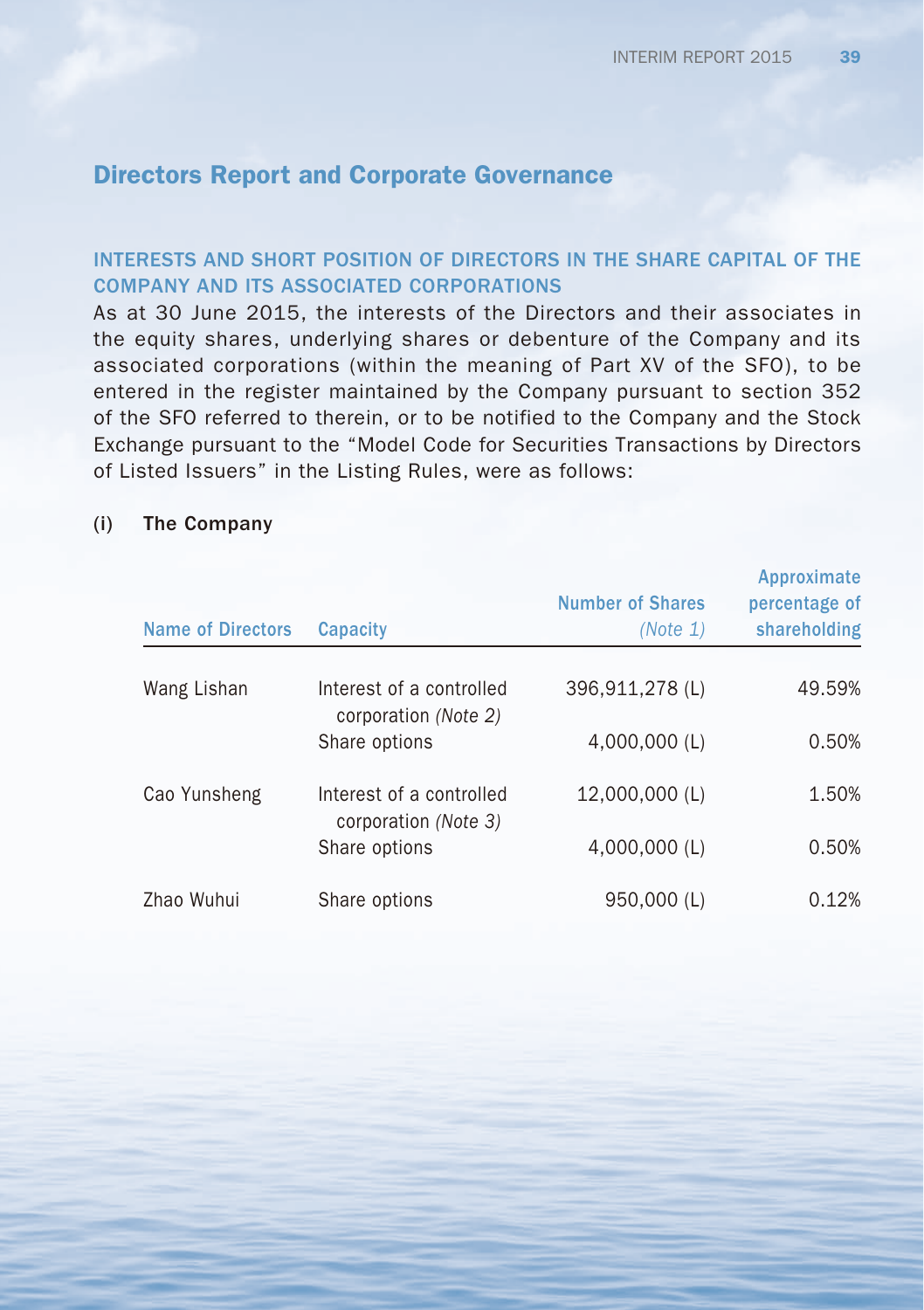## INTERESTS AND SHORT POSITION OF DIRECTORS IN THE SHARE CAPITAL OF THE COMPANY AND ITS ASSOCIATED CORPORATIONS

As at 30 June 2015, the interests of the Directors and their associates in the equity shares, underlying shares or debenture of the Company and its associated corporations (within the meaning of Part XV of the SFO), to be entered in the register maintained by the Company pursuant to section 352 of the SFO referred to therein, or to be notified to the Company and the Stock Exchange pursuant to the "Model Code for Securities Transactions by Directors of Listed Issuers" in the Listing Rules, were as follows:

## (i) The Company

| <b>Name of Directors</b> | Capacity                                         | <b>Number of Shares</b><br>(Note 1) | Approximate<br>percentage of<br>shareholding |
|--------------------------|--------------------------------------------------|-------------------------------------|----------------------------------------------|
| Wang Lishan              | Interest of a controlled<br>corporation (Note 2) | 396,911,278 (L)                     | 49.59%                                       |
|                          | Share options                                    | 4.000.000 (L)                       | 0.50%                                        |
| Cao Yunsheng             | Interest of a controlled<br>corporation (Note 3) | 12,000,000 (L)                      | 1.50%                                        |
|                          | Share options                                    | 4,000,000 (L)                       | 0.50%                                        |
| Zhao Wuhui               | Share options                                    | 950,000 (L)                         | 0.12%                                        |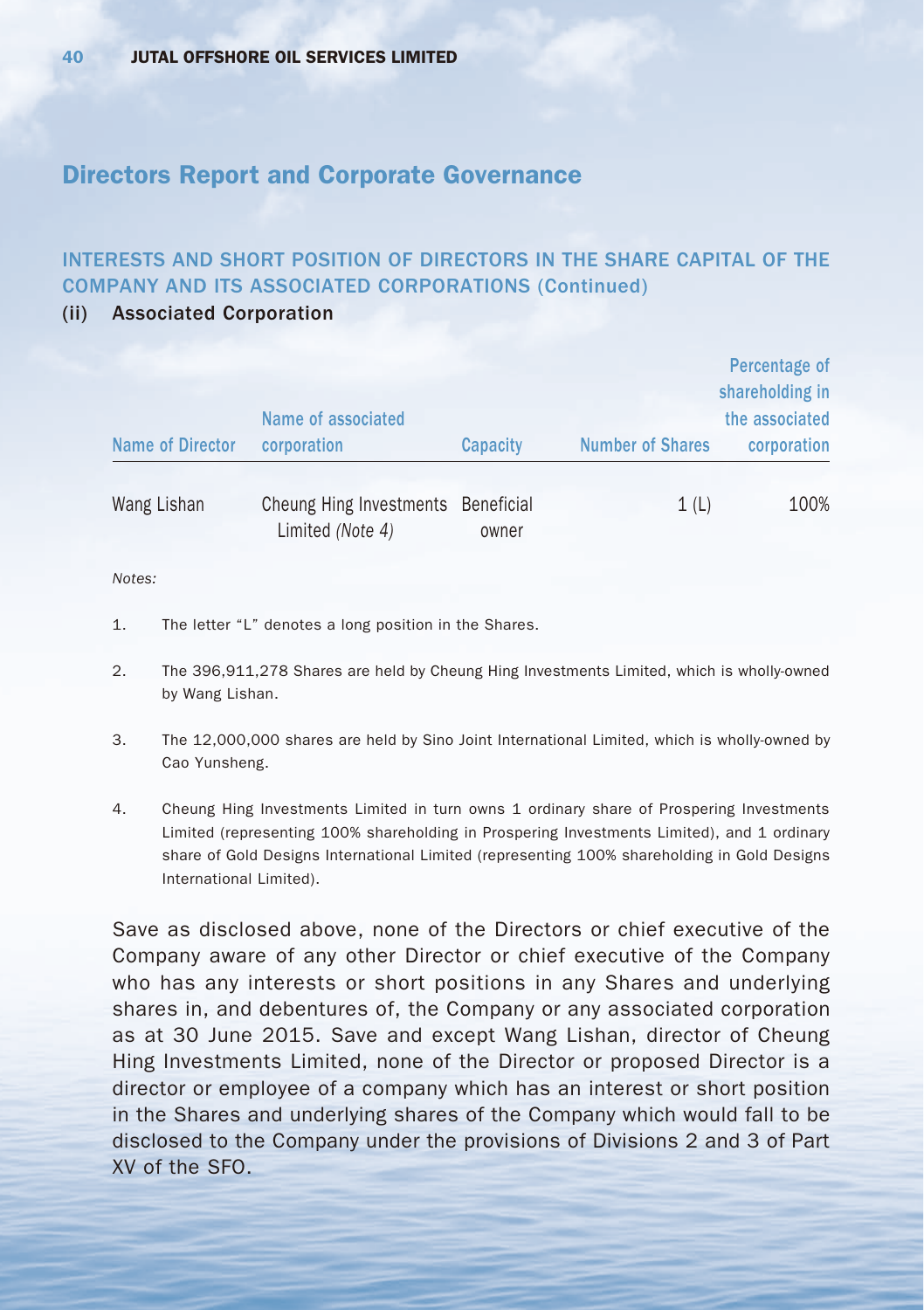## INTERESTS AND SHORT POSITION OF DIRECTORS IN THE SHARE CAPITAL OF THE COMPANY AND ITS ASSOCIATED CORPORATIONS (Continued)

#### (ii) Associated Corporation

|                  | Name of associated                                     |          |                         | Percentage of<br>shareholding in<br>the associated |
|------------------|--------------------------------------------------------|----------|-------------------------|----------------------------------------------------|
| Name of Director | corporation                                            | Capacity | <b>Number of Shares</b> | corporation                                        |
| Wang Lishan      | Cheung Hing Investments Beneficial<br>Limited (Note 4) | owner    | 1(L)                    | 100%                                               |

#### *Notes:*

- 1. The letter "L" denotes a long position in the Shares.
- 2. The 396,911,278 Shares are held by Cheung Hing Investments Limited, which is wholly-owned by Wang Lishan.
- 3. The 12,000,000 shares are held by Sino Joint International Limited, which is wholly-owned by Cao Yunsheng.
- 4. Cheung Hing Investments Limited in turn owns 1 ordinary share of Prospering Investments Limited (representing 100% shareholding in Prospering Investments Limited), and 1 ordinary share of Gold Designs International Limited (representing 100% shareholding in Gold Designs International Limited).

Save as disclosed above, none of the Directors or chief executive of the Company aware of any other Director or chief executive of the Company who has any interests or short positions in any Shares and underlying shares in, and debentures of, the Company or any associated corporation as at 30 June 2015. Save and except Wang Lishan, director of Cheung Hing Investments Limited, none of the Director or proposed Director is a director or employee of a company which has an interest or short position in the Shares and underlying shares of the Company which would fall to be disclosed to the Company under the provisions of Divisions 2 and 3 of Part XV of the SFO.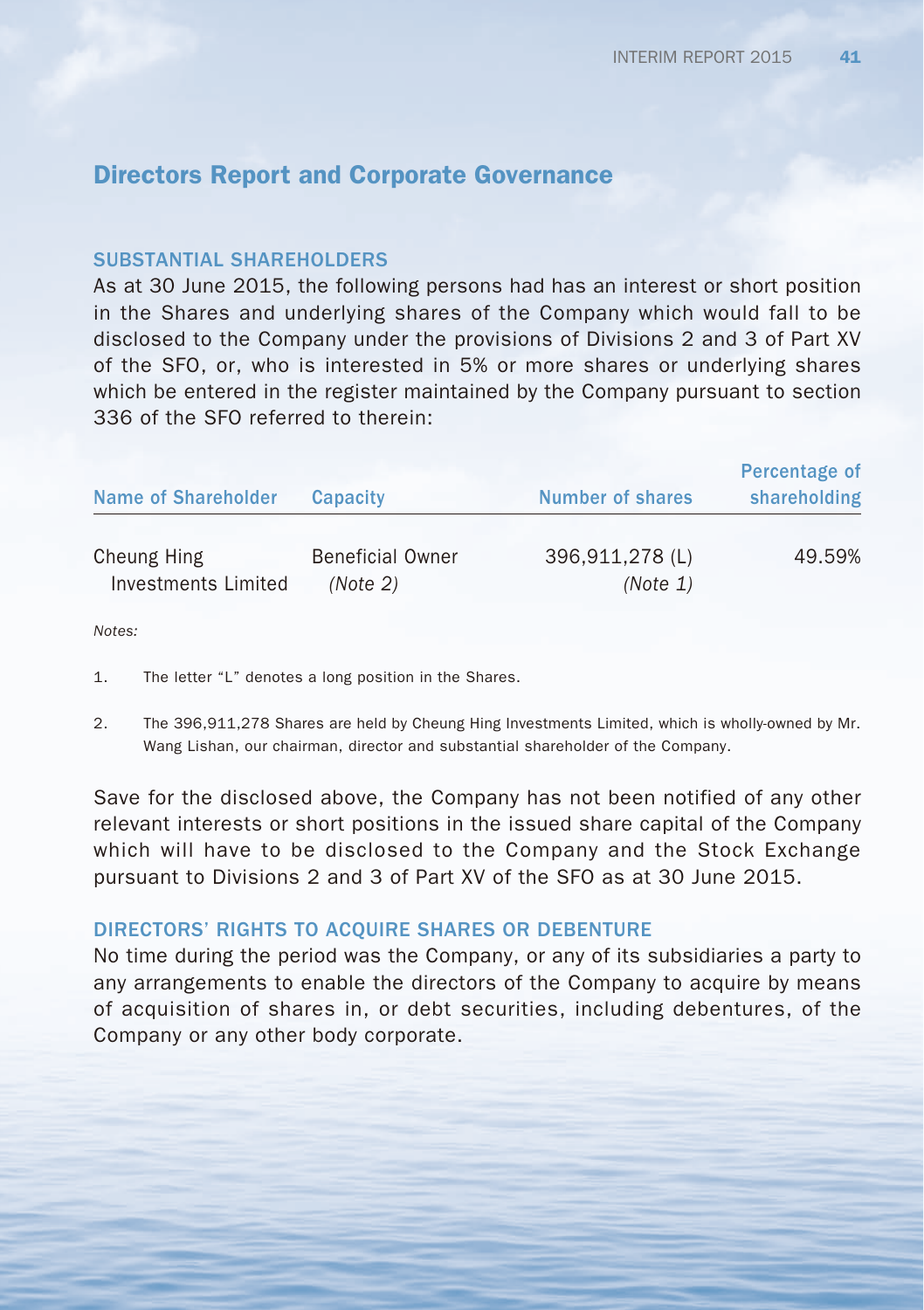#### SUBSTANTIAL SHARFHOLDERS

As at 30 June 2015, the following persons had has an interest or short position in the Shares and underlying shares of the Company which would fall to be disclosed to the Company under the provisions of Divisions 2 and 3 of Part XV of the SFO, or, who is interested in 5% or more shares or underlying shares which be entered in the register maintained by the Company pursuant to section 336 of the SFO referred to therein:

| Name of Shareholder | <b>Capacity</b>         | <b>Number of shares</b> | Percentage of<br>shareholding |
|---------------------|-------------------------|-------------------------|-------------------------------|
| Cheung Hing         | <b>Beneficial Owner</b> | 396,911,278 (L)         | 49.59%                        |
| Investments Limited | (Note 2)                | (Note 1)                |                               |

*Notes:*

- 1. The letter "L" denotes a long position in the Shares.
- 2. The 396,911,278 Shares are held by Cheung Hing Investments Limited, which is wholly-owned by Mr. Wang Lishan, our chairman, director and substantial shareholder of the Company.

Save for the disclosed above, the Company has not been notified of any other relevant interests or short positions in the issued share capital of the Company which will have to be disclosed to the Company and the Stock Exchange pursuant to Divisions 2 and 3 of Part XV of the SFO as at 30 June 2015.

#### DIRECTORS' RIGHTS TO ACQUIRE SHARES OR DEBENTURE

No time during the period was the Company, or any of its subsidiaries a party to any arrangements to enable the directors of the Company to acquire by means of acquisition of shares in, or debt securities, including debentures, of the Company or any other body corporate.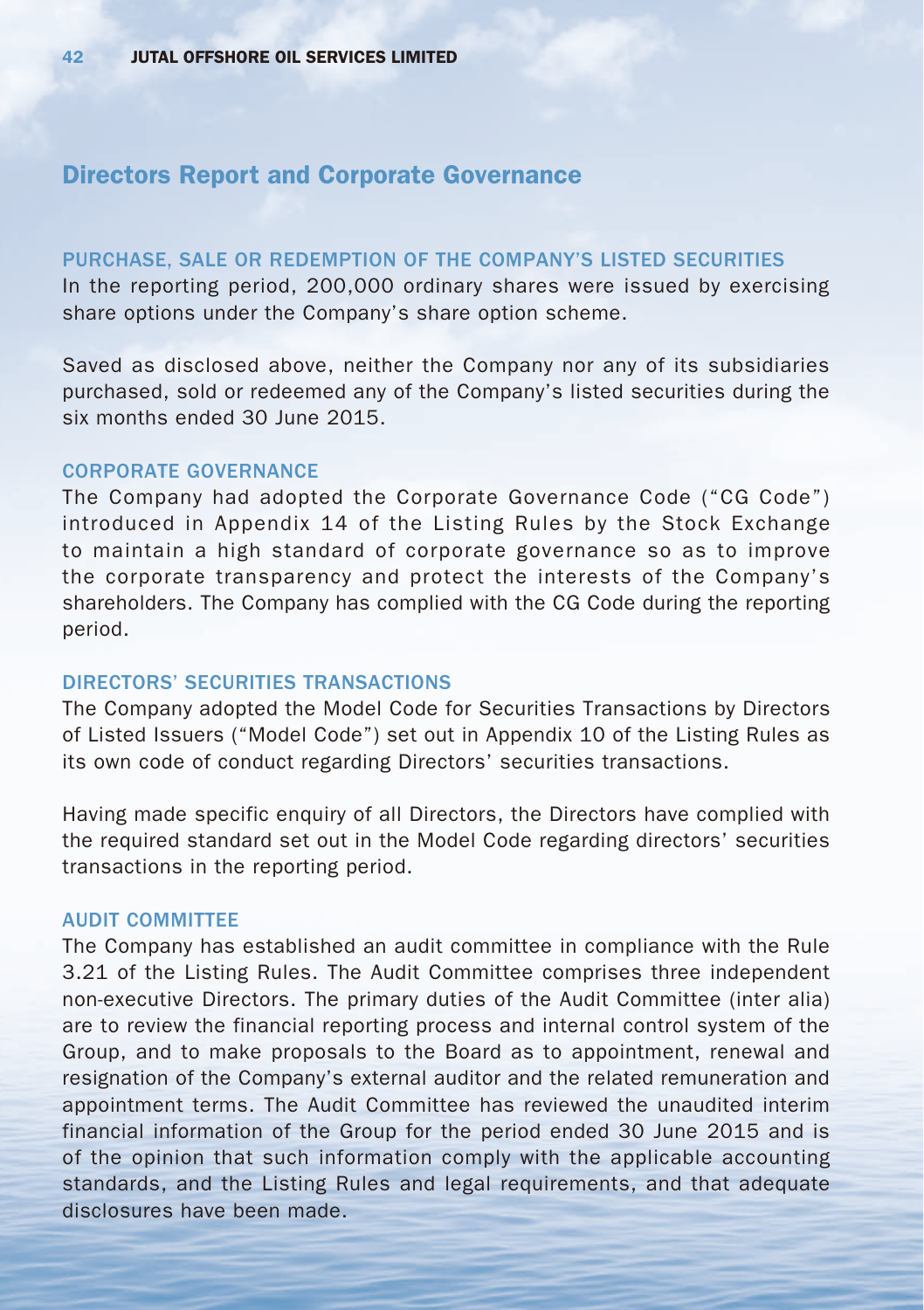#### PURCHASE, SALE OR REDEMPTION OF THE COMPANY'S LISTED SECURITIES

In the reporting period, 200,000 ordinary shares were issued by exercising share options under the Company's share option scheme.

Saved as disclosed above, neither the Company nor any of its subsidiaries purchased, sold or redeemed any of the Company's listed securities during the six months ended 30 June 2015.

### CORPORATE GOVERNANCE

The Company had adopted the Corporate Governance Code ("CG Code") introduced in Appendix 14 of the Listing Rules by the Stock Exchange to maintain a high standard of corporate governance so as to improve the corporate transparency and protect the interests of the Company's shareholders. The Company has complied with the CG Code during the reporting period.

#### DIRECTORS' SECURITIES TRANSACTIONS

The Company adopted the Model Code for Securities Transactions by Directors of Listed Issuers ("Model Code") set out in Appendix 10 of the Listing Rules as its own code of conduct regarding Directors' securities transactions.

Having made specific enquiry of all Directors, the Directors have complied with the required standard set out in the Model Code regarding directors' securities transactions in the reporting period.

#### AUDIT COMMITTEE

The Company has established an audit committee in compliance with the Rule 3.21 of the Listing Rules. The Audit Committee comprises three independent non-executive Directors. The primary duties of the Audit Committee (inter alia) are to review the financial reporting process and internal control system of the Group, and to make proposals to the Board as to appointment, renewal and resignation of the Company's external auditor and the related remuneration and appointment terms. The Audit Committee has reviewed the unaudited interim financial information of the Group for the period ended 30 June 2015 and is of the opinion that such information comply with the applicable accounting standards, and the Listing Rules and legal requirements, and that adequate disclosures have been made.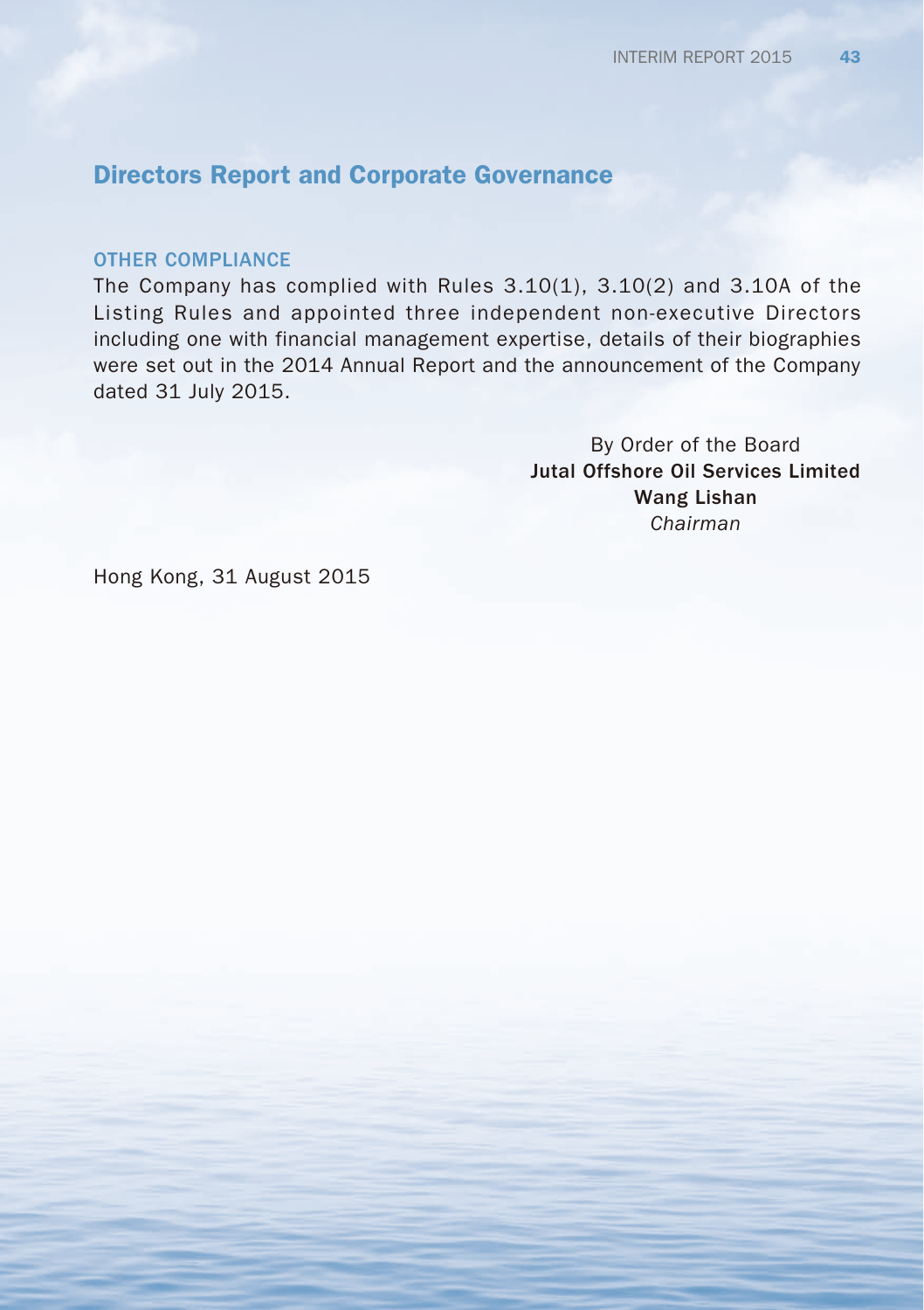#### OTHER COMPLIANCE

The Company has complied with Rules  $3.10(1)$ ,  $3.10(2)$  and  $3.10A$  of the Listing Rules and appointed three independent non-executive Directors including one with financial management expertise, details of their biographies were set out in the 2014 Annual Report and the announcement of the Company dated 31 July 2015.

> By Order of the Board Jutal Offshore Oil Services Limited Wang Lishan *Chairman*

Hong Kong, 31 August 2015